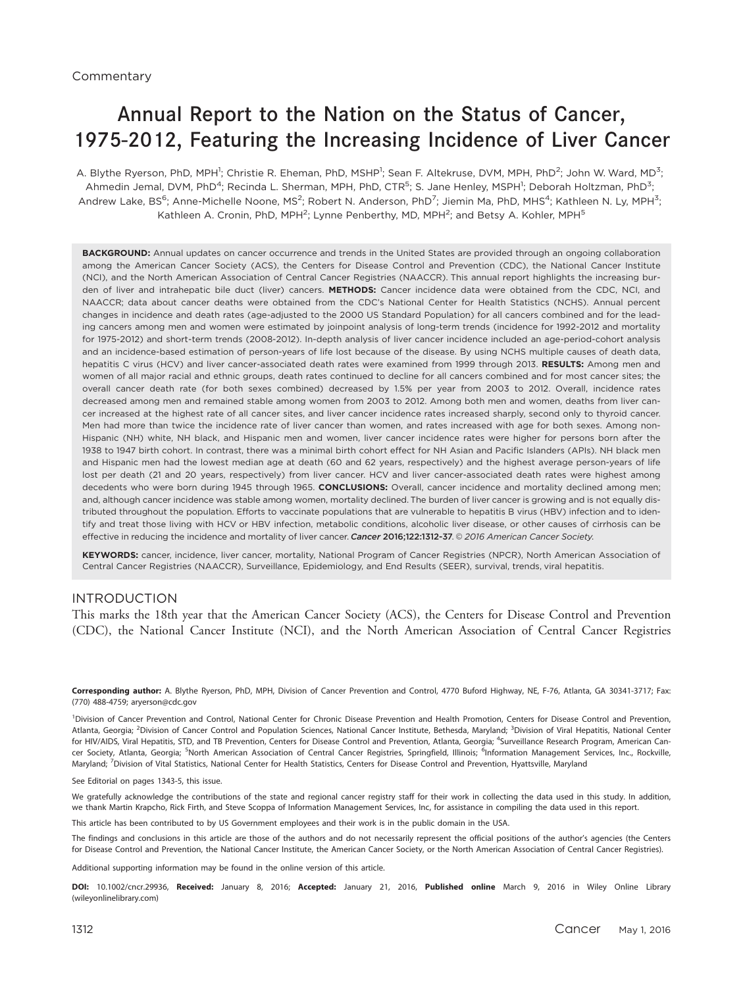# Annual Report to the Nation on the Status of Cancer, 1975-2012, Featuring the Increasing Incidence of Liver Cancer

A. Blythe Ryerson, PhD, MPH<sup>1</sup>; Christie R. Eheman, PhD, MSHP<sup>1</sup>; Sean F. Altekruse, DVM, MPH, PhD<sup>2</sup>; John W. Ward, MD<sup>3</sup>; Ahmedin Jemal, DVM, PhD<sup>4</sup>; Recinda L. Sherman, MPH, PhD, CTR<sup>5</sup>; S. Jane Henley, MSPH<sup>1</sup>; Deborah Holtzman, PhD<sup>3</sup>; Andrew Lake, BS $^6$ ; Anne-Michelle Noone, MS $^2$ ; Robert N. Anderson, PhD $^7$ ; Jiemin Ma, PhD, MHS $^4$ ; Kathleen N. Ly, MPH $^3$ ; Kathleen A. Cronin, PhD, MPH<sup>2</sup>; Lynne Penberthy, MD, MPH<sup>2</sup>; and Betsy A. Kohler, MPH<sup>5</sup>

BACKGROUND: Annual updates on cancer occurrence and trends in the United States are provided through an ongoing collaboration among the American Cancer Society (ACS), the Centers for Disease Control and Prevention (CDC), the National Cancer Institute (NCI), and the North American Association of Central Cancer Registries (NAACCR). This annual report highlights the increasing burden of liver and intrahepatic bile duct (liver) cancers. METHODS: Cancer incidence data were obtained from the CDC, NCI, and NAACCR; data about cancer deaths were obtained from the CDC's National Center for Health Statistics (NCHS). Annual percent changes in incidence and death rates (age-adjusted to the 2000 US Standard Population) for all cancers combined and for the leading cancers among men and women were estimated by joinpoint analysis of long-term trends (incidence for 1992-2012 and mortality for 1975-2012) and short-term trends (2008-2012). In-depth analysis of liver cancer incidence included an age-period-cohort analysis and an incidence-based estimation of person-years of life lost because of the disease. By using NCHS multiple causes of death data, hepatitis C virus (HCV) and liver cancer-associated death rates were examined from 1999 through 2013. RESULTS: Among men and women of all major racial and ethnic groups, death rates continued to decline for all cancers combined and for most cancer sites; the overall cancer death rate (for both sexes combined) decreased by 1.5% per year from 2003 to 2012. Overall, incidence rates decreased among men and remained stable among women from 2003 to 2012. Among both men and women, deaths from liver cancer increased at the highest rate of all cancer sites, and liver cancer incidence rates increased sharply, second only to thyroid cancer. Men had more than twice the incidence rate of liver cancer than women, and rates increased with age for both sexes. Among non-Hispanic (NH) white, NH black, and Hispanic men and women, liver cancer incidence rates were higher for persons born after the 1938 to 1947 birth cohort. In contrast, there was a minimal birth cohort effect for NH Asian and Pacific Islanders (APIs). NH black men and Hispanic men had the lowest median age at death (60 and 62 years, respectively) and the highest average person-years of life lost per death (21 and 20 years, respectively) from liver cancer. HCV and liver cancer-associated death rates were highest among decedents who were born during 1945 through 1965. CONCLUSIONS: Overall, cancer incidence and mortality declined among men; and, although cancer incidence was stable among women, mortality declined. The burden of liver cancer is growing and is not equally distributed throughout the population. Efforts to vaccinate populations that are vulnerable to hepatitis B virus (HBV) infection and to identify and treat those living with HCV or HBV infection, metabolic conditions, alcoholic liver disease, or other causes of cirrhosis can be effective in reducing the incidence and mortality of liver cancer. Cancer 2016;122:1312-37. 2016 American Cancer Society.

KEYWORDS: cancer, incidence, liver cancer, mortality, National Program of Cancer Registries (NPCR), North American Association of Central Cancer Registries (NAACCR), Surveillance, Epidemiology, and End Results (SEER), survival, trends, viral hepatitis.

### INTRODUCTION

This marks the 18th year that the American Cancer Society (ACS), the Centers for Disease Control and Prevention (CDC), the National Cancer Institute (NCI), and the North American Association of Central Cancer Registries

Corresponding author: A. Blythe Ryerson, PhD, MPH, Division of Cancer Prevention and Control, 4770 Buford Highway, NE, F-76, Atlanta, GA 30341-3717; Fax: (770) 488-4759; aryerson@cdc.gov

<sup>1</sup>Division of Cancer Prevention and Control, National Center for Chronic Disease Prevention and Health Promotion, Centers for Disease Control and Prevention, Atlanta, Georgia; <sup>2</sup>Division of Cancer Control and Population Sciences, National Cancer Institute, Bethesda, Maryland; <sup>3</sup>Division of Viral Hepatitis, National Center for HIV/AIDS, Viral Hepatitis, STD, and TB Prevention, Centers for Disease Control and Prevention, Atlanta, Georgia; <sup>4</sup>Surveillance Research Program, American Cancer Society, Atlanta, Georgia; <sup>5</sup>North American Association of Central Cancer Registries, Springfield, Illinois; <sup>6</sup>Information Management Services, Inc., Rockville, Maryland; <sup>7</sup>Division of Vital Statistics, National Center for Health Statistics, Centers for Disease Control and Prevention, Hyattsville, Maryland

See Editorial on pages 1343-5, this issue.

We gratefully acknowledge the contributions of the state and regional cancer registry staff for their work in collecting the data used in this study. In addition, we thank Martin Krapcho, Rick Firth, and Steve Scoppa of Information Management Services, Inc, for assistance in compiling the data used in this report.

This article has been contributed to by US Government employees and their work is in the public domain in the USA.

The findings and conclusions in this article are those of the authors and do not necessarily represent the official positions of the author's agencies (the Centers for Disease Control and Prevention, the National Cancer Institute, the American Cancer Society, or the North American Association of Central Cancer Registries).

Additional supporting information may be found in the online version of this article.

DOI: 10.1002/cncr.29936, Received: January 8, 2016; Accepted: January 21, 2016, Published online March 9, 2016 in Wiley Online Library (wileyonlinelibrary.com)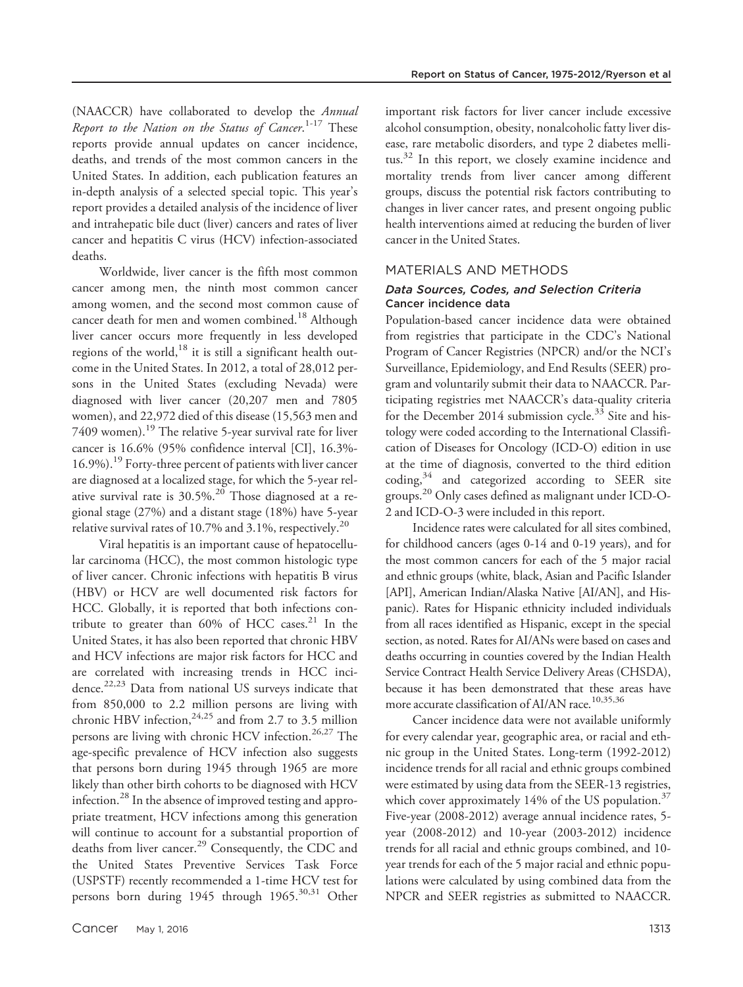(NAACCR) have collaborated to develop the Annual Report to the Nation on the Status of Cancer.<sup>1-17</sup> These reports provide annual updates on cancer incidence, deaths, and trends of the most common cancers in the United States. In addition, each publication features an in-depth analysis of a selected special topic. This year's report provides a detailed analysis of the incidence of liver and intrahepatic bile duct (liver) cancers and rates of liver cancer and hepatitis C virus (HCV) infection-associated deaths.

Worldwide, liver cancer is the fifth most common cancer among men, the ninth most common cancer among women, and the second most common cause of cancer death for men and women combined.<sup>18</sup> Although liver cancer occurs more frequently in less developed regions of the world, $^{18}$  it is still a significant health outcome in the United States. In 2012, a total of 28,012 persons in the United States (excluding Nevada) were diagnosed with liver cancer (20,207 men and 7805 women), and 22,972 died of this disease (15,563 men and 7409 women).<sup>19</sup> The relative 5-year survival rate for liver cancer is 16.6% (95% confidence interval [CI], 16.3%- 16.9%).19 Forty-three percent of patients with liver cancer are diagnosed at a localized stage, for which the 5-year relative survival rate is  $30.5\%$ .<sup>20</sup> Those diagnosed at a regional stage (27%) and a distant stage (18%) have 5-year relative survival rates of 10.7% and 3.1%, respectively.<sup>20</sup>

Viral hepatitis is an important cause of hepatocellular carcinoma (HCC), the most common histologic type of liver cancer. Chronic infections with hepatitis B virus (HBV) or HCV are well documented risk factors for HCC. Globally, it is reported that both infections contribute to greater than  $60\%$  of HCC cases.<sup>21</sup> In the United States, it has also been reported that chronic HBV and HCV infections are major risk factors for HCC and are correlated with increasing trends in HCC incidence.<sup>22,23</sup> Data from national US surveys indicate that from 850,000 to 2.2 million persons are living with chronic HBV infection,  $24,25$  and from 2.7 to 3.5 million persons are living with chronic HCV infection.<sup>26,27</sup> The age-specific prevalence of HCV infection also suggests that persons born during 1945 through 1965 are more likely than other birth cohorts to be diagnosed with HCV infection.<sup>28</sup> In the absence of improved testing and appropriate treatment, HCV infections among this generation will continue to account for a substantial proportion of deaths from liver cancer.<sup>29</sup> Consequently, the CDC and the United States Preventive Services Task Force (USPSTF) recently recommended a 1-time HCV test for persons born during 1945 through 1965.<sup>30,31</sup> Other important risk factors for liver cancer include excessive alcohol consumption, obesity, nonalcoholic fatty liver disease, rare metabolic disorders, and type 2 diabetes mellitus.<sup>32</sup> In this report, we closely examine incidence and mortality trends from liver cancer among different groups, discuss the potential risk factors contributing to changes in liver cancer rates, and present ongoing public health interventions aimed at reducing the burden of liver cancer in the United States.

## MATERIALS AND METHODS

### Data Sources, Codes, and Selection Criteria Cancer incidence data

Population-based cancer incidence data were obtained from registries that participate in the CDC's National Program of Cancer Registries (NPCR) and/or the NCI's Surveillance, Epidemiology, and End Results (SEER) program and voluntarily submit their data to NAACCR. Participating registries met NAACCR's data-quality criteria for the December 2014 submission cycle.<sup>33</sup> Site and histology were coded according to the International Classification of Diseases for Oncology (ICD-O) edition in use at the time of diagnosis, converted to the third edition  $\text{coding},^{34}$  and categorized according to SEER site groups. <sup>20</sup> Only cases defined as malignant under ICD-O-2 and ICD-O-3 were included in this report.

Incidence rates were calculated for all sites combined, for childhood cancers (ages 0-14 and 0-19 years), and for the most common cancers for each of the 5 major racial and ethnic groups (white, black, Asian and Pacific Islander [API], American Indian/Alaska Native [AI/AN], and Hispanic). Rates for Hispanic ethnicity included individuals from all races identified as Hispanic, except in the special section, as noted. Rates for AI/ANs were based on cases and deaths occurring in counties covered by the Indian Health Service Contract Health Service Delivery Areas (CHSDA), because it has been demonstrated that these areas have more accurate classification of AI/AN race.<sup>10,35,36</sup>

Cancer incidence data were not available uniformly for every calendar year, geographic area, or racial and ethnic group in the United States. Long-term (1992-2012) incidence trends for all racial and ethnic groups combined were estimated by using data from the SEER-13 registries, which cover approximately 14% of the US population.<sup>37</sup> Five-year (2008-2012) average annual incidence rates, 5 year (2008-2012) and 10-year (2003-2012) incidence trends for all racial and ethnic groups combined, and 10 year trends for each of the 5 major racial and ethnic populations were calculated by using combined data from the NPCR and SEER registries as submitted to NAACCR.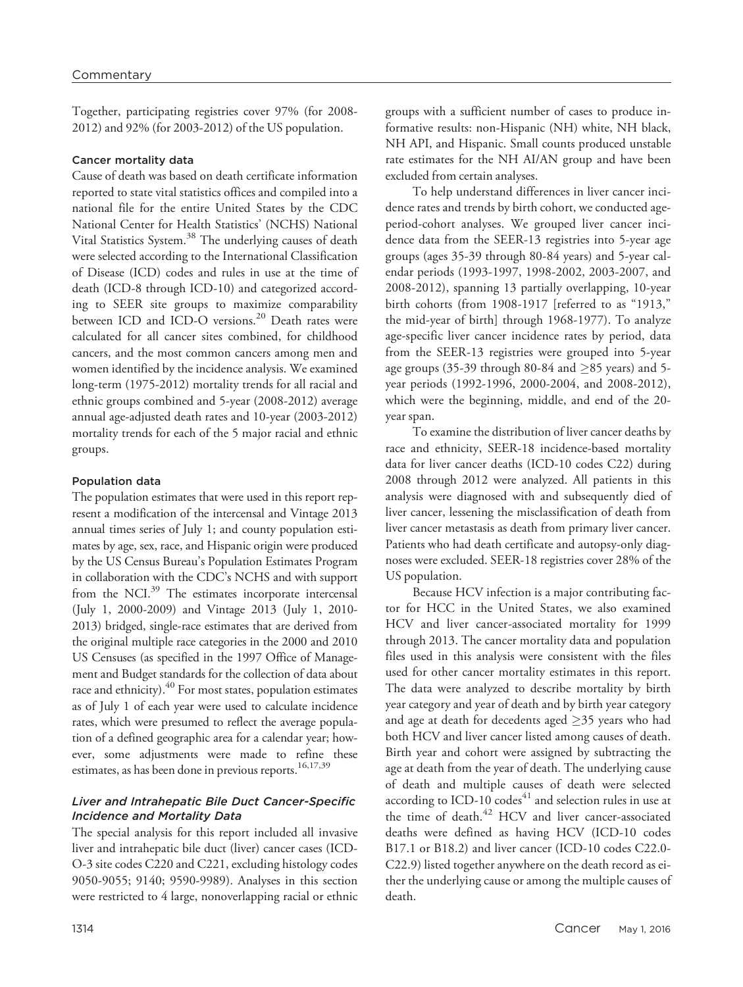Together, participating registries cover 97% (for 2008- 2012) and 92% (for 2003-2012) of the US population.

## Cancer mortality data

Cause of death was based on death certificate information reported to state vital statistics offices and compiled into a national file for the entire United States by the CDC National Center for Health Statistics' (NCHS) National Vital Statistics System.<sup>38</sup> The underlying causes of death were selected according to the International Classification of Disease (ICD) codes and rules in use at the time of death (ICD-8 through ICD-10) and categorized according to SEER site groups to maximize comparability between ICD and ICD-O versions.<sup>20</sup> Death rates were calculated for all cancer sites combined, for childhood cancers, and the most common cancers among men and women identified by the incidence analysis. We examined long-term (1975-2012) mortality trends for all racial and ethnic groups combined and 5-year (2008-2012) average annual age-adjusted death rates and 10-year (2003-2012) mortality trends for each of the 5 major racial and ethnic groups.

## Population data

The population estimates that were used in this report represent a modification of the intercensal and Vintage 2013 annual times series of July 1; and county population estimates by age, sex, race, and Hispanic origin were produced by the US Census Bureau's Population Estimates Program in collaboration with the CDC's NCHS and with support from the NCI.<sup>39</sup> The estimates incorporate intercensal (July 1, 2000-2009) and Vintage 2013 (July 1, 2010- 2013) bridged, single-race estimates that are derived from the original multiple race categories in the 2000 and 2010 US Censuses (as specified in the 1997 Office of Management and Budget standards for the collection of data about race and ethnicity).<sup>40</sup> For most states, population estimates as of July 1 of each year were used to calculate incidence rates, which were presumed to reflect the average population of a defined geographic area for a calendar year; however, some adjustments were made to refine these estimates, as has been done in previous reports.<sup>16,17,39</sup>

## Liver and Intrahepatic Bile Duct Cancer-Specific Incidence and Mortality Data

The special analysis for this report included all invasive liver and intrahepatic bile duct (liver) cancer cases (ICD-O-3 site codes C220 and C221, excluding histology codes 9050-9055; 9140; 9590-9989). Analyses in this section were restricted to 4 large, nonoverlapping racial or ethnic groups with a sufficient number of cases to produce informative results: non-Hispanic (NH) white, NH black, NH API, and Hispanic. Small counts produced unstable rate estimates for the NH AI/AN group and have been excluded from certain analyses.

To help understand differences in liver cancer incidence rates and trends by birth cohort, we conducted ageperiod-cohort analyses. We grouped liver cancer incidence data from the SEER-13 registries into 5-year age groups (ages 35-39 through 80-84 years) and 5-year calendar periods (1993-1997, 1998-2002, 2003-2007, and 2008-2012), spanning 13 partially overlapping, 10-year birth cohorts (from 1908-1917 [referred to as "1913," the mid-year of birth] through 1968-1977). To analyze age-specific liver cancer incidence rates by period, data from the SEER-13 registries were grouped into 5-year age groups (35-39 through 80-84 and  $\geq$ 85 years) and 5year periods (1992-1996, 2000-2004, and 2008-2012), which were the beginning, middle, and end of the 20 year span.

To examine the distribution of liver cancer deaths by race and ethnicity, SEER-18 incidence-based mortality data for liver cancer deaths (ICD-10 codes C22) during 2008 through 2012 were analyzed. All patients in this analysis were diagnosed with and subsequently died of liver cancer, lessening the misclassification of death from liver cancer metastasis as death from primary liver cancer. Patients who had death certificate and autopsy-only diagnoses were excluded. SEER-18 registries cover 28% of the US population.

Because HCV infection is a major contributing factor for HCC in the United States, we also examined HCV and liver cancer-associated mortality for 1999 through 2013. The cancer mortality data and population files used in this analysis were consistent with the files used for other cancer mortality estimates in this report. The data were analyzed to describe mortality by birth year category and year of death and by birth year category and age at death for decedents aged  $\geq$ 35 years who had both HCV and liver cancer listed among causes of death. Birth year and cohort were assigned by subtracting the age at death from the year of death. The underlying cause of death and multiple causes of death were selected according to ICD-10 codes<sup>41</sup> and selection rules in use at the time of death.<sup>42</sup> HCV and liver cancer-associated deaths were defined as having HCV (ICD-10 codes B17.1 or B18.2) and liver cancer (ICD-10 codes C22.0- C22.9) listed together anywhere on the death record as either the underlying cause or among the multiple causes of death.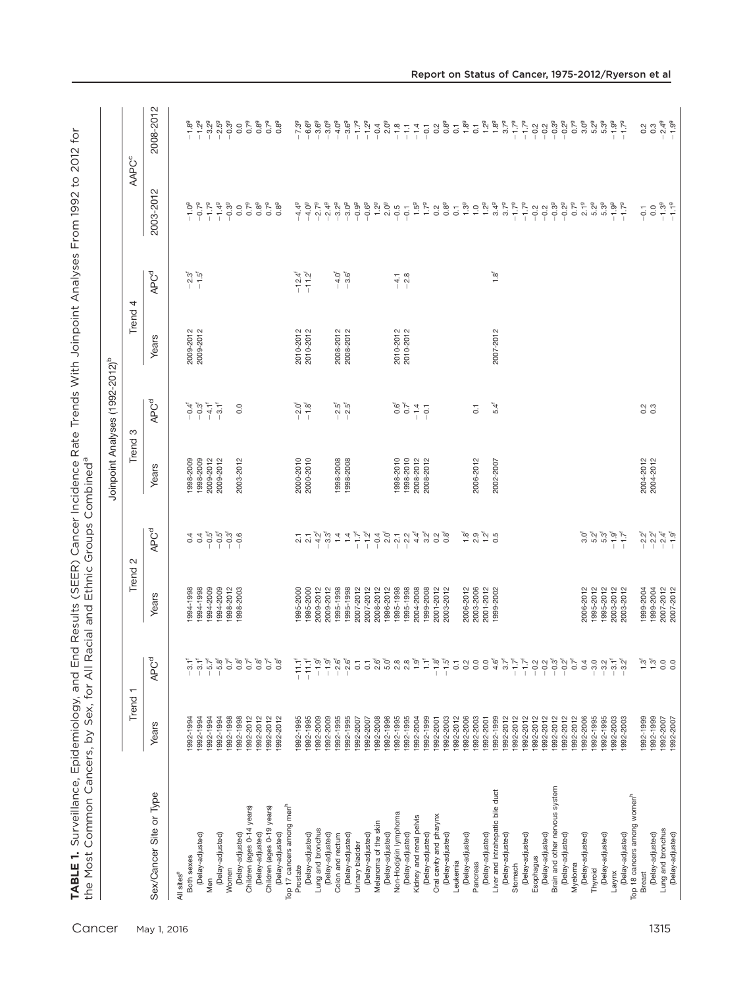|                                                |                        |                                           |                        |                                                                                                                                                                                                                                                                                                                                                                                                                                                                                                                 | Joinpoint Analyses (1992-2012) <sup>b</sup> |                                            |                        |                                              |                                                                                                                                                                                                                                                                                                                                                                                                                             |                                                                                                                                                                                                                                                                                                                                                                                                                                                                                      |
|------------------------------------------------|------------------------|-------------------------------------------|------------------------|-----------------------------------------------------------------------------------------------------------------------------------------------------------------------------------------------------------------------------------------------------------------------------------------------------------------------------------------------------------------------------------------------------------------------------------------------------------------------------------------------------------------|---------------------------------------------|--------------------------------------------|------------------------|----------------------------------------------|-----------------------------------------------------------------------------------------------------------------------------------------------------------------------------------------------------------------------------------------------------------------------------------------------------------------------------------------------------------------------------------------------------------------------------|--------------------------------------------------------------------------------------------------------------------------------------------------------------------------------------------------------------------------------------------------------------------------------------------------------------------------------------------------------------------------------------------------------------------------------------------------------------------------------------|
|                                                | Trend                  | ┯                                         | Trend                  | $\sim$                                                                                                                                                                                                                                                                                                                                                                                                                                                                                                          | Trend                                       | က                                          | Trend                  | 4                                            |                                                                                                                                                                                                                                                                                                                                                                                                                             | AAPC <sup>c</sup>                                                                                                                                                                                                                                                                                                                                                                                                                                                                    |
| Sex/Cancer Site or Type                        | Years                  | <b>APC<sup>d</sup></b>                    | Years                  | APC <sup>d</sup>                                                                                                                                                                                                                                                                                                                                                                                                                                                                                                | Years                                       | <b>APC<sup>d</sup></b>                     | Years                  | APCd                                         | N<br>2003-201                                                                                                                                                                                                                                                                                                                                                                                                               | 2008-2012                                                                                                                                                                                                                                                                                                                                                                                                                                                                            |
| All sites <sup>e</sup>                         |                        |                                           |                        |                                                                                                                                                                                                                                                                                                                                                                                                                                                                                                                 |                                             |                                            |                        |                                              |                                                                                                                                                                                                                                                                                                                                                                                                                             |                                                                                                                                                                                                                                                                                                                                                                                                                                                                                      |
| Both sexes                                     | 1992-1994              | $-3.1$ <sup>f</sup>                       | 1994-1998              |                                                                                                                                                                                                                                                                                                                                                                                                                                                                                                                 | 1998-2009                                   | $-0.4$ <sup>f</sup><br>$-0.3$ <sup>f</sup> | 2009-2012<br>2009-2012 | $-2.3^{f}$<br>-1.5 <sup>f</sup>              | $-1.09$<br>$-0.79$                                                                                                                                                                                                                                                                                                                                                                                                          |                                                                                                                                                                                                                                                                                                                                                                                                                                                                                      |
| (Delay-adjusted)                               | 1992-1994              | $-3.1^{f}$                                | 1994-1998              | ه ه په یې وه<br>د ه ه ه او ه<br>ه ه ه او او                                                                                                                                                                                                                                                                                                                                                                                                                                                                     | 1998-2009                                   |                                            |                        |                                              |                                                                                                                                                                                                                                                                                                                                                                                                                             |                                                                                                                                                                                                                                                                                                                                                                                                                                                                                      |
| Men                                            | 1992-1994              | $-5.7$ <sup>f</sup><br>$-5.8^{f}$         | 1994-2009              |                                                                                                                                                                                                                                                                                                                                                                                                                                                                                                                 | 2009-2012<br>2009-2012                      | $-4.1$ <sup>f</sup><br>$-3.1$ <sup>f</sup> |                        |                                              |                                                                                                                                                                                                                                                                                                                                                                                                                             |                                                                                                                                                                                                                                                                                                                                                                                                                                                                                      |
| (Delay-adjusted)<br>Women                      | 1992-1994<br>1992-1998 | $0.7$ <sup>†</sup>                        | 1994-2009              |                                                                                                                                                                                                                                                                                                                                                                                                                                                                                                                 |                                             |                                            |                        |                                              | $-1.79$<br>$-1.49$<br>$-0.39$                                                                                                                                                                                                                                                                                                                                                                                               |                                                                                                                                                                                                                                                                                                                                                                                                                                                                                      |
| (Delay-adjusted)                               | 1992-1998              | $0.8^f$                                   | 1998-2012<br>1998-2003 |                                                                                                                                                                                                                                                                                                                                                                                                                                                                                                                 | 2003-2012                                   | 0.0                                        |                        |                                              |                                                                                                                                                                                                                                                                                                                                                                                                                             |                                                                                                                                                                                                                                                                                                                                                                                                                                                                                      |
| Children (ages 0-14 years)                     | 1992-2012              | $0.7$ <sup>f</sup>                        |                        |                                                                                                                                                                                                                                                                                                                                                                                                                                                                                                                 |                                             |                                            |                        |                                              | 0 R & R &<br>0 0 0 0 0<br>0 0 0 0 0                                                                                                                                                                                                                                                                                                                                                                                         | $\begin{array}{l} \mathbf{g} \\ \mathbf{g} \\ \mathbf{g} \\ \mathbf{g} \\ \mathbf{g} \\ \mathbf{g} \\ \mathbf{g} \\ \mathbf{g} \\ \mathbf{g} \\ \mathbf{g} \\ \mathbf{g} \\ \mathbf{g} \\ \mathbf{g} \\ \mathbf{g} \\ \mathbf{g} \\ \mathbf{g} \\ \mathbf{g} \\ \mathbf{g} \\ \mathbf{g} \\ \mathbf{g} \\ \mathbf{g} \\ \mathbf{g} \\ \mathbf{g} \\ \mathbf{g} \\ \mathbf{g} \\ \mathbf{g} \\ \mathbf{g} \\ \mathbf{g} \\ \mathbf{g} \\ \mathbf{g} \\ \mathbf$                       |
| (Delay-adjusted)                               | 1992-2012              |                                           |                        |                                                                                                                                                                                                                                                                                                                                                                                                                                                                                                                 |                                             |                                            |                        |                                              |                                                                                                                                                                                                                                                                                                                                                                                                                             |                                                                                                                                                                                                                                                                                                                                                                                                                                                                                      |
| Children (ages 0-19 years)                     | 1992-2012              | $0.8^{f}$                                 |                        |                                                                                                                                                                                                                                                                                                                                                                                                                                                                                                                 |                                             |                                            |                        |                                              |                                                                                                                                                                                                                                                                                                                                                                                                                             |                                                                                                                                                                                                                                                                                                                                                                                                                                                                                      |
| (Delay-adjusted)                               | 992-2012               | 0.8 <sup>f</sup>                          |                        |                                                                                                                                                                                                                                                                                                                                                                                                                                                                                                                 |                                             |                                            |                        |                                              |                                                                                                                                                                                                                                                                                                                                                                                                                             |                                                                                                                                                                                                                                                                                                                                                                                                                                                                                      |
| Top 17 cancers among men <sup>h</sup>          |                        |                                           |                        |                                                                                                                                                                                                                                                                                                                                                                                                                                                                                                                 |                                             |                                            |                        |                                              |                                                                                                                                                                                                                                                                                                                                                                                                                             |                                                                                                                                                                                                                                                                                                                                                                                                                                                                                      |
| Prostate                                       | 1992-1995              | $-11.14$                                  | 1995-2000              |                                                                                                                                                                                                                                                                                                                                                                                                                                                                                                                 | 2000-2010<br>2000-2010                      | $-2.0^{f}$<br>$-1.8^{f}$                   | 2010-2012<br>2010-2012 | $-12.4$ <sup>t</sup><br>$-11.2$ <sup>t</sup> |                                                                                                                                                                                                                                                                                                                                                                                                                             |                                                                                                                                                                                                                                                                                                                                                                                                                                                                                      |
| (Delay-adjusted)                               | 1992-1995              | $-11.1$ <sup>f</sup>                      | 1995-2000              |                                                                                                                                                                                                                                                                                                                                                                                                                                                                                                                 |                                             |                                            |                        |                                              | $-4.09$<br>$-4.09$                                                                                                                                                                                                                                                                                                                                                                                                          |                                                                                                                                                                                                                                                                                                                                                                                                                                                                                      |
| Lung and bronchus                              | 1992-2009              | $-1.9^{f}$                                | 2009-2012              |                                                                                                                                                                                                                                                                                                                                                                                                                                                                                                                 |                                             |                                            |                        |                                              | $\begin{array}{cccccccccc} p&q&q&q&q&q\\ \hline p&q&q&q&q&q&q\\ q&q&q&q&q&q&q\\ \end{array} \qquad \begin{array}{cccccccccc} p&q&q&q&q\\ q&q&q&q&q&q\\ q&q&q&q&q&q\\ \end{array}$                                                                                                                                                                                                                                           |                                                                                                                                                                                                                                                                                                                                                                                                                                                                                      |
| (Delay-adjusted)                               | 992-2009               | $-1.9^{f}$                                | 2009-2012              |                                                                                                                                                                                                                                                                                                                                                                                                                                                                                                                 |                                             |                                            |                        |                                              |                                                                                                                                                                                                                                                                                                                                                                                                                             |                                                                                                                                                                                                                                                                                                                                                                                                                                                                                      |
| Colon and rectum                               | 1992-1995              | $-2.6^{f}$                                | 1995-1998              |                                                                                                                                                                                                                                                                                                                                                                                                                                                                                                                 | 1998-2008                                   | - 2.5"<br>- 2.5"                           | 2008-2012<br>2008-2012 | $-4.0^{f}$<br>$-3.6^{f}$                     |                                                                                                                                                                                                                                                                                                                                                                                                                             |                                                                                                                                                                                                                                                                                                                                                                                                                                                                                      |
| (Delay-adjusted)                               | 1992-1995              | $-2.6^{f}$                                | 1995-1998              |                                                                                                                                                                                                                                                                                                                                                                                                                                                                                                                 | 1998-2008                                   |                                            |                        |                                              |                                                                                                                                                                                                                                                                                                                                                                                                                             |                                                                                                                                                                                                                                                                                                                                                                                                                                                                                      |
| Urinary bladder                                | 1992-2007              | $\overline{0}$                            | 2007-2012              |                                                                                                                                                                                                                                                                                                                                                                                                                                                                                                                 |                                             |                                            |                        |                                              |                                                                                                                                                                                                                                                                                                                                                                                                                             |                                                                                                                                                                                                                                                                                                                                                                                                                                                                                      |
| (Delay-adjusted)                               | 1992-2007              | $\overline{0}$                            | 2007-2012              |                                                                                                                                                                                                                                                                                                                                                                                                                                                                                                                 |                                             |                                            |                        |                                              |                                                                                                                                                                                                                                                                                                                                                                                                                             |                                                                                                                                                                                                                                                                                                                                                                                                                                                                                      |
| Melanoma of the skin                           | 1992-2008              | 2.6 <sup>f</sup>                          | 2008-2012              |                                                                                                                                                                                                                                                                                                                                                                                                                                                                                                                 |                                             |                                            |                        |                                              |                                                                                                                                                                                                                                                                                                                                                                                                                             |                                                                                                                                                                                                                                                                                                                                                                                                                                                                                      |
| (Delay-adjusted)                               | 1992-1996              | $5.0^f$                                   | 1996-2012              |                                                                                                                                                                                                                                                                                                                                                                                                                                                                                                                 |                                             |                                            |                        |                                              |                                                                                                                                                                                                                                                                                                                                                                                                                             |                                                                                                                                                                                                                                                                                                                                                                                                                                                                                      |
| Non-Hodgkin lymphoma                           | 1992-1995              | $2.8$<br>2.8                              | 1995-1998              |                                                                                                                                                                                                                                                                                                                                                                                                                                                                                                                 | 1998-2010                                   | $0.6^{f}$<br>0.7 <sup>f</sup>              | 2010-2012<br>2010-2012 | $-4.1$<br>$-2.8$                             |                                                                                                                                                                                                                                                                                                                                                                                                                             |                                                                                                                                                                                                                                                                                                                                                                                                                                                                                      |
| Kidney and renal pelvis<br>(Delay-adjusted)    | 1992-1995<br>1992-2004 | $1.9^f$                                   | 1995-1998<br>2004-2008 | $\begin{array}{l} \begin{array}{l} \Gamma \vdash \tilde{\Gamma} \; \tilde{\nu} \; \tilde{\nu} \; \tilde{\alpha} \; \tilde{\gamma} \; \tilde{\gamma} \; \tilde{\gamma} \; \tilde{\gamma} \; \tilde{\gamma} \; \tilde{\gamma} \; \tilde{\gamma} \; \tilde{\gamma} \; \tilde{\gamma} \; \tilde{\gamma} \; \tilde{\gamma} \; \tilde{\gamma} \; \tilde{\gamma} \; \tilde{\gamma} \; \tilde{\gamma} \; \tilde{\gamma} \; \tilde{\gamma} \; \tilde{\gamma} \; \tilde{\gamma} \; \tilde{\gamma} \; \tilde{\gamma} \; \$ | 1998-2010                                   |                                            |                        |                                              | $\begin{array}{cccccccccc} \tilde{c}_3 & \tilde{c}_2 & \tilde{c}_3 & \tilde{c}_4 & \tilde{c}_5 & \tilde{c}_6 & \tilde{c}_6 & \tilde{c}_6 & \tilde{c}_6 & \tilde{c}_6 & \tilde{c}_6 & \tilde{c}_6 & \tilde{c}_6 & \tilde{c}_6 & \tilde{c}_6 & \tilde{c}_6 & \tilde{c}_6 & \tilde{c}_6 & \tilde{c}_6 & \tilde{c}_6 & \tilde{c}_6 & \tilde{c}_6 & \tilde{c}_6 & \tilde{c}_6 & \tilde{c}_6 & \tilde{c}_6 & \tilde$              | $\begin{array}{l} \mathcal{B}_1 \oplus \mathcal{B}_2 \oplus \mathcal{B}_3 \oplus \mathcal{B}_1 \oplus \mathcal{B}_2 \oplus \mathcal{B}_3 \oplus \mathcal{B}_1 \oplus \mathcal{B}_2 \oplus \mathcal{B}_2 \oplus \mathcal{B}_3 \oplus \mathcal{B}_1 \oplus \mathcal{B}_2 \oplus \mathcal{B}_3 \oplus \mathcal{B}_1 \oplus \mathcal{B}_2 \oplus \mathcal{B}_3 \oplus \mathcal{B}_1 \oplus \mathcal{B}_2 \oplus \mathcal{B}_3 \oplus \mathcal{B}_1 \oplus \mathcal{B}_2 \oplus \mathcal$ |
| (Delay-adjusted)                               | 1992-1999              | $\overline{1}$                            | 1999-2008              |                                                                                                                                                                                                                                                                                                                                                                                                                                                                                                                 | 2008-2012<br>2008-2012                      | $-1.4$<br>$-0.1$                           |                        |                                              |                                                                                                                                                                                                                                                                                                                                                                                                                             |                                                                                                                                                                                                                                                                                                                                                                                                                                                                                      |
| Oral cavity and pharynx                        | 1992-2001              | $-1.8^{f}$                                | 2001-2012              |                                                                                                                                                                                                                                                                                                                                                                                                                                                                                                                 |                                             |                                            |                        |                                              |                                                                                                                                                                                                                                                                                                                                                                                                                             |                                                                                                                                                                                                                                                                                                                                                                                                                                                                                      |
| (Delay-adjusted)                               | 1992-2003              | $-1.5$ <sup>f</sup>                       | 2003-2012              |                                                                                                                                                                                                                                                                                                                                                                                                                                                                                                                 |                                             |                                            |                        |                                              |                                                                                                                                                                                                                                                                                                                                                                                                                             |                                                                                                                                                                                                                                                                                                                                                                                                                                                                                      |
| Leukemia                                       | 1992-2012              | $\overline{0}$                            |                        |                                                                                                                                                                                                                                                                                                                                                                                                                                                                                                                 |                                             |                                            |                        |                                              |                                                                                                                                                                                                                                                                                                                                                                                                                             |                                                                                                                                                                                                                                                                                                                                                                                                                                                                                      |
| (Delay-adjusted)                               | 1992-2006              | $\begin{array}{c} 0.0 \\ 0.0 \end{array}$ | 2006-2012              | $\frac{56}{10}$ 9 $\frac{5}{10}$ 19 $\frac{5}{10}$ 19 $\frac{1}{10}$                                                                                                                                                                                                                                                                                                                                                                                                                                            |                                             |                                            |                        |                                              |                                                                                                                                                                                                                                                                                                                                                                                                                             |                                                                                                                                                                                                                                                                                                                                                                                                                                                                                      |
| Pancreas                                       | 1992-2003              |                                           | 2003-2006              |                                                                                                                                                                                                                                                                                                                                                                                                                                                                                                                 | 2006-2012                                   | $\overline{0}$                             |                        |                                              |                                                                                                                                                                                                                                                                                                                                                                                                                             |                                                                                                                                                                                                                                                                                                                                                                                                                                                                                      |
| (Delay-adjusted)                               | 1992-2001              | 0.0                                       | 2001-2012              |                                                                                                                                                                                                                                                                                                                                                                                                                                                                                                                 |                                             |                                            |                        |                                              |                                                                                                                                                                                                                                                                                                                                                                                                                             |                                                                                                                                                                                                                                                                                                                                                                                                                                                                                      |
| Liver and intrahepatic bile duct               | 1992-1999              | 4.6 <sup>f</sup>                          | 1999-2002              |                                                                                                                                                                                                                                                                                                                                                                                                                                                                                                                 | 2002-2007                                   | $5.4^{\dagger}$                            | 2007-2012              | $1.8^{f}$                                    |                                                                                                                                                                                                                                                                                                                                                                                                                             |                                                                                                                                                                                                                                                                                                                                                                                                                                                                                      |
| (Delay-adjusted)                               | 1992-2012              | $3.7$ <sup>t</sup>                        |                        |                                                                                                                                                                                                                                                                                                                                                                                                                                                                                                                 |                                             |                                            |                        |                                              |                                                                                                                                                                                                                                                                                                                                                                                                                             |                                                                                                                                                                                                                                                                                                                                                                                                                                                                                      |
| (Delay-adjusted)<br>Stomach                    | 992-2012<br>992-2012   | $-1.7^{\rm f}$<br>$-1.7$ <sup>t</sup>     |                        |                                                                                                                                                                                                                                                                                                                                                                                                                                                                                                                 |                                             |                                            |                        |                                              |                                                                                                                                                                                                                                                                                                                                                                                                                             |                                                                                                                                                                                                                                                                                                                                                                                                                                                                                      |
| Esophagus                                      | 992-2012               | $-0.2$                                    |                        |                                                                                                                                                                                                                                                                                                                                                                                                                                                                                                                 |                                             |                                            |                        |                                              |                                                                                                                                                                                                                                                                                                                                                                                                                             |                                                                                                                                                                                                                                                                                                                                                                                                                                                                                      |
| (Delay-adjusted)                               | 992-2012               | $-0.2$                                    |                        |                                                                                                                                                                                                                                                                                                                                                                                                                                                                                                                 |                                             |                                            |                        |                                              |                                                                                                                                                                                                                                                                                                                                                                                                                             |                                                                                                                                                                                                                                                                                                                                                                                                                                                                                      |
| Brain and other nervous system                 | 1992-2012              | $-0.3^{\dagger}$                          |                        |                                                                                                                                                                                                                                                                                                                                                                                                                                                                                                                 |                                             |                                            |                        |                                              | $\begin{array}{l} \mathbf{c} \mathbf{c} \mathbf{c} \mathbf{c} \mathbf{c} \mathbf{c} \mathbf{c} \mathbf{c} \mathbf{c} \mathbf{c} \mathbf{c} \mathbf{c} \mathbf{c} \mathbf{c} \mathbf{c} \mathbf{c} \mathbf{c} \mathbf{c} \mathbf{c} \mathbf{c} \mathbf{c} \mathbf{c} \mathbf{c} \mathbf{c} \mathbf{c} \mathbf{c} \mathbf{c} \mathbf{c} \mathbf{c} \mathbf{c} \mathbf{c} \mathbf{c} \mathbf{c} \mathbf{c} \mathbf{c} \mathbf$ |                                                                                                                                                                                                                                                                                                                                                                                                                                                                                      |
| (Delay-adjusted)                               | 992-2012               | $-0.2^{f}$                                |                        |                                                                                                                                                                                                                                                                                                                                                                                                                                                                                                                 |                                             |                                            |                        |                                              |                                                                                                                                                                                                                                                                                                                                                                                                                             |                                                                                                                                                                                                                                                                                                                                                                                                                                                                                      |
| Myeloma                                        | 1992-2012              | $0.7^{\circ}$                             |                        |                                                                                                                                                                                                                                                                                                                                                                                                                                                                                                                 |                                             |                                            |                        |                                              |                                                                                                                                                                                                                                                                                                                                                                                                                             |                                                                                                                                                                                                                                                                                                                                                                                                                                                                                      |
| (Delay-adjusted)                               | 1992-2006              | 0.4                                       | 2006-2012              |                                                                                                                                                                                                                                                                                                                                                                                                                                                                                                                 |                                             |                                            |                        |                                              |                                                                                                                                                                                                                                                                                                                                                                                                                             |                                                                                                                                                                                                                                                                                                                                                                                                                                                                                      |
| Thyroid                                        | 1992-1995              | $-3.0$                                    | 1995-2012              |                                                                                                                                                                                                                                                                                                                                                                                                                                                                                                                 |                                             |                                            |                        |                                              |                                                                                                                                                                                                                                                                                                                                                                                                                             |                                                                                                                                                                                                                                                                                                                                                                                                                                                                                      |
| (Delay-adjusted)                               | 1992-1995              | $-3.2$                                    | 1995-2012              |                                                                                                                                                                                                                                                                                                                                                                                                                                                                                                                 |                                             |                                            |                        |                                              |                                                                                                                                                                                                                                                                                                                                                                                                                             |                                                                                                                                                                                                                                                                                                                                                                                                                                                                                      |
| Larynx                                         | 1992-2003              | $-3.1$ <sup>f</sup><br>$-3.2^{f}$         | 2003-2012<br>2003-2012 |                                                                                                                                                                                                                                                                                                                                                                                                                                                                                                                 |                                             |                                            |                        |                                              |                                                                                                                                                                                                                                                                                                                                                                                                                             |                                                                                                                                                                                                                                                                                                                                                                                                                                                                                      |
| Top 18 cancers among women<br>(Delay-adjusted) | 1992-2003              |                                           |                        |                                                                                                                                                                                                                                                                                                                                                                                                                                                                                                                 |                                             |                                            |                        |                                              |                                                                                                                                                                                                                                                                                                                                                                                                                             |                                                                                                                                                                                                                                                                                                                                                                                                                                                                                      |
| <b>Breast</b>                                  | 1992-1999              | $\ddot{5}$                                | 1999-2004              |                                                                                                                                                                                                                                                                                                                                                                                                                                                                                                                 |                                             |                                            |                        |                                              | $-0.1$                                                                                                                                                                                                                                                                                                                                                                                                                      |                                                                                                                                                                                                                                                                                                                                                                                                                                                                                      |
| (Delay-adjusted)                               | 1992-1999              | $1.3^{\dagger}$                           | 1999-2004              |                                                                                                                                                                                                                                                                                                                                                                                                                                                                                                                 | 2004-2012<br>2004-2012                      | 0.3                                        |                        |                                              | 0.0                                                                                                                                                                                                                                                                                                                                                                                                                         | $0.\overline{3}$                                                                                                                                                                                                                                                                                                                                                                                                                                                                     |
| Lung and bronchus                              | 1992-2007              |                                           |                        | $\begin{array}{c} 79.76 \times 10^{-4} \text{cm} \\ 79.76 \times 10^{-4} \text{cm} \\ 10^{-4} \text{cm} \\ 10^{-4} \text{cm} \\ 10^{-4} \text{cm} \\ 10^{-4} \text{cm} \\ 10^{-4} \text{cm} \\ 10^{-4} \text{cm} \\ 10^{-4} \text{cm} \\ 10^{-4} \text{cm} \\ 10^{-4} \text{cm} \\ 10^{-4} \text{cm} \\ 10^{-4} \text{cm} \\ 10^{-4} \text{cm} \\ 10^{-4} \text{cm} \\ 10^{-4} \text{cm} \\ 10^{-4$                                                                                                             |                                             |                                            |                        |                                              |                                                                                                                                                                                                                                                                                                                                                                                                                             |                                                                                                                                                                                                                                                                                                                                                                                                                                                                                      |
| (Delay-adjusted)                               | 1992-2007              | 0.0                                       | 2007-2012              |                                                                                                                                                                                                                                                                                                                                                                                                                                                                                                                 |                                             |                                            |                        |                                              | $-1.79$<br>$-1.79$                                                                                                                                                                                                                                                                                                                                                                                                          | $-2.49$<br>$-1.99$                                                                                                                                                                                                                                                                                                                                                                                                                                                                   |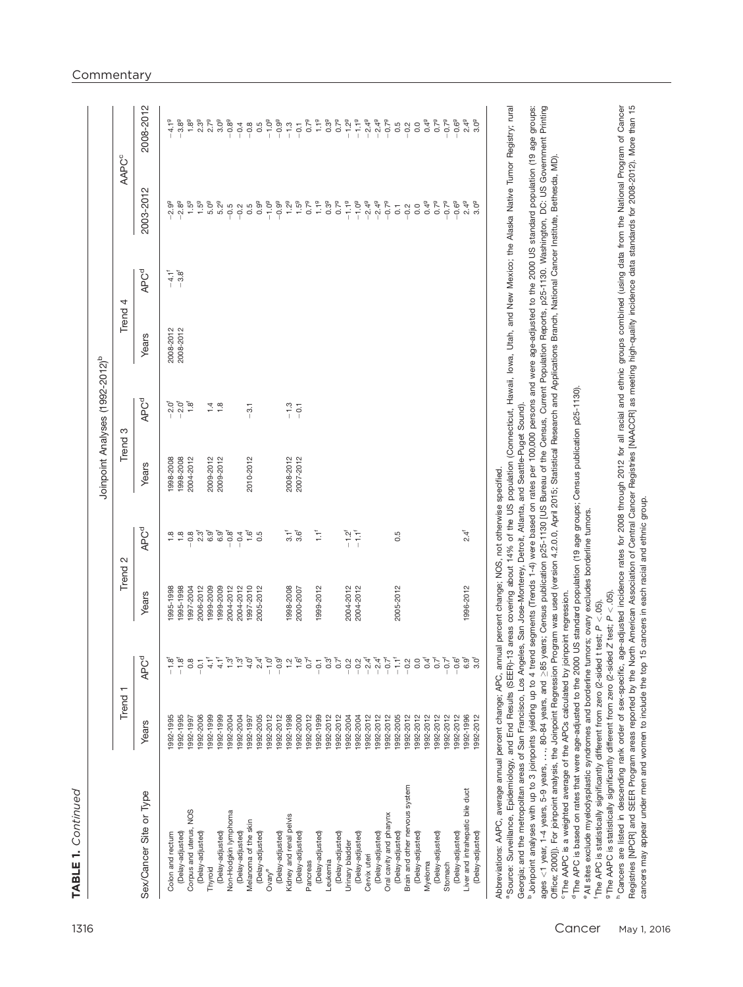| ś      |  |
|--------|--|
|        |  |
|        |  |
| ۱<br>٠ |  |

| $-4.19$<br>$\begin{array}{l} \mathfrak{F}_{0} \ \mathfrak{F}_{0} \ \mathfrak{F}_{1} \ \mathfrak{F}_{2} \ \mathfrak{F}_{3} \ \mathfrak{F}_{3} \ \mathfrak{F}_{4} \ \mathfrak{F}_{5} \ \mathfrak{F}_{6} \ \mathfrak{F}_{7} \ \mathfrak{F}_{8} \ \mathfrak{F}_{9} \ \mathfrak{F}_{1} \ \mathfrak{F}_{1} \ \mathfrak{F}_{2} \ \mathfrak{F}_{3} \ \mathfrak{F}_{3} \ \mathfrak{F}_{4} \ \mathfrak{F}_{5} \ \mathfrak{F}_{7} \ \mathfrak{F}_{8} \ \mathfr$<br>2.49<br>3.0 <sup>9</sup><br><b>AAPC<sup>°</sup></b><br>2003-2012<br>5.0 <sup>9</sup><br>$-2.99$<br>$-2.8^{9}$<br>$\frac{159}{1.59}$<br>5.29<br>0.9 <sup>9</sup><br>$-1.09$<br>$-0.99$<br>0.49<br>0.79<br>$-0.79$<br>$-0.69$<br>$2.4^{9}$<br>3.0 <sup>9</sup><br>$-0.5$<br>$-0.2$<br>$-0.2$<br>$\overline{\text{o}}$<br><b>APC<sup>d</sup></b><br>$-3.8^{f}$<br>$-4.1$ <sup>f</sup><br>Trend 4<br>2008-2012<br>2008-2012<br>Years<br><b>APC<sup>d</sup></b><br>$-2.0^{f}$<br>1.8 <sup>f</sup><br>$-2.0^{\circ}$<br>$\frac{1}{4}$ $\frac{1}{8}$<br>$-1.3$<br>$-31$<br>က<br>Trend<br>998-2008<br>2004-2012<br>2009-2012<br>2010-2012<br>2008-2012<br>2007-2012<br>1998-2008<br>2009-2012<br>Years<br><b>APC<sup>d</sup></b><br>2.4<br>נס מה"ס "ס<br>הן כן או פוס<br>מ<br>$-0.8^{f}$<br>$\frac{6}{10}$ 5.<br>್. ಕ್<br>ನ ನ<br>$\overline{1}$<br>$\begin{array}{c}\n\overline{2} \\ \overline{1} \\ \overline{1}\n\end{array}$<br>$-0.4$<br>0.5<br>1.8<br>Trend <sub>2</sub><br>1996-2012<br>1999-2009<br>2004-2012<br>1998-2008<br>1999-2012<br>2004-2012<br>2004-2012<br>2005-2012<br>2006-2012<br>1999-2009<br>2004-2012<br>0102-2661<br>2005-2012<br>1995-1998<br>997-2004<br>995-1998<br>2000-2007<br>Years<br><b>APC<sup>d</sup></b><br>$4.1$ <sup>f</sup><br>$4.7$ <sup>†</sup><br>تي ت<br>بر<br>$4.0^{\dagger}$<br>$2.4^{\dagger}$<br>$-1.0^{f}$<br>$-0.9^f$<br>$\frac{2}{1}$ $\frac{6}{1}$<br>$0.7$ <sup>f</sup><br>$0.3^f$<br>$0.7$ <sup>f</sup><br>$-0.7$<br>$-1.7$<br>$0.4^{\circ}$<br>$0.7$ <sup>t</sup><br>$-0.7$ <sup>t</sup><br>$-0.6f$<br>$3.0^f$<br>6.9 <sup>f</sup><br>$-1.8$ <sup>f</sup><br>$-1.8$ <sup>t</sup><br>0.8<br>$-0.2$<br>$-0.2$<br>$-0.1$<br>$-61$<br>Trend <sub>1</sub><br>992-2012<br>992-1998<br>992-2000<br>992-2012<br>992-2012<br>992-2005<br>992-2012<br>992-2012<br>992-2012<br>992-2012<br>992-2012<br>992-2012<br>992-1996<br>992-2012<br>992-1995<br>992-2006<br>992-1999<br>992-1999<br>992-2005<br>992-2012<br>992-2012<br>992-1999<br>992-2012<br>992-2012<br>992-2004<br>992-2012<br>992-1995<br>992-1997<br>992-2004<br>992-2004<br>992-2004<br>992-1997<br>Years<br>Brain and other nervous system<br>Liver and intrahepatic bile duct<br>Sex/Cancer Site or Type<br>Corpus and uterus, NOS<br>Non-Hodgkin lymphoma<br>Oral cavity and pharynx<br>Kidney and renal pelvis<br>Melanoma of the skin<br>(Delay-adjusted)<br>(Delay-adjusted)<br>Colon and rectum<br>(Delay-adjusted)<br>(Delay-adjusted)<br>(Delay-adjusted)<br>(Delay-adjusted)<br>(Delay-adjusted)<br>(Delay-adjusted)<br>(Delay-adjusted)<br>(Delay-adjusted)<br>(Delay-adjusted)<br>(Delay-adjusted)<br>(Delay-adjusted)<br>(Delay-adjusted)<br>(Delay-adjusted)<br>(Delay-adjusted)<br>Urinary bladder<br>Cervix uteri<br>Leukemia<br>Pancreas<br>Myeloma<br>Stomach<br>Thyroid<br>Ovary <sup>e</sup> |  |  |  | Joinpoint Analyses (1992-2012) <sup>b</sup> |  |           |
|----------------------------------------------------------------------------------------------------------------------------------------------------------------------------------------------------------------------------------------------------------------------------------------------------------------------------------------------------------------------------------------------------------------------------------------------------------------------------------------------------------------------------------------------------------------------------------------------------------------------------------------------------------------------------------------------------------------------------------------------------------------------------------------------------------------------------------------------------------------------------------------------------------------------------------------------------------------------------------------------------------------------------------------------------------------------------------------------------------------------------------------------------------------------------------------------------------------------------------------------------------------------------------------------------------------------------------------------------------------------------------------------------------------------------------------------------------------------------------------------------------------------------------------------------------------------------------------------------------------------------------------------------------------------------------------------------------------------------------------------------------------------------------------------------------------------------------------------------------------------------------------------------------------------------------------------------------------------------------------------------------------------------------------------------------------------------------------------------------------------------------------------------------------------------------------------------------------------------------------------------------------------------------------------------------------------------------------------------------------------------------------------------------------------------------------------------------------------------------------------------------------------------------------------------------------------------------------------------------------------------------------------------------------------------------------------------------------------------------------------------------------------------------------------------------------------------------------------------------------------------------------------------------------------------------------------------------------------------------------------------------------------------------------------------------------------------------------------------------------------------------------------------------------------------------------------------------------------------------------------------------------------------|--|--|--|---------------------------------------------|--|-----------|
|                                                                                                                                                                                                                                                                                                                                                                                                                                                                                                                                                                                                                                                                                                                                                                                                                                                                                                                                                                                                                                                                                                                                                                                                                                                                                                                                                                                                                                                                                                                                                                                                                                                                                                                                                                                                                                                                                                                                                                                                                                                                                                                                                                                                                                                                                                                                                                                                                                                                                                                                                                                                                                                                                                                                                                                                                                                                                                                                                                                                                                                                                                                                                                                                                                                                            |  |  |  |                                             |  |           |
|                                                                                                                                                                                                                                                                                                                                                                                                                                                                                                                                                                                                                                                                                                                                                                                                                                                                                                                                                                                                                                                                                                                                                                                                                                                                                                                                                                                                                                                                                                                                                                                                                                                                                                                                                                                                                                                                                                                                                                                                                                                                                                                                                                                                                                                                                                                                                                                                                                                                                                                                                                                                                                                                                                                                                                                                                                                                                                                                                                                                                                                                                                                                                                                                                                                                            |  |  |  |                                             |  | 2008-2012 |
|                                                                                                                                                                                                                                                                                                                                                                                                                                                                                                                                                                                                                                                                                                                                                                                                                                                                                                                                                                                                                                                                                                                                                                                                                                                                                                                                                                                                                                                                                                                                                                                                                                                                                                                                                                                                                                                                                                                                                                                                                                                                                                                                                                                                                                                                                                                                                                                                                                                                                                                                                                                                                                                                                                                                                                                                                                                                                                                                                                                                                                                                                                                                                                                                                                                                            |  |  |  |                                             |  |           |
|                                                                                                                                                                                                                                                                                                                                                                                                                                                                                                                                                                                                                                                                                                                                                                                                                                                                                                                                                                                                                                                                                                                                                                                                                                                                                                                                                                                                                                                                                                                                                                                                                                                                                                                                                                                                                                                                                                                                                                                                                                                                                                                                                                                                                                                                                                                                                                                                                                                                                                                                                                                                                                                                                                                                                                                                                                                                                                                                                                                                                                                                                                                                                                                                                                                                            |  |  |  |                                             |  |           |
|                                                                                                                                                                                                                                                                                                                                                                                                                                                                                                                                                                                                                                                                                                                                                                                                                                                                                                                                                                                                                                                                                                                                                                                                                                                                                                                                                                                                                                                                                                                                                                                                                                                                                                                                                                                                                                                                                                                                                                                                                                                                                                                                                                                                                                                                                                                                                                                                                                                                                                                                                                                                                                                                                                                                                                                                                                                                                                                                                                                                                                                                                                                                                                                                                                                                            |  |  |  |                                             |  |           |
|                                                                                                                                                                                                                                                                                                                                                                                                                                                                                                                                                                                                                                                                                                                                                                                                                                                                                                                                                                                                                                                                                                                                                                                                                                                                                                                                                                                                                                                                                                                                                                                                                                                                                                                                                                                                                                                                                                                                                                                                                                                                                                                                                                                                                                                                                                                                                                                                                                                                                                                                                                                                                                                                                                                                                                                                                                                                                                                                                                                                                                                                                                                                                                                                                                                                            |  |  |  |                                             |  |           |
|                                                                                                                                                                                                                                                                                                                                                                                                                                                                                                                                                                                                                                                                                                                                                                                                                                                                                                                                                                                                                                                                                                                                                                                                                                                                                                                                                                                                                                                                                                                                                                                                                                                                                                                                                                                                                                                                                                                                                                                                                                                                                                                                                                                                                                                                                                                                                                                                                                                                                                                                                                                                                                                                                                                                                                                                                                                                                                                                                                                                                                                                                                                                                                                                                                                                            |  |  |  |                                             |  |           |
|                                                                                                                                                                                                                                                                                                                                                                                                                                                                                                                                                                                                                                                                                                                                                                                                                                                                                                                                                                                                                                                                                                                                                                                                                                                                                                                                                                                                                                                                                                                                                                                                                                                                                                                                                                                                                                                                                                                                                                                                                                                                                                                                                                                                                                                                                                                                                                                                                                                                                                                                                                                                                                                                                                                                                                                                                                                                                                                                                                                                                                                                                                                                                                                                                                                                            |  |  |  |                                             |  |           |
|                                                                                                                                                                                                                                                                                                                                                                                                                                                                                                                                                                                                                                                                                                                                                                                                                                                                                                                                                                                                                                                                                                                                                                                                                                                                                                                                                                                                                                                                                                                                                                                                                                                                                                                                                                                                                                                                                                                                                                                                                                                                                                                                                                                                                                                                                                                                                                                                                                                                                                                                                                                                                                                                                                                                                                                                                                                                                                                                                                                                                                                                                                                                                                                                                                                                            |  |  |  |                                             |  |           |
|                                                                                                                                                                                                                                                                                                                                                                                                                                                                                                                                                                                                                                                                                                                                                                                                                                                                                                                                                                                                                                                                                                                                                                                                                                                                                                                                                                                                                                                                                                                                                                                                                                                                                                                                                                                                                                                                                                                                                                                                                                                                                                                                                                                                                                                                                                                                                                                                                                                                                                                                                                                                                                                                                                                                                                                                                                                                                                                                                                                                                                                                                                                                                                                                                                                                            |  |  |  |                                             |  |           |
|                                                                                                                                                                                                                                                                                                                                                                                                                                                                                                                                                                                                                                                                                                                                                                                                                                                                                                                                                                                                                                                                                                                                                                                                                                                                                                                                                                                                                                                                                                                                                                                                                                                                                                                                                                                                                                                                                                                                                                                                                                                                                                                                                                                                                                                                                                                                                                                                                                                                                                                                                                                                                                                                                                                                                                                                                                                                                                                                                                                                                                                                                                                                                                                                                                                                            |  |  |  |                                             |  |           |
|                                                                                                                                                                                                                                                                                                                                                                                                                                                                                                                                                                                                                                                                                                                                                                                                                                                                                                                                                                                                                                                                                                                                                                                                                                                                                                                                                                                                                                                                                                                                                                                                                                                                                                                                                                                                                                                                                                                                                                                                                                                                                                                                                                                                                                                                                                                                                                                                                                                                                                                                                                                                                                                                                                                                                                                                                                                                                                                                                                                                                                                                                                                                                                                                                                                                            |  |  |  |                                             |  |           |
|                                                                                                                                                                                                                                                                                                                                                                                                                                                                                                                                                                                                                                                                                                                                                                                                                                                                                                                                                                                                                                                                                                                                                                                                                                                                                                                                                                                                                                                                                                                                                                                                                                                                                                                                                                                                                                                                                                                                                                                                                                                                                                                                                                                                                                                                                                                                                                                                                                                                                                                                                                                                                                                                                                                                                                                                                                                                                                                                                                                                                                                                                                                                                                                                                                                                            |  |  |  |                                             |  |           |
|                                                                                                                                                                                                                                                                                                                                                                                                                                                                                                                                                                                                                                                                                                                                                                                                                                                                                                                                                                                                                                                                                                                                                                                                                                                                                                                                                                                                                                                                                                                                                                                                                                                                                                                                                                                                                                                                                                                                                                                                                                                                                                                                                                                                                                                                                                                                                                                                                                                                                                                                                                                                                                                                                                                                                                                                                                                                                                                                                                                                                                                                                                                                                                                                                                                                            |  |  |  |                                             |  |           |
|                                                                                                                                                                                                                                                                                                                                                                                                                                                                                                                                                                                                                                                                                                                                                                                                                                                                                                                                                                                                                                                                                                                                                                                                                                                                                                                                                                                                                                                                                                                                                                                                                                                                                                                                                                                                                                                                                                                                                                                                                                                                                                                                                                                                                                                                                                                                                                                                                                                                                                                                                                                                                                                                                                                                                                                                                                                                                                                                                                                                                                                                                                                                                                                                                                                                            |  |  |  |                                             |  |           |
|                                                                                                                                                                                                                                                                                                                                                                                                                                                                                                                                                                                                                                                                                                                                                                                                                                                                                                                                                                                                                                                                                                                                                                                                                                                                                                                                                                                                                                                                                                                                                                                                                                                                                                                                                                                                                                                                                                                                                                                                                                                                                                                                                                                                                                                                                                                                                                                                                                                                                                                                                                                                                                                                                                                                                                                                                                                                                                                                                                                                                                                                                                                                                                                                                                                                            |  |  |  |                                             |  |           |
|                                                                                                                                                                                                                                                                                                                                                                                                                                                                                                                                                                                                                                                                                                                                                                                                                                                                                                                                                                                                                                                                                                                                                                                                                                                                                                                                                                                                                                                                                                                                                                                                                                                                                                                                                                                                                                                                                                                                                                                                                                                                                                                                                                                                                                                                                                                                                                                                                                                                                                                                                                                                                                                                                                                                                                                                                                                                                                                                                                                                                                                                                                                                                                                                                                                                            |  |  |  |                                             |  |           |
|                                                                                                                                                                                                                                                                                                                                                                                                                                                                                                                                                                                                                                                                                                                                                                                                                                                                                                                                                                                                                                                                                                                                                                                                                                                                                                                                                                                                                                                                                                                                                                                                                                                                                                                                                                                                                                                                                                                                                                                                                                                                                                                                                                                                                                                                                                                                                                                                                                                                                                                                                                                                                                                                                                                                                                                                                                                                                                                                                                                                                                                                                                                                                                                                                                                                            |  |  |  |                                             |  |           |
|                                                                                                                                                                                                                                                                                                                                                                                                                                                                                                                                                                                                                                                                                                                                                                                                                                                                                                                                                                                                                                                                                                                                                                                                                                                                                                                                                                                                                                                                                                                                                                                                                                                                                                                                                                                                                                                                                                                                                                                                                                                                                                                                                                                                                                                                                                                                                                                                                                                                                                                                                                                                                                                                                                                                                                                                                                                                                                                                                                                                                                                                                                                                                                                                                                                                            |  |  |  |                                             |  |           |
|                                                                                                                                                                                                                                                                                                                                                                                                                                                                                                                                                                                                                                                                                                                                                                                                                                                                                                                                                                                                                                                                                                                                                                                                                                                                                                                                                                                                                                                                                                                                                                                                                                                                                                                                                                                                                                                                                                                                                                                                                                                                                                                                                                                                                                                                                                                                                                                                                                                                                                                                                                                                                                                                                                                                                                                                                                                                                                                                                                                                                                                                                                                                                                                                                                                                            |  |  |  |                                             |  |           |
|                                                                                                                                                                                                                                                                                                                                                                                                                                                                                                                                                                                                                                                                                                                                                                                                                                                                                                                                                                                                                                                                                                                                                                                                                                                                                                                                                                                                                                                                                                                                                                                                                                                                                                                                                                                                                                                                                                                                                                                                                                                                                                                                                                                                                                                                                                                                                                                                                                                                                                                                                                                                                                                                                                                                                                                                                                                                                                                                                                                                                                                                                                                                                                                                                                                                            |  |  |  |                                             |  |           |
|                                                                                                                                                                                                                                                                                                                                                                                                                                                                                                                                                                                                                                                                                                                                                                                                                                                                                                                                                                                                                                                                                                                                                                                                                                                                                                                                                                                                                                                                                                                                                                                                                                                                                                                                                                                                                                                                                                                                                                                                                                                                                                                                                                                                                                                                                                                                                                                                                                                                                                                                                                                                                                                                                                                                                                                                                                                                                                                                                                                                                                                                                                                                                                                                                                                                            |  |  |  |                                             |  |           |
|                                                                                                                                                                                                                                                                                                                                                                                                                                                                                                                                                                                                                                                                                                                                                                                                                                                                                                                                                                                                                                                                                                                                                                                                                                                                                                                                                                                                                                                                                                                                                                                                                                                                                                                                                                                                                                                                                                                                                                                                                                                                                                                                                                                                                                                                                                                                                                                                                                                                                                                                                                                                                                                                                                                                                                                                                                                                                                                                                                                                                                                                                                                                                                                                                                                                            |  |  |  |                                             |  |           |
|                                                                                                                                                                                                                                                                                                                                                                                                                                                                                                                                                                                                                                                                                                                                                                                                                                                                                                                                                                                                                                                                                                                                                                                                                                                                                                                                                                                                                                                                                                                                                                                                                                                                                                                                                                                                                                                                                                                                                                                                                                                                                                                                                                                                                                                                                                                                                                                                                                                                                                                                                                                                                                                                                                                                                                                                                                                                                                                                                                                                                                                                                                                                                                                                                                                                            |  |  |  |                                             |  |           |
|                                                                                                                                                                                                                                                                                                                                                                                                                                                                                                                                                                                                                                                                                                                                                                                                                                                                                                                                                                                                                                                                                                                                                                                                                                                                                                                                                                                                                                                                                                                                                                                                                                                                                                                                                                                                                                                                                                                                                                                                                                                                                                                                                                                                                                                                                                                                                                                                                                                                                                                                                                                                                                                                                                                                                                                                                                                                                                                                                                                                                                                                                                                                                                                                                                                                            |  |  |  |                                             |  |           |
|                                                                                                                                                                                                                                                                                                                                                                                                                                                                                                                                                                                                                                                                                                                                                                                                                                                                                                                                                                                                                                                                                                                                                                                                                                                                                                                                                                                                                                                                                                                                                                                                                                                                                                                                                                                                                                                                                                                                                                                                                                                                                                                                                                                                                                                                                                                                                                                                                                                                                                                                                                                                                                                                                                                                                                                                                                                                                                                                                                                                                                                                                                                                                                                                                                                                            |  |  |  |                                             |  |           |
|                                                                                                                                                                                                                                                                                                                                                                                                                                                                                                                                                                                                                                                                                                                                                                                                                                                                                                                                                                                                                                                                                                                                                                                                                                                                                                                                                                                                                                                                                                                                                                                                                                                                                                                                                                                                                                                                                                                                                                                                                                                                                                                                                                                                                                                                                                                                                                                                                                                                                                                                                                                                                                                                                                                                                                                                                                                                                                                                                                                                                                                                                                                                                                                                                                                                            |  |  |  |                                             |  |           |
|                                                                                                                                                                                                                                                                                                                                                                                                                                                                                                                                                                                                                                                                                                                                                                                                                                                                                                                                                                                                                                                                                                                                                                                                                                                                                                                                                                                                                                                                                                                                                                                                                                                                                                                                                                                                                                                                                                                                                                                                                                                                                                                                                                                                                                                                                                                                                                                                                                                                                                                                                                                                                                                                                                                                                                                                                                                                                                                                                                                                                                                                                                                                                                                                                                                                            |  |  |  |                                             |  |           |
|                                                                                                                                                                                                                                                                                                                                                                                                                                                                                                                                                                                                                                                                                                                                                                                                                                                                                                                                                                                                                                                                                                                                                                                                                                                                                                                                                                                                                                                                                                                                                                                                                                                                                                                                                                                                                                                                                                                                                                                                                                                                                                                                                                                                                                                                                                                                                                                                                                                                                                                                                                                                                                                                                                                                                                                                                                                                                                                                                                                                                                                                                                                                                                                                                                                                            |  |  |  |                                             |  |           |
|                                                                                                                                                                                                                                                                                                                                                                                                                                                                                                                                                                                                                                                                                                                                                                                                                                                                                                                                                                                                                                                                                                                                                                                                                                                                                                                                                                                                                                                                                                                                                                                                                                                                                                                                                                                                                                                                                                                                                                                                                                                                                                                                                                                                                                                                                                                                                                                                                                                                                                                                                                                                                                                                                                                                                                                                                                                                                                                                                                                                                                                                                                                                                                                                                                                                            |  |  |  |                                             |  |           |
|                                                                                                                                                                                                                                                                                                                                                                                                                                                                                                                                                                                                                                                                                                                                                                                                                                                                                                                                                                                                                                                                                                                                                                                                                                                                                                                                                                                                                                                                                                                                                                                                                                                                                                                                                                                                                                                                                                                                                                                                                                                                                                                                                                                                                                                                                                                                                                                                                                                                                                                                                                                                                                                                                                                                                                                                                                                                                                                                                                                                                                                                                                                                                                                                                                                                            |  |  |  |                                             |  |           |
|                                                                                                                                                                                                                                                                                                                                                                                                                                                                                                                                                                                                                                                                                                                                                                                                                                                                                                                                                                                                                                                                                                                                                                                                                                                                                                                                                                                                                                                                                                                                                                                                                                                                                                                                                                                                                                                                                                                                                                                                                                                                                                                                                                                                                                                                                                                                                                                                                                                                                                                                                                                                                                                                                                                                                                                                                                                                                                                                                                                                                                                                                                                                                                                                                                                                            |  |  |  |                                             |  |           |
|                                                                                                                                                                                                                                                                                                                                                                                                                                                                                                                                                                                                                                                                                                                                                                                                                                                                                                                                                                                                                                                                                                                                                                                                                                                                                                                                                                                                                                                                                                                                                                                                                                                                                                                                                                                                                                                                                                                                                                                                                                                                                                                                                                                                                                                                                                                                                                                                                                                                                                                                                                                                                                                                                                                                                                                                                                                                                                                                                                                                                                                                                                                                                                                                                                                                            |  |  |  |                                             |  |           |
|                                                                                                                                                                                                                                                                                                                                                                                                                                                                                                                                                                                                                                                                                                                                                                                                                                                                                                                                                                                                                                                                                                                                                                                                                                                                                                                                                                                                                                                                                                                                                                                                                                                                                                                                                                                                                                                                                                                                                                                                                                                                                                                                                                                                                                                                                                                                                                                                                                                                                                                                                                                                                                                                                                                                                                                                                                                                                                                                                                                                                                                                                                                                                                                                                                                                            |  |  |  |                                             |  |           |

Abbreviations: AAPC, average annual percent change; APC, annual percent change; NOS, not otherwise specified.

<sup>a</sup>Source: Surveillance, Epidemiology, and End Results (SEER)-13 areas covering about 14% of the US population (Connecticut, Hawaii, Iowa, Utah, and New Mexico; the Alaska Native Turnor Registry; rural Source: Surveillance, Epidemiology, and End Results (SEER)-13 areas covering about 14% of the US population (Connecticut, Hawaii, Iowa, Utah, and New Mexico; the Alaska Native Tumor Registry; rural Georgia; and the metropolitan areas of San Francisco, Los Angeles, San Jose-Monterey, Detroit, Atlanta, and Seattle-Puget Sound). Georgia; and the metropolitan areas of San Francisco, Los Angeles, San Jose-Monterey, Detroit, Atlanta, and Seattle-Puget Sound).

buoinpoint analyses with up to 3 joinpoints yielding up to 4 trend segments (Trends 1-4) were based on rates per 100,000 persons and were age-adjusted to the 2000 US standard population (19 age groups: Joinpoint analyses with up to 3 joinpoints yielding up to 4 trend segments (Trends 1-4) were based on rates per 100,000 persons and were age-adjusted to the 2000 US standard population (19 age groups: ages  $<$ 1 year, 1-4 years, 5-9 years, ..., 80-84 years, and  $\geq$ 85 years; Census publication p25-1130 [US Bureau of the Census, Current Population Reports, p25-1130. Washington, DC: US Government Printing Office; 2000]). For joinpoint analysis, the Joinpoint Regression Program was used (version 4.2.0.0, April 2015; Statistical Research and Applications Branch, National Cancer Institute, Bethesda, MD). ages <1 year, 1-4 years, 5-9 years, ..., 80-84 years, and ≥85 years; Census publication p25-1130 [US Bureau of the Census, Current Population Reports, p25-1130. Washington, DC: US Government Printing<br>Officer, 2000)]. For

The AAPC is a weighted average of the APCs calculated by joinpoint regression.

The APC is based on rates that were age-adjusted to the 2000 US standard population (19 age groups; Census publication p25-1130). The APC is based on rates that were age-adjusted to the 2000 US standard population (19 age groups; Census publication p25-1130).

All sites exclude myelodysplastic syndromes and borderline tumors; ovary excludes borderline tumors. All sites exclude myelodysplastic syndromes and borderline tumors; ovary excludes borderline tumors.

fThe APC is statistically significantly different from zero (2-sided t test;  $P < 05$ ).

The AAPC is statistically significantly different from zero (2-sided Z test;  $P < .05$ ). **The AAPC is statistically significantly different from zero (2-sided Z test; P**  $<$  .05).

Registries [NPCR] and SEER Program areas reported by the North American Association of Central Cancer Registries [NAACCR] as meeting high-quality incidence data standards for 2008-2012). More than 15 Cancers are listed in descending rank order of sex-specific, age-adjusted incidence rates for 2008 through 2012 for all racial and ethnic groups combined (using data from the National Program of Cancer Cancers are listed in descending rank order of sex-specific, age-adjusted incidence rates for 2008 through 2012 for all racial and ethnic groups combined (using data from the National Program of Cancer Registries [NPCR] and SEER Program areas reported by the North American Association of Central Cancer Registries [NAACCR] as meeting high-quality incidence data standards for 2008-2012). More than 15 cancers may appear under men and women to include the top 15 cancers in each racial and ethnic group. cancers may appear under men and women to include the top 15 cancers in each racial and ethnic group.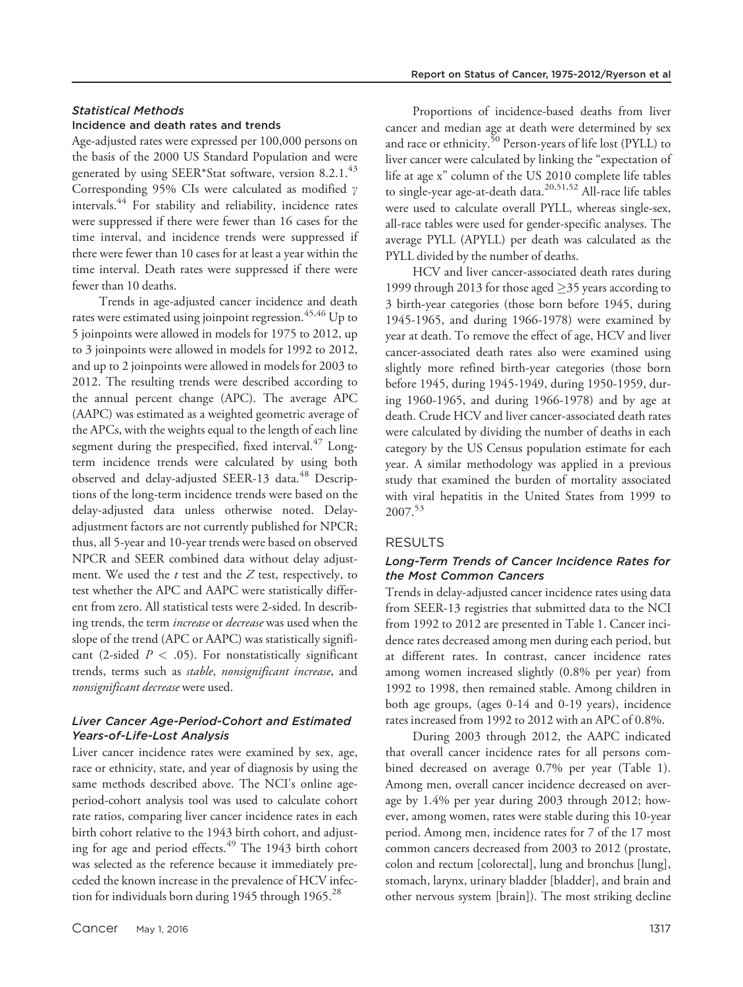## Statistical Methods

#### Incidence and death rates and trends

Age-adjusted rates were expressed per 100,000 persons on the basis of the 2000 US Standard Population and were generated by using SEER\*Stat software, version  $8.2.1^{43}$ Corresponding 95% CIs were calculated as modified  $\gamma$ intervals.<sup>44</sup> For stability and reliability, incidence rates were suppressed if there were fewer than 16 cases for the time interval, and incidence trends were suppressed if there were fewer than 10 cases for at least a year within the time interval. Death rates were suppressed if there were fewer than 10 deaths.

Trends in age-adjusted cancer incidence and death rates were estimated using joinpoint regression.<sup>45,46</sup> Up to 5 joinpoints were allowed in models for 1975 to 2012, up to 3 joinpoints were allowed in models for 1992 to 2012, and up to 2 joinpoints were allowed in models for 2003 to 2012. The resulting trends were described according to the annual percent change (APC). The average APC (AAPC) was estimated as a weighted geometric average of the APCs, with the weights equal to the length of each line segment during the prespecified, fixed interval. $^{47}$  Longterm incidence trends were calculated by using both observed and delay-adjusted SEER-13 data.48 Descriptions of the long-term incidence trends were based on the delay-adjusted data unless otherwise noted. Delayadjustment factors are not currently published for NPCR; thus, all 5-year and 10-year trends were based on observed NPCR and SEER combined data without delay adjustment. We used the  $t$  test and the  $Z$  test, respectively, to test whether the APC and AAPC were statistically different from zero. All statistical tests were 2-sided. In describing trends, the term *increase* or *decrease* was used when the slope of the trend (APC or AAPC) was statistically significant (2-sided  $P < .05$ ). For nonstatistically significant trends, terms such as stable, nonsignificant increase, and nonsignificant decrease were used.

#### Liver Cancer Age-Period-Cohort and Estimated Years-of-Life-Lost Analysis

Liver cancer incidence rates were examined by sex, age, race or ethnicity, state, and year of diagnosis by using the same methods described above. The NCI's online ageperiod-cohort analysis tool was used to calculate cohort rate ratios, comparing liver cancer incidence rates in each birth cohort relative to the 1943 birth cohort, and adjusting for age and period effects.<sup>49</sup> The 1943 birth cohort was selected as the reference because it immediately preceded the known increase in the prevalence of HCV infection for individuals born during 1945 through  $1965.^{28}$ 

Proportions of incidence-based deaths from liver cancer and median age at death were determined by sex and race or ethnicity.<sup>50</sup> Person-years of life lost (PYLL) to liver cancer were calculated by linking the "expectation of life at age x" column of the US 2010 complete life tables to single-year age-at-death data.<sup>20,51,52</sup> All-race life tables were used to calculate overall PYLL, whereas single-sex, all-race tables were used for gender-specific analyses. The average PYLL (APYLL) per death was calculated as the PYLL divided by the number of deaths.

HCV and liver cancer-associated death rates during 1999 through 2013 for those aged  $\geq$ 35 years according to 3 birth-year categories (those born before 1945, during 1945-1965, and during 1966-1978) were examined by year at death. To remove the effect of age, HCV and liver cancer-associated death rates also were examined using slightly more refined birth-year categories (those born before 1945, during 1945-1949, during 1950-1959, during 1960-1965, and during 1966-1978) and by age at death. Crude HCV and liver cancer-associated death rates were calculated by dividing the number of deaths in each category by the US Census population estimate for each year. A similar methodology was applied in a previous study that examined the burden of mortality associated with viral hepatitis in the United States from 1999 to 2007.53

### RESULTS

### Long-Term Trends of Cancer Incidence Rates for the Most Common Cancers

Trends in delay-adjusted cancer incidence rates using data from SEER-13 registries that submitted data to the NCI from 1992 to 2012 are presented in Table 1. Cancer incidence rates decreased among men during each period, but at different rates. In contrast, cancer incidence rates among women increased slightly (0.8% per year) from 1992 to 1998, then remained stable. Among children in both age groups, (ages 0-14 and 0-19 years), incidence rates increased from 1992 to 2012 with an APC of 0.8%.

During 2003 through 2012, the AAPC indicated that overall cancer incidence rates for all persons combined decreased on average 0.7% per year (Table 1). Among men, overall cancer incidence decreased on average by 1.4% per year during 2003 through 2012; however, among women, rates were stable during this 10-year period. Among men, incidence rates for 7 of the 17 most common cancers decreased from 2003 to 2012 (prostate, colon and rectum [colorectal], lung and bronchus [lung], stomach, larynx, urinary bladder [bladder], and brain and other nervous system [brain]). The most striking decline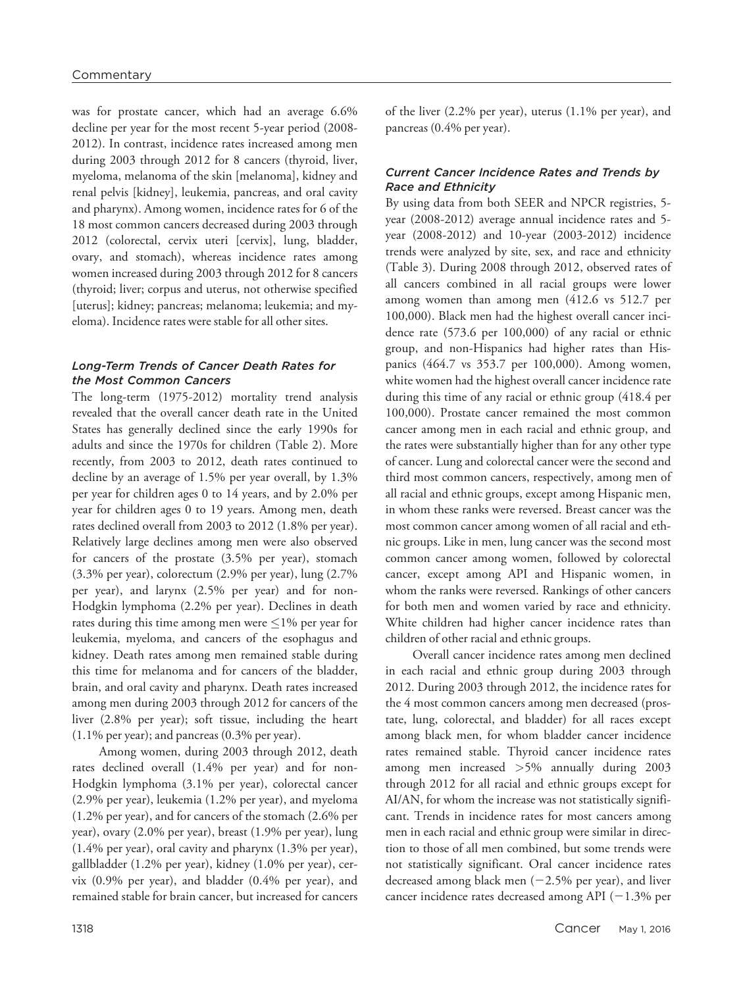was for prostate cancer, which had an average 6.6% decline per year for the most recent 5-year period (2008- 2012). In contrast, incidence rates increased among men during 2003 through 2012 for 8 cancers (thyroid, liver, myeloma, melanoma of the skin [melanoma], kidney and renal pelvis [kidney], leukemia, pancreas, and oral cavity and pharynx). Among women, incidence rates for 6 of the 18 most common cancers decreased during 2003 through 2012 (colorectal, cervix uteri [cervix], lung, bladder, ovary, and stomach), whereas incidence rates among women increased during 2003 through 2012 for 8 cancers (thyroid; liver; corpus and uterus, not otherwise specified [uterus]; kidney; pancreas; melanoma; leukemia; and myeloma). Incidence rates were stable for all other sites.

## Long-Term Trends of Cancer Death Rates for the Most Common Cancers

The long-term (1975-2012) mortality trend analysis revealed that the overall cancer death rate in the United States has generally declined since the early 1990s for adults and since the 1970s for children (Table 2). More recently, from 2003 to 2012, death rates continued to decline by an average of 1.5% per year overall, by 1.3% per year for children ages 0 to 14 years, and by 2.0% per year for children ages 0 to 19 years. Among men, death rates declined overall from 2003 to 2012 (1.8% per year). Relatively large declines among men were also observed for cancers of the prostate (3.5% per year), stomach (3.3% per year), colorectum (2.9% per year), lung (2.7% per year), and larynx (2.5% per year) and for non-Hodgkin lymphoma (2.2% per year). Declines in death rates during this time among men were  $\leq$ 1% per year for leukemia, myeloma, and cancers of the esophagus and kidney. Death rates among men remained stable during this time for melanoma and for cancers of the bladder, brain, and oral cavity and pharynx. Death rates increased among men during 2003 through 2012 for cancers of the liver (2.8% per year); soft tissue, including the heart (1.1% per year); and pancreas (0.3% per year).

Among women, during 2003 through 2012, death rates declined overall (1.4% per year) and for non-Hodgkin lymphoma (3.1% per year), colorectal cancer (2.9% per year), leukemia (1.2% per year), and myeloma (1.2% per year), and for cancers of the stomach (2.6% per year), ovary (2.0% per year), breast (1.9% per year), lung (1.4% per year), oral cavity and pharynx (1.3% per year), gallbladder (1.2% per year), kidney (1.0% per year), cervix (0.9% per year), and bladder (0.4% per year), and remained stable for brain cancer, but increased for cancers of the liver (2.2% per year), uterus (1.1% per year), and pancreas (0.4% per year).

## Current Cancer Incidence Rates and Trends by Race and Ethnicity

By using data from both SEER and NPCR registries, 5 year (2008-2012) average annual incidence rates and 5 year (2008-2012) and 10-year (2003-2012) incidence trends were analyzed by site, sex, and race and ethnicity (Table 3). During 2008 through 2012, observed rates of all cancers combined in all racial groups were lower among women than among men (412.6 vs 512.7 per 100,000). Black men had the highest overall cancer incidence rate (573.6 per 100,000) of any racial or ethnic group, and non-Hispanics had higher rates than Hispanics (464.7 vs 353.7 per 100,000). Among women, white women had the highest overall cancer incidence rate during this time of any racial or ethnic group (418.4 per 100,000). Prostate cancer remained the most common cancer among men in each racial and ethnic group, and the rates were substantially higher than for any other type of cancer. Lung and colorectal cancer were the second and third most common cancers, respectively, among men of all racial and ethnic groups, except among Hispanic men, in whom these ranks were reversed. Breast cancer was the most common cancer among women of all racial and ethnic groups. Like in men, lung cancer was the second most common cancer among women, followed by colorectal cancer, except among API and Hispanic women, in whom the ranks were reversed. Rankings of other cancers for both men and women varied by race and ethnicity. White children had higher cancer incidence rates than children of other racial and ethnic groups.

Overall cancer incidence rates among men declined in each racial and ethnic group during 2003 through 2012. During 2003 through 2012, the incidence rates for the 4 most common cancers among men decreased (prostate, lung, colorectal, and bladder) for all races except among black men, for whom bladder cancer incidence rates remained stable. Thyroid cancer incidence rates among men increased >5% annually during 2003 through 2012 for all racial and ethnic groups except for AI/AN, for whom the increase was not statistically significant. Trends in incidence rates for most cancers among men in each racial and ethnic group were similar in direction to those of all men combined, but some trends were not statistically significant. Oral cancer incidence rates decreased among black men  $(-2.5\%$  per year), and liver cancer incidence rates decreased among API  $(-1.3\%$  per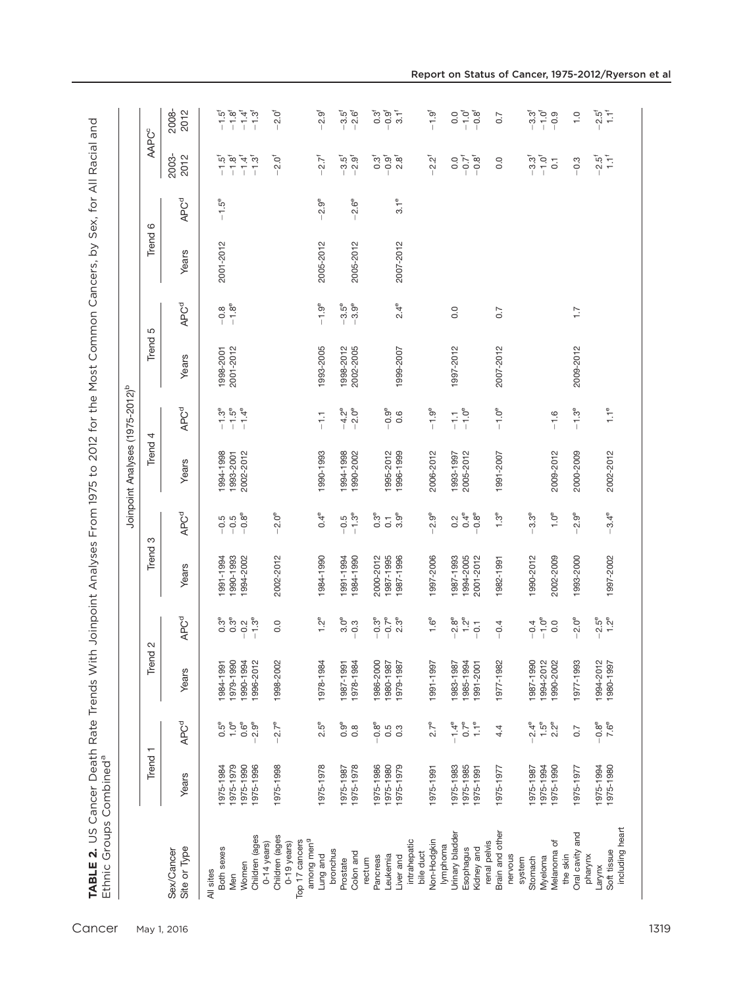| Ethnic Groups Combined <sup>a</sup> |                        |                                |                        |                                   |                        |                          |                                             |                                  |                        |                                  |           |                  |                                |                                 |
|-------------------------------------|------------------------|--------------------------------|------------------------|-----------------------------------|------------------------|--------------------------|---------------------------------------------|----------------------------------|------------------------|----------------------------------|-----------|------------------|--------------------------------|---------------------------------|
|                                     |                        |                                |                        |                                   |                        |                          | Joinpoint Analyses (1975-2012) <sup>b</sup> |                                  |                        |                                  |           |                  |                                |                                 |
|                                     | Trend                  | ↽                              | Trend                  | $\sim$                            | Trend                  | S                        | Trend                                       | 4                                | Trend                  | 5                                | Trend     | G                |                                | AAPC <sup>C</sup>               |
| Site or Type<br>Sex/Cancer          | Years                  | <b>APC<sup>d</sup></b>         | Years                  | <b>APC<sup>d</sup></b>            | Years                  | <b>APC<sup>d</sup></b>   | Years                                       | APC <sup>d</sup>                 | Years                  | <b>APC<sup>d</sup></b>           | Years     | APC <sup>d</sup> | 2012<br>2003-                  | 2008-<br>2012                   |
| All sites                           |                        |                                |                        |                                   |                        |                          |                                             |                                  |                        |                                  |           |                  |                                |                                 |
| Both sexes                          | 1975-1979<br>1975-1984 | $1.0^{\circ}$<br>$0.5^{\circ}$ | 1979-1990<br>984-1991  | 0.3°<br>0.3°                      | 1990-1993<br>1991-1994 | $-0.5$<br>$-0.5$         | 1994-1998<br>1993-2001                      | $-1.5^{\circ}$<br>$-1.3^{\circ}$ | 1998-2001<br>2001-2012 | $-0.8^{\circ}$<br>-1.8°          | 2001-2012 | $-1.5^{\circ}$   | $-1.8^{f}$<br>$-1.5$           | $-1.5^{f}$<br>$-1.8^{f}$        |
| Women<br>Men                        | 1975-1990              | $0.6^{\circ}$                  | 1990-1994              |                                   | 1994-2002              | $-0.8^{\circ}$           | 2002-2012                                   | $-1.4^{\circ}$                   |                        |                                  |           |                  | $-1.4$ <sup>†</sup>            | $-1.4$ <sup>t</sup>             |
| Children (ages<br>$0-14$ years)     | 1975-1996              | $2.9^{\circ}$                  | 1996-2012              | $-0.2^{\circ}$<br>-1.3°           |                        |                          |                                             |                                  |                        |                                  |           |                  | $-1.3^{f}$                     | $-1.3^{f}$                      |
| Children (ages                      | 1975-1998              | $-2.7^{\circ}$                 | 1998-2002              | 0.0                               | 2002-2012              | $-2.0^{\circ}$           |                                             |                                  |                        |                                  |           |                  | $-2.0^{\dagger}$               | $2.0^{\circ}$<br>$\overline{1}$ |
| Top 17 cancers<br>$0-19$ years)     |                        |                                |                        |                                   |                        |                          |                                             |                                  |                        |                                  |           |                  |                                |                                 |
| among men <sup>9</sup>              |                        |                                |                        |                                   |                        |                          |                                             |                                  |                        |                                  |           |                  |                                |                                 |
| Lung and                            | 1975-1978              | $2.5^{\circ}$                  | 1978-1984              | $1.2^e$                           | 1984-1990              | $0.4^e$                  | 1990-1993                                   | 두                                | 1993-2005              | $-1.9^e$                         | 2005-2012 | စိွ<br>2.        | $2.7^{\circ}$                  | $2.9^f$                         |
| bronchus                            |                        |                                |                        |                                   |                        |                          |                                             |                                  |                        |                                  |           |                  |                                |                                 |
| Colon and<br>Prostate               | 1975-1978<br>1975-1987 | စီ<br>ဝ ဗိ                     | 1978-1984<br>1987-1991 | $3.0^{\circ}$<br>$0.\overline{3}$ | 1991-1994<br>1984-1990 | $-0.5$<br>$-1.3^{\circ}$ | 1994-1998<br>1990-2002                      | $-4.2^{\circ}$<br>$-2.0^{\circ}$ | 1998-2012<br>2002-2005 | $-3.5^{\circ}$<br>$-3.9^{\circ}$ | 2005-2012 | $2.6^{\circ}$    | $-3.5^{f}$<br>$-2.9^{f}$       | - 3.5°<br>- 2.6°                |
| rectum                              |                        |                                |                        |                                   |                        |                          |                                             |                                  |                        |                                  |           |                  |                                |                                 |
| Pancreas                            | 1975-1986              |                                | 1986-2000              |                                   | 2000-2012              | $0.3^e$                  |                                             |                                  |                        |                                  |           |                  |                                |                                 |
| Leukemia                            | 1975-1980              |                                | 1980-1987              | $-0.3^{\circ}$<br>-0.7°           | 1987-1995              | $\overline{C}$           | 1995-2012                                   | $-0.9^{\circ}$                   |                        |                                  |           |                  | ي و يو يو<br>د د د د           | $0.3^{f}$<br>$-0.9^{f}$         |
| Liver and                           | 1975-1979              |                                | 1979-1987              | $2.3^{\circ}$                     | 1987-1996              | $3.9^e$                  | 1996-1999                                   | 0.6                              | 1999-2007              | $2.4^{\circ}$                    | 2007-2012 | $3.1^{\circ}$    |                                | $3.1$ <sup>t</sup>              |
| intrahepatic                        |                        |                                |                        |                                   |                        |                          |                                             |                                  |                        |                                  |           |                  |                                |                                 |
| bile duct                           |                        |                                |                        |                                   |                        |                          |                                             |                                  |                        |                                  |           |                  |                                |                                 |
| Non-Hodgkin                         | 1975-1991              | $2.7^e$                        | 1991-1997              | $1.6^{\circ}$                     | 1997-2006              | $2.9^e$                  | 2006-2012                                   | $-1.9^e$                         |                        |                                  |           |                  | $2.2^{f}$<br>$\overline{1}$    | $-1.9^{f}$                      |
| Urinary bladder<br>lymphoma         | 1975-1983              |                                | 1983-1987              | $2.8^e$                           | 1987-1993              | 0.2                      | 1993-1997                                   | $\overline{11}$                  | 1997-2012              | 0.0                              |           |                  | 0.0                            | 0.0                             |
| Esophagus                           | 1975-1985              | $-1.4^{\circ}$<br>0.7°         | 1985-1994              | $1.2^e$                           | 1994-2005              | $0.4^e$                  | 2005-2012                                   | $-1.0^{\circ}$                   |                        |                                  |           |                  | $-0.7$ <sup>f</sup>            | $-1.0^{f}$                      |
| Kidney and                          | 1975-1991              | $\overline{1}$ .               | 1991-2001              | $-0.1$                            | 2001-2012              | $0.8^e$                  |                                             |                                  |                        |                                  |           |                  | $-0.8^{f}$                     | $-0.8^{f}$                      |
| renal pelvis                        |                        |                                |                        |                                   |                        |                          |                                             |                                  |                        |                                  |           |                  |                                |                                 |
| Brain and other                     | 1975-1977              | 4.4                            | 1977-1982              | $-0.4$                            | 1982-1991              | $1.3^e$                  | 1991-2007                                   | $-1.0^{\circ}$                   | 2007-2012              | 0.7                              |           |                  | 0.0                            | 0.7                             |
| nervous                             |                        |                                |                        |                                   |                        |                          |                                             |                                  |                        |                                  |           |                  |                                |                                 |
| system                              |                        |                                |                        |                                   |                        |                          |                                             |                                  |                        |                                  |           |                  |                                |                                 |
| Myeloma<br>Stomach                  | 1975-1987<br>1975-1994 | $-2.4^{\circ}$                 | 1994-2012<br>1987-1990 | $-1.0^e$<br>$-0.4$                | 1990-2012              | $-3.3^{\circ}$           |                                             |                                  |                        |                                  |           |                  | $-1.0^{\dagger}$<br>$-3.3^{f}$ |                                 |
| Melanoma of                         | 1975-1990              | $1.5^{\circ}$<br>2.2°          | 1990-2002              | 0.0                               | 2002-2009              | $1.0^{\circ}$            | 2009-2012                                   | $-1.6$                           |                        |                                  |           |                  | $\overline{c}$                 |                                 |
| the skin                            |                        |                                |                        |                                   |                        |                          |                                             |                                  |                        |                                  |           |                  |                                |                                 |
| Oral cavity and                     | 1975-1977              | 0.7                            | 1977-1993              | $2.0^{\circ}$                     | 1993-2000              | $.2.9^{\circ}$           | 2000-2009                                   | $-1.3^{\circ}$                   | 2009-2012              | $\overline{1}$ :                 |           |                  | $-0.3$                         | $\frac{0}{1}$                   |
| pharynx                             |                        |                                | 1994-2012              |                                   |                        |                          |                                             |                                  |                        |                                  |           |                  |                                |                                 |
| Soft tissue<br>Larynx               | 1975-1980<br>1975-1994 | $-0.8^{\circ}$<br>7.6°         | 1980-1997              | $-2.5^{\circ}$<br>1.2°            | 1997-2002              | $-3.4^{\circ}$           | 2002-2012                                   | $\int_{0}^{\infty}$              |                        |                                  |           |                  | $-2.5f$<br>1.1 <sup>+</sup>    | $-2.54$<br>$1.14$               |
| including heart                     |                        |                                |                        |                                   |                        |                          |                                             |                                  |                        |                                  |           |                  |                                |                                 |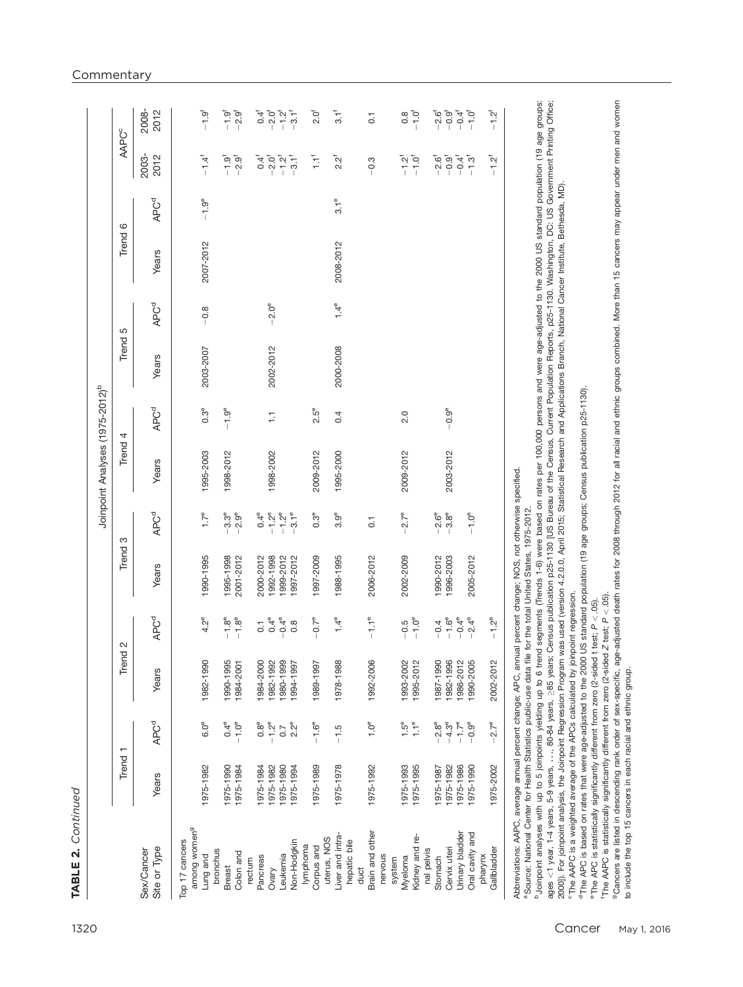| Continued |  |
|-----------|--|
| TABL.     |  |

|                                                                                                              |                        |                         |                        |                                  |                        |                                  | Joinpoint Analyses (1975-2012) <sup>b</sup> |                        |           |                        |           |                        |                                   |                          |
|--------------------------------------------------------------------------------------------------------------|------------------------|-------------------------|------------------------|----------------------------------|------------------------|----------------------------------|---------------------------------------------|------------------------|-----------|------------------------|-----------|------------------------|-----------------------------------|--------------------------|
|                                                                                                              | Trend <sub>1</sub>     |                         | Trend                  | $\sim$                           | Trend                  | ო                                | Trend 4                                     |                        | Trend 5   |                        | Trend 6   |                        |                                   | AAPC <sup>C</sup>        |
| Site or Type<br>Sex/Cancer                                                                                   | Years                  | <b>APC<sup>d</sup></b>  | Years                  | <b>APC<sup>d</sup></b>           | Years                  | <b>APC<sup>d</sup></b>           | Years                                       | <b>APC<sup>d</sup></b> | Years     | <b>APC<sup>d</sup></b> | Years     | <b>APC<sup>d</sup></b> | 2003-<br>2012                     | 2008-<br>2012            |
| among women <sup>9</sup><br>Top 17 cancers                                                                   |                        |                         |                        |                                  |                        |                                  |                                             |                        |           |                        |           |                        |                                   |                          |
| Lung and                                                                                                     | 1975-1982              | $6.0^{\circ}$           | 1982-1990              | $4.2^e$                          | 1990-1995              | $1.7^e$                          | 1995-2003                                   | $0.3^e$                | 2003-2007 | $-0.8$                 | 2007-2012 | $-1.9^e$               | $-1.4$ <sup>†</sup>               | $-1.9^{f}$               |
| bronchus                                                                                                     |                        |                         |                        |                                  |                        |                                  |                                             |                        |           |                        |           |                        |                                   |                          |
| Colon and<br><b>Breast</b>                                                                                   | 1975-1990<br>1975-1984 | $0.4^{\circ}$<br>- 1.0° | 1990-1995<br>1984-2001 | $-1.8^{\circ}$<br>-1.8           | 1995-1998<br>2001-2012 | $-3.3^{\circ}$<br>$-2.9^{\circ}$ | 1998-2012                                   | $-1.9^{\circ}$         |           |                        |           |                        | $-2.9^{f}$<br>$-1.9$ <sup>t</sup> | $-2.9^{f}$<br>$-1.9^{f}$ |
| rectum                                                                                                       |                        |                         |                        |                                  |                        |                                  |                                             |                        |           |                        |           |                        |                                   |                          |
| Pancreas                                                                                                     | 1975-1984              | $0.8^{\circ}$           | 1984-2000              | $\overline{0}$                   | 2000-2012              | $0.4^{\circ}$                    |                                             |                        |           |                        |           |                        | $0.4^{\dagger}$                   | $0.4^{\dagger}$          |
| <b>Ovary</b>                                                                                                 | 1975-1982              | $-1.2^e$                | 1982-1992              | $0.4^{\circ}$                    | 1992-1998              | $-1.2^e$<br>-1.2 <sup>e</sup>    | 1998-2002                                   | H                      | 2002-2012 | $-2.0^{\circ}$         |           |                        | $-2.0^{f}$                        | $-2.0^f$                 |
| Leukemia                                                                                                     | 1975-1980              | 0.7                     | 1980-1999              | $-0.4^{\circ}$                   | 999-2012               |                                  |                                             |                        |           |                        |           |                        | $-1.2^{f}$<br>$-3.1^{f}$          | $-1.2^{f}$               |
| Non-Hodgkin                                                                                                  | 1975-1994              | $2.2^e$                 | 1994-1997              | $0.\overline{8}$                 | 997-2012               | $-3.1^e$                         |                                             |                        |           |                        |           |                        |                                   | $-3.1$ <sup>t</sup>      |
| lymphoma                                                                                                     |                        |                         |                        |                                  |                        |                                  |                                             |                        |           |                        |           |                        |                                   |                          |
| Corpus and                                                                                                   | 1975-1989              | $-1.6^{\circ}$          | 1989-1997              | $-0.7^{\circ}$                   | 1997-2009              | $0.3^{\circ}$                    | 2009-2012                                   | $2.5^{\circ}$          |           |                        |           |                        | $\frac{1}{1}$                     | $2.0^{\circ}$            |
| uterus, NOS                                                                                                  |                        |                         |                        |                                  |                        |                                  |                                             |                        |           |                        |           |                        |                                   |                          |
| Liver and intra-                                                                                             | 1975-1978              | $-1.5$                  | 1978-1988              | $1.4^e$                          | 1988-1995              | $3.9^e$                          | 1995-2000                                   | 0.4                    | 2000-2008 | $1.4^e$                | 2008-2012 | $3.1^e$                | $2.2^{\dagger}$                   | $\frac{1}{3}$            |
| hepatic bile                                                                                                 |                        |                         |                        |                                  |                        |                                  |                                             |                        |           |                        |           |                        |                                   |                          |
| duct                                                                                                         |                        |                         |                        |                                  |                        |                                  |                                             |                        |           |                        |           |                        |                                   |                          |
| Brain and other                                                                                              | 1975-1992              | $1.0^{\circ}$           | 1992-2006              | $-1.1$ e                         | 2006-2012              | $\overline{C}$                   |                                             |                        |           |                        |           |                        | $-0.3$                            | $\overline{0}$           |
| nervous                                                                                                      |                        |                         |                        |                                  |                        |                                  |                                             |                        |           |                        |           |                        |                                   |                          |
| system                                                                                                       |                        |                         |                        |                                  |                        |                                  |                                             |                        |           |                        |           |                        |                                   |                          |
| Myeloma                                                                                                      | 1975-1993              | $1.5^e$                 | 1993-2002              | $-0.5$<br>-1.0 <sup>e</sup>      | 2002-2009              | $-2.7^{\circ}$                   | 2009-2012                                   | 2.0                    |           |                        |           |                        | $-1.2^{f}$<br>$-1.0^{f}$          | $0.\overline{8}$         |
| Kidney and re-                                                                                               | 1975-1995              | $\sum_{i=1}^{\infty}$   | 1995-2012              |                                  |                        |                                  |                                             |                        |           |                        |           |                        |                                   | $-1.0^{f}$               |
| nal pelvis                                                                                                   |                        |                         |                        |                                  |                        |                                  |                                             |                        |           |                        |           |                        |                                   |                          |
| Stomach                                                                                                      | 1975-1987              | $-2.8^{\circ}$          | 1987-1990              | $-0.4$                           | 990-2012               | $-2.8^{\circ}$<br>$-3.3^{\circ}$ |                                             |                        |           |                        |           |                        | $-2.6^{f}$                        | $-2.6^{f}$               |
| Cervix uteri                                                                                                 | 1975-1982              | $-4.3^{\circ}$          | 1982-1996              | $-1.6^{\circ}$                   | 1996-2003              |                                  | 2003-2012                                   | $-0.9^{\circ}$         |           |                        |           |                        | $-0.9^{f}$<br>$-0.4^{f}$          | $-0.9^{\dagger}$         |
| Urinary bladder                                                                                              | 1975-1986              | $-1.7^{\circ}$          | 1986-2012              | $-9.4^{\circ}$<br>$-2.4^{\circ}$ |                        |                                  |                                             |                        |           |                        |           |                        |                                   | $-0.4$ <sup>f</sup>      |
| Oral cavity and                                                                                              | 1975-1990              | $-0.9^{\circ}$          | 1990-2005              |                                  | 2005-2012              | $-1.0^{\circ}$                   |                                             |                        |           |                        |           |                        | $-1.3$ <sup>f</sup>               | $-1.0^{f}$               |
| pharynx                                                                                                      |                        |                         |                        |                                  |                        |                                  |                                             |                        |           |                        |           |                        |                                   |                          |
| Gallbladder                                                                                                  | 1975-2002              | $-2.7^{\circ}$          | 2002-2012              | $-1.2^e$                         |                        |                                  |                                             |                        |           |                        |           |                        | $-1.2^{f}$                        | $-1.2^{f}$               |
| Abbreviations: AAPC, average annual percent change; APC, annual percent change; NOS, not otherwise specified |                        |                         |                        |                                  |                        |                                  |                                             |                        |           |                        |           |                        |                                   |                          |

<sup>a</sup> Source: National Center for Health Statistics public-use data file for the total United States, 1975-2012. Source: National Center for Health Statistics public-use data file for the total United States, 1975-2012.

<sup>b</sup>Joinpoint analyses with up to 5 joinpoints yielding up to 6 trend segments (Trends 1-6) were based on rates per 100,000 persons and were age-adjusted to the 2000 US standard population (19 age groups:<br>ages <1 year, 1- Joinpoint analyses with up to 5 joinpoints yielding up to 6 trend segments (Trends 1-6) were based on rates per 100,000 persons and were age-adjusted to the 2000 US standard population (19 age groups: 85 years; Census publication p25-1130 [US Bureau of the Census, Current Population Reports, p25-1130. Washington, DC: US Government Printing Office; 2000)). For joinpoint analysis, the Joinpoint Regression Program was used (version 4.2.0.0, April 2015; Statistical Research and Applications Branch, National Cancer Institute, Bethesda, MD). 2000). For joinpoint analysis, the Joinpoint Regression Program was used (version 4.2.0.0, April 2015; Statistical Research and Applications Branch, National Cancer Institute, Bethesda, MD).<br>Chancer Institutional Cancer In ages  $<$ 1 year, 1-4 years, 5-9 years, ..., 80-84 years,  $\geq$ 

 The AAPC is a weighted average of the APCs calculated by joinpoint regression. ° The AAPC is a weighted average of the APCs calculated by joinpoint regression.<br><sup>d</sup> The APC is based on rates that were age-adjusted to the 2000 US standard population (19 age groups; Census publication p25-1130). The APC is based on rates that were age-adjusted to the 2000 US standard population (19 age groups; Census publication p25-1130).

° The APC is statistically significantly different from zero (2-sided t test;  $P < 05$ ).<br><sup>1</sup>The AAPC is statistically significantly different from zero (2-sided Z test;  $P < 05$ ).  $^{\circ}$ The APC is statistically significantly different from zero (2-sided t test; P  $<$  .05). The AAPC is statistically significantly different from zero (2-sided 2 test; P  $<$  .05  $Z$  test;  $P < 0.05$ ).

<sup>0</sup>Cancers are listed in descending rank order of sex-specific, age-adjusted death rates for 2008 through 2012 for all racial and ethnic groups combined. More than 15 cancers may appear under men and women <sup>9</sup>Cancers are listed in descending rank order of sex-specific, age-adjusted death rates for 2008 through 2012 for all racial and ethnic groups combined. More than 15 cancers may appear under men and women to include the top 15 cancers in each racial and ethnic group. to include the top 15 cancers in each racial and ethnic group.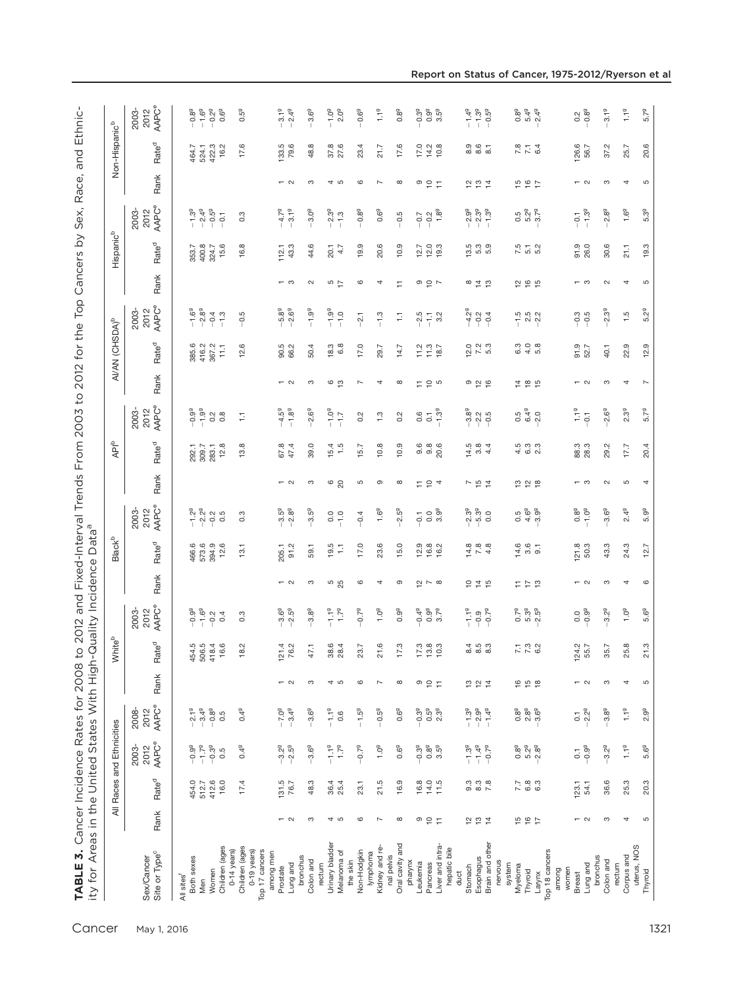|                                         |                                                                                                                   | All Races                                                  | and Ethnicities                    |                                    |                                                                                                               | Whiteb                         |                                                                |                                | <b>Black</b> <sup>b</sup>        |                                    |                                   | APIP                    |                                    |                             | AI/AN (CHSDA) <sup>b</sup>       |                                    |                          | Hispanic <sup>b</sup>   |                                    |                      | Non-Hispanic <sup>b</sup> |                                    |
|-----------------------------------------|-------------------------------------------------------------------------------------------------------------------|------------------------------------------------------------|------------------------------------|------------------------------------|---------------------------------------------------------------------------------------------------------------|--------------------------------|----------------------------------------------------------------|--------------------------------|----------------------------------|------------------------------------|-----------------------------------|-------------------------|------------------------------------|-----------------------------|----------------------------------|------------------------------------|--------------------------|-------------------------|------------------------------------|----------------------|---------------------------|------------------------------------|
| Site or Type <sup>c</sup><br>Sex/Cancer | Rank                                                                                                              | Rate <sup>d</sup>                                          | 2012<br>AAPC <sup>e</sup><br>2003- | AAPC <sup>e</sup><br>2012<br>2008- | Rank                                                                                                          | ە<br>بە<br>Rat                 | 2003-<br>2012<br>AAPC <sup>e</sup>                             | Rank                           | Rate <sup>d</sup>                | AAPC <sup>e</sup><br>2003-<br>2012 | Rank                              | Rate <sup>d</sup>       | AAPC <sup>e</sup><br>2012<br>2003- | Rank                        | Rate <sup>d</sup>                | AAPC <sup>e</sup><br>2012<br>2003- | Rank                     | Rate <sup>d</sup>       | AAPC <sup>e</sup><br>2012<br>2003- | Rank                 | Rate <sup>d</sup>         | AAPC <sup>e</sup><br>2003-<br>2012 |
| All sites <sup>1</sup>                  |                                                                                                                   |                                                            |                                    |                                    |                                                                                                               |                                |                                                                |                                |                                  |                                    |                                   |                         |                                    |                             |                                  |                                    |                          |                         |                                    |                      |                           |                                    |
| Both sexes                              |                                                                                                                   | 454.0                                                      | $-0.99$                            | $-2.19$                            |                                                                                                               | 454                            |                                                                |                                | 466.6                            | $-1.29$                            |                                   |                         |                                    |                             |                                  | $-1.69$                            |                          |                         | $-1.39$                            |                      | 464.7                     |                                    |
| Men                                     |                                                                                                                   | 512.7                                                      | $-1.79$                            | $-3.49$                            |                                                                                                               | rù rü<br>506                   | $-0.99$<br>$-1.69$                                             |                                | 573.6                            | $-2.29$                            |                                   |                         | $-1.99$                            |                             | 385.6<br>416.2                   | $-2.89$                            |                          | 353.7<br>400.8          | $-2.49$                            |                      | 524.1                     | $-0.89$<br>$-1.69$                 |
| Women                                   |                                                                                                                   | 412.6                                                      | $-0.39$                            | $-0.89$                            |                                                                                                               | 418                            | $-0.2$                                                         |                                | 394.9                            | $-0.2$                             |                                   | 292.1<br>309.7<br>283.1 | 0.2                                |                             | 367.2                            | $-0.4$                             |                          | 324.7                   | $-0.5^{9}$                         |                      | 422.3                     |                                    |
| Children (ages                          |                                                                                                                   | 16.0                                                       | 0.5                                | $0.\overline{5}$                   |                                                                                                               | 4.6<br>$\frac{6}{5}$           | $\overline{0}$                                                 |                                | $\ddot{\circ}$<br><u>일</u>       | $0.\overline{5}$                   |                                   | 12.8                    | $0.\overline{8}$                   |                             | $\frac{1}{11}$                   | $-1.3$                             |                          | 15.6                    | $-0.1$                             |                      | 16.2                      | $-0.29$<br>0.69                    |
| $0-14$ years)                           |                                                                                                                   |                                                            |                                    |                                    |                                                                                                               |                                |                                                                |                                |                                  |                                    |                                   |                         |                                    |                             |                                  |                                    |                          |                         |                                    |                      |                           |                                    |
| Children (ages                          |                                                                                                                   | 17.4                                                       | 0.49                               | 0.49                               |                                                                                                               | Ņ<br>$\frac{8}{1}$             | 0.3                                                            |                                | 13.1                             | 0.3                                |                                   | 13.8                    | Ģ                                  |                             | 12.6                             | $-0.5$                             |                          | 16.8                    | 0.3                                |                      | 17.6                      | $0.5^{9}$                          |
| $0-19$ years)<br>Top 17 cancers         |                                                                                                                   |                                                            |                                    |                                    |                                                                                                               |                                |                                                                |                                |                                  |                                    |                                   |                         |                                    |                             |                                  |                                    |                          |                         |                                    |                      |                           |                                    |
| among men                               |                                                                                                                   |                                                            |                                    |                                    |                                                                                                               |                                |                                                                |                                |                                  |                                    |                                   |                         |                                    |                             |                                  |                                    |                          |                         |                                    |                      |                           |                                    |
| Prostate                                |                                                                                                                   |                                                            | $-3.29$                            | $-7.09$                            |                                                                                                               |                                |                                                                |                                | 205.1                            |                                    |                                   |                         |                                    |                             |                                  | $-5.89$                            |                          |                         | $-4.79$                            |                      |                           | $-3.19$                            |
| Lung and                                | $ \sim$                                                                                                           | $\frac{131.5}{76.7}$                                       | $-2.59$                            | $-3.49$                            | $\sim$                                                                                                        | ن نه<br>$121$<br>76            | $3.5^{9}$                                                      | $ \sim$                        | 91.2                             | $-3.59$<br>$-2.89$                 | $\overline{\phantom{0}}$ $\alpha$ | 67.8<br>47.4            | $-4.59$<br>$-1.89$                 | $ \sim$                     | 90.5<br>66.2                     | $-2.69$                            | — ന                      | $112.1$<br>43.3         | $-3.19$                            | $ \sim$              | 133.5<br>79.6             | $-2.49$                            |
| bronchus                                |                                                                                                                   |                                                            |                                    |                                    |                                                                                                               |                                |                                                                |                                |                                  |                                    |                                   |                         |                                    |                             |                                  |                                    |                          |                         |                                    |                      |                           |                                    |
| Colon and                               | က                                                                                                                 | 48.3                                                       | $-3.69$                            | $-3.69$                            | S                                                                                                             | $\ddot{t}$                     | $3.8^{9}$                                                      | S                              | 59.1                             | $-3.59$                            | S                                 | 39.0                    | $-2.69$                            | S                           | 50.4                             | $-1.99$                            | $\sim$                   | 44.6                    | $-3.09$                            | က                    | 48.8                      | $-3.69$                            |
| rectum                                  |                                                                                                                   |                                                            |                                    |                                    |                                                                                                               |                                |                                                                |                                |                                  |                                    |                                   |                         |                                    |                             |                                  |                                    |                          |                         |                                    |                      |                           |                                    |
| Urinary bladder                         | 4 ro                                                                                                              | $36.4$<br>$25.4$                                           | $-1.19$                            | $-1.19$                            | 4 ro                                                                                                          | <u>ত্ব</u><br>္တ<br>$\approx$  | $\frac{9}{1}$<br>1.79                                          | 5<br>25                        | rù<br>Ģ<br>ഉ                     | 0.0                                | $\frac{6}{20}$                    | $\frac{15}{1}$<br>15.4  | $-1.09$                            | <u> ဖ</u> က                 | $18.3$<br>6.8                    | $-1.99$                            | $\frac{5}{2}$            | 20.1<br>4.7             | $-2.39$<br>$-1.3$                  | 4 ro                 | 37.8<br>27.6              | $-1.09$<br>$2.0^{9}$               |
| Melanoma of<br>the skin                 |                                                                                                                   |                                                            | 1.79                               | 0.6                                |                                                                                                               |                                |                                                                |                                |                                  |                                    |                                   |                         | $-1.7\,$                           |                             |                                  | $-1.0$                             |                          |                         |                                    |                      |                           |                                    |
| Non-Hodgkin                             | ဖ                                                                                                                 | 23.1                                                       | $-0.79$                            | $-1.59$                            | 6                                                                                                             | 23.7                           | $-0.79$                                                        | G                              | 17.0                             | $-0.4$                             | Ю                                 | 15.7                    | 0.2                                |                             | 17.0                             | $-2.1$                             | ဖ                        | 19.9                    | $-0.89$                            | 6                    | 23.4                      | $-0.69$                            |
| lymphoma                                |                                                                                                                   |                                                            |                                    |                                    |                                                                                                               |                                |                                                                |                                |                                  |                                    |                                   |                         |                                    |                             |                                  |                                    |                          |                         |                                    |                      |                           |                                    |
| Kidney and re-                          | $\overline{ }$                                                                                                    | 21.5                                                       | 1.0 <sup>9</sup>                   | $-0.5^{9}$                         | $\overline{ }$                                                                                                | Q<br>5                         | 1.0 <sup>9</sup>                                               | 4                              | 23.6                             | 1.69                               | တ                                 | 10.8                    | 1.3                                | 4                           | 29.7                             | $-1.3$                             | 4                        | 20.6                    | 0.69                               |                      | 21.7                      | 1.19                               |
| nal pelvis                              |                                                                                                                   |                                                            |                                    |                                    |                                                                                                               |                                |                                                                |                                |                                  |                                    |                                   |                         |                                    |                             |                                  |                                    |                          |                         |                                    |                      |                           |                                    |
| Oral cavity and                         | $\infty$                                                                                                          | 16.9                                                       | 0.69                               | 0.69                               | $\infty$                                                                                                      | က္<br>÷,                       | 0.9 <sup>9</sup>                                               | ၜ                              | 15.0                             | 2.59                               | $\infty$                          | 10.9                    | 0.2                                | $\infty$                    | 14.7                             | H                                  | Ξ                        | 10.9                    | $-0.5$                             | $\infty$             | 17.6                      | 0.89                               |
| pharynx                                 |                                                                                                                   |                                                            |                                    |                                    |                                                                                                               |                                |                                                                |                                |                                  |                                    |                                   |                         |                                    |                             |                                  |                                    |                          |                         |                                    |                      |                           |                                    |
| Leukemia<br>Pancreas                    | ၜ                                                                                                                 | 16.8                                                       | $0.8^{9}$<br>$-0.39$               | $-0.39$                            |                                                                                                               | H<br>ှု                        |                                                                |                                | 12.9                             | $-0.1$                             |                                   |                         | 0.1                                |                             |                                  | $-2.5$                             |                          | $12.7$<br>$12.0$        | $-0.7$                             |                      |                           |                                    |
| Liver and intra-                        | $\stackrel{\circ}{=} \stackrel{\leftarrow}{\tau}$                                                                 | $14.5$<br>11.5                                             | 3.5 <sup>9</sup>                   | 0.5%<br>2.3%                       | $\circ \in \Xi$                                                                                               | ယံ ထံ ယံ<br>÷,                 | $0.39$<br>$0.59$<br>$0.79$                                     | $\frac{1}{2}$ $\sim$ $\infty$  | $\infty$ $\sim$<br>$\frac{6}{5}$ | $0.0$<br>$3.99$                    | 는 은 <sup>각</sup>                  |                         | $-1.39$                            | 두 은 ᡌ                       | $1.3$<br>$1.3$<br>$1.5$<br>$1.7$ | $-1.7$<br>3.2                      | $\circ$ 0 $\circ$        | 19.3                    | $-0.2$<br>1.89                     | $\circ$ $\in$ $\sim$ | $\frac{1}{2}$ 4 9.8       | အ<br>၁၀<br>၁၀ က                    |
| hepatic bile                            |                                                                                                                   |                                                            |                                    |                                    |                                                                                                               |                                |                                                                |                                |                                  |                                    |                                   |                         |                                    |                             |                                  |                                    |                          |                         |                                    |                      |                           |                                    |
| duct                                    |                                                                                                                   |                                                            |                                    |                                    |                                                                                                               |                                |                                                                |                                |                                  |                                    |                                   |                         |                                    |                             |                                  |                                    |                          |                         |                                    |                      |                           |                                    |
| Stomach                                 | $\begin{array}{c} \mathcal{Q} \\ \mathcal{Q} \end{array} \begin{array}{c} \mathcal{Q} \\ \mathcal{I} \end{array}$ | $\begin{array}{ccc} 0 & 0 & 0 \\ 0 & 0 & 0 \\ \end{array}$ | $-1.39$                            | $-1.39$<br>$-2.99$<br>$-1.49$      | $\begin{array}{ccc} \mathbf{5} & \mathbf{5} & \mathbf{5} \\ \mathbf{5} & \mathbf{5} & \mathbf{5} \end{array}$ | a i m<br>a i m<br>a i m        | $-1.19$<br>$-0.9$<br>$-0.79$                                   | $5\overline{4}$ $\overline{6}$ | $4.8$<br>$7.8$<br>$4.8$          | 2.39<br>2.59<br>2.99               | 757                               | $14.5$<br>3.8           | $-3.8^{9}$                         | ၈ ဎႍ ၜႍ                     | $72.0$<br>$7.3$<br>5.3           | $-4.29$                            | $\circ$ $\sharp$ $\circ$ |                         | $-2.39$<br>$-2.39$<br>$-1.39$      | 297                  | 0<br>ග් ග් ග්             | $-1.39$<br>$-1.59$<br>$-0.59$      |
| Brain and other<br>Esophagus            |                                                                                                                   |                                                            | $-1.49$<br>$-0.79$                 |                                    |                                                                                                               |                                |                                                                |                                |                                  |                                    |                                   | 4.4                     | $-2.5$                             |                             |                                  | $-0.2$<br>$-0.4$                   |                          |                         |                                    |                      |                           |                                    |
| nervous                                 |                                                                                                                   |                                                            |                                    |                                    |                                                                                                               |                                |                                                                |                                |                                  |                                    |                                   |                         |                                    |                             |                                  |                                    |                          |                         |                                    |                      |                           |                                    |
| system                                  |                                                                                                                   |                                                            |                                    |                                    |                                                                                                               |                                |                                                                |                                |                                  |                                    |                                   |                         |                                    |                             |                                  |                                    |                          |                         |                                    |                      |                           |                                    |
| Myeloma                                 | $\frac{15}{10}$ $\frac{6}{10}$                                                                                    | 7.7                                                        | 0.89<br>5.29                       | 8<br>0 8 8<br>0 9 9                | 999                                                                                                           | تين نے                         | 0.79<br>5.39<br>2.99                                           | けける                            | $4.6$<br>$4.6$<br>$9.1$          | $0.5$<br>4.6 <sup>9</sup>          | $\frac{20}{2}$ $\frac{20}{2}$     | 4. 6. 9.<br>4. 6. 9.    | 0.5                                | $\frac{4}{8}$ $\frac{6}{8}$ | 6<br>6 4 5<br>6 4 5              | $-1.5$<br>$-2.2$                   | 295                      | $7.5$<br>$5.7$<br>$5.2$ | $0.5\frac{29}{9}$<br>5.29          | 7992                 | 7.74                      | $0.89$<br>5.49                     |
| Thyroid<br>Larynx                       |                                                                                                                   | $6.8$<br>က<br>ဖ                                            | $2.8^{9}$                          |                                    |                                                                                                               |                                |                                                                |                                |                                  | 3.9 <sup>9</sup>                   |                                   | N                       | $6.49$<br>$-2.0$                   |                             |                                  |                                    |                          |                         |                                    |                      |                           | $-2.49$                            |
| Top 18 cancers                          |                                                                                                                   |                                                            |                                    |                                    |                                                                                                               |                                |                                                                |                                |                                  |                                    |                                   |                         |                                    |                             |                                  |                                    |                          |                         |                                    |                      |                           |                                    |
| among                                   |                                                                                                                   |                                                            |                                    |                                    |                                                                                                               |                                |                                                                |                                |                                  |                                    |                                   |                         |                                    |                             |                                  |                                    |                          |                         |                                    |                      |                           |                                    |
| women                                   |                                                                                                                   |                                                            |                                    |                                    |                                                                                                               |                                |                                                                |                                |                                  |                                    |                                   |                         |                                    |                             |                                  |                                    |                          |                         |                                    |                      |                           |                                    |
| Lung and<br><b>Breast</b>               | $ \alpha$                                                                                                         | 123.1<br>54.1                                              | 0.99<br>$\overline{0}$             | $2.2^{9}$<br>$\overline{0}$        | $ \sim$                                                                                                       | $124.2$<br>55.7                | $\begin{smallmatrix} 0 & 0 & 0 \\ 0 & 0 & 0 \end{smallmatrix}$ | $ \sim$                        | $121.8$<br>50.3                  | $0.89$<br>$-1.09$                  | — ന                               | 88.3<br>28.3            | $\frac{9}{10}$ in $\frac{1}{10}$   | – പ                         | 91.9<br>52.7                     | $-0.3$<br>$-0.5$                   | — ന                      | 91.9<br>26.0            | $-1.39$                            | $ \sim$              | 126.6<br>56.7             | 0.289                              |
| bronchus                                |                                                                                                                   |                                                            |                                    |                                    |                                                                                                               |                                |                                                                |                                |                                  |                                    |                                   |                         |                                    |                             |                                  |                                    |                          |                         |                                    |                      |                           |                                    |
| Colon and                               | ო                                                                                                                 | 36.6                                                       | $-3.29$                            | $3.8^{9}$                          | S                                                                                                             | 35.7                           | $-3.29$                                                        | ო                              | 43.3                             | $-3.69$                            | $\sim$                            | 29.2                    | $-2.69$                            | ო                           | 40.1                             | $-2.39$                            | N                        | 30.6                    | $-2.89$                            | က                    | 37.2                      | $-3.19$                            |
| Corpus and<br>rectum                    | 4                                                                                                                 | 25.3                                                       | 1.19                               | 1.19                               | 4                                                                                                             | 25.8                           | 1.09                                                           | 4                              | 24.3                             | $2.4^{9}$                          | 5                                 | 17.7                    | $2.3^{9}$                          | 4                           | 22.9                             | $\frac{5}{1}$                      | 4                        | 21.1                    | 1.69                               | 4                    | 25.7                      | 1.19                               |
| uterus, NOS                             |                                                                                                                   |                                                            |                                    |                                    |                                                                                                               |                                |                                                                |                                |                                  |                                    |                                   |                         |                                    |                             |                                  |                                    |                          |                         |                                    |                      |                           |                                    |
| Thyroid                                 | Ю                                                                                                                 | S<br>$\overline{20}$                                       | 5.69                               | 2.99                               | LO                                                                                                            | cù<br>$\overline{\mathcal{S}}$ | 5.69                                                           | $\circ$                        | Ŋ<br>$\frac{\alpha}{2}$          | 5.99                               | ₹                                 | 20.4                    | 5.79                               |                             | 12.9                             | 5.29                               | LO                       | 19.3                    | 5.39                               | S                    | 20.6                      | 5.79                               |
|                                         |                                                                                                                   |                                                            |                                    |                                    |                                                                                                               |                                |                                                                |                                |                                  |                                    |                                   |                         |                                    |                             |                                  |                                    |                          |                         |                                    |                      |                           |                                    |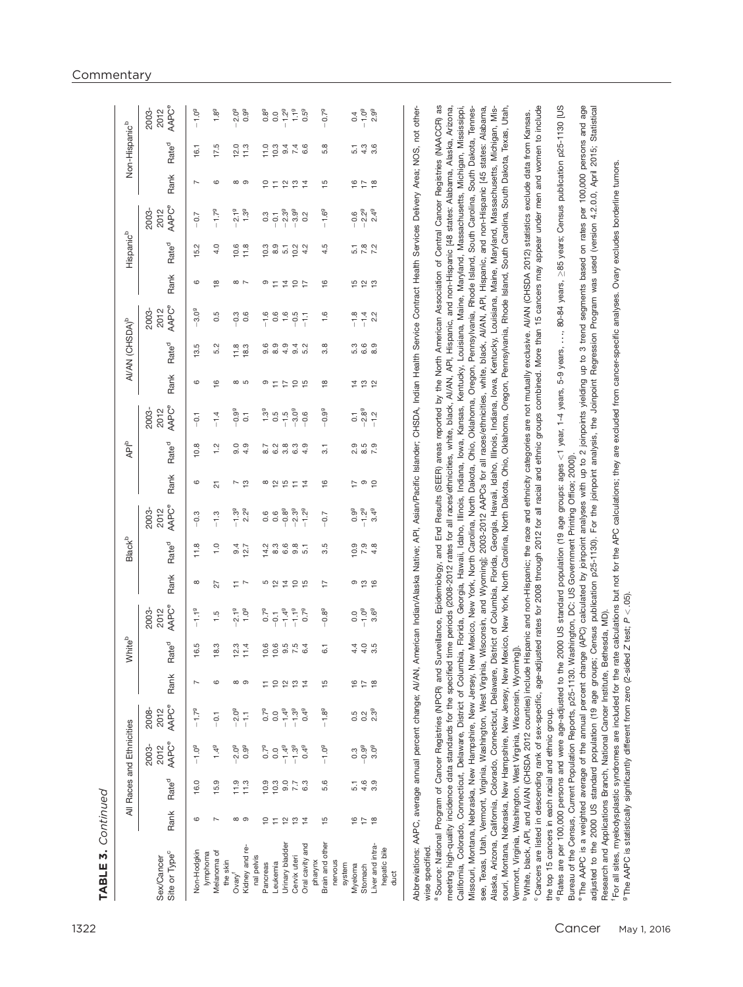| S      |
|--------|
|        |
|        |
|        |
|        |
|        |
| ı      |
|        |
|        |
| I<br>r |
|        |
|        |
| г      |
|        |
|        |
| ۱      |

|                                                                                                                                                                                                                                       |                |                   | All Races and Ethnicities                |                                    |                                           | White <sup>b</sup> |                                          |                                                                  | <b>Black</b> <sup>b</sup> |                                                                                                                                                     |                 | <b>API</b> <sup>b</sup> |                        |                      | AI/AN (CHSDA) <sup>b</sup> |                                          |                     | Hispanic <sup>b</sup>             |                                          |                   | Non-Hispanic <sup>b</sup> |                                          |
|---------------------------------------------------------------------------------------------------------------------------------------------------------------------------------------------------------------------------------------|----------------|-------------------|------------------------------------------|------------------------------------|-------------------------------------------|--------------------|------------------------------------------|------------------------------------------------------------------|---------------------------|-----------------------------------------------------------------------------------------------------------------------------------------------------|-----------------|-------------------------|------------------------|----------------------|----------------------------|------------------------------------------|---------------------|-----------------------------------|------------------------------------------|-------------------|---------------------------|------------------------------------------|
| Site or Type <sup>c</sup><br>Sex/Cancer                                                                                                                                                                                               | Rank           | Rate <sup>d</sup> | <b>AAPC<sup>e</sup></b><br>2003-<br>2012 | AAPC <sup>e</sup><br>2012<br>2008- | Rank                                      | Pete               | <b>AAPC<sup>e</sup></b><br>2012<br>2003- | Rank                                                             | <b>Rate<sup>d</sup></b>   | <b>AAPC<sup>e</sup></b><br>2003-<br>2012                                                                                                            | Rank            | Rate <sup>d</sup>       | AAPC®<br>2012<br>2003- | Rank                 | Rate <sup>d</sup>          | <b>AAPC<sup>e</sup></b><br>2003-<br>2012 | Rank                | Rate <sup>d</sup>                 | <b>AAPC<sup>e</sup></b><br>2012<br>2003- | Rank              | Rate <sup>d</sup>         | <b>AAPC<sup>e</sup></b><br>2012<br>2003- |
| Non-Hodgkin                                                                                                                                                                                                                           | G              | 16.0              | $-1.09$                                  | $-1.79$                            |                                           | 16.5               | $-1.19$                                  | $\infty$                                                         | 11.8                      | $-0.3$                                                                                                                                              | 6               | 10.8                    | $-0.1$                 | G                    | 13.5                       | 3.0 <sup>9</sup>                         | G                   | 15.2                              | $-0.7$                                   | $\overline{ }$    | 16.1                      | $-1.0^{9}$                               |
| Melanoma of<br>lymphoma                                                                                                                                                                                                               |                | 15.9              | 1.49                                     | $-0.1$                             | ဖ                                         | 18.3               | 1.5                                      | 22                                                               | $\frac{0}{1}$             | $-1.3$                                                                                                                                              | 51              | 1.2                     | $-1.4$                 | $\frac{6}{2}$        | 5.2                        | 0.5                                      | $\frac{8}{1}$       | 4.0                               | $-1.79$                                  | $\circ$           | 17.5                      | 1.89                                     |
| the skin<br>Ovary <sup>1</sup>                                                                                                                                                                                                        | ∞              | 11.9              | $-2.09$                                  | $-2.09$                            | ∞                                         | 12.3               | 2.19                                     | ∓                                                                | 9.4                       | $-1.39$                                                                                                                                             | L               | 9.0                     | $-0.99$                |                      | 11.8                       | $-0.3$                                   |                     | 10.6                              | 2.19                                     |                   | 12.0                      | $-2.0^{9}$                               |
| Kidney and re-                                                                                                                                                                                                                        | ၜ              | 11.3              | 0.99                                     | 두                                  | တ                                         | 11.4               | 0.1                                      | $\overline{ }$                                                   | 12.7                      | <b>2.29</b>                                                                                                                                         | $\tilde{c}$     | 4.9                     | $\overline{0}$         | <b>∞</b> ဟ           | 18.3                       | 0.6                                      | $\infty$ $\sim$     | 11.8                              | 1.39                                     | $\infty$ $\infty$ | 11.3                      | 0.99                                     |
| nal pelvis<br>Pancreas                                                                                                                                                                                                                | ₽              | 10.9              | 0.79                                     | 0.79                               |                                           | 10.6               | 0.79                                     | 5                                                                | 14.2                      | 0.6                                                                                                                                                 | $\infty$        | 8.7                     | 1.39                   | တ                    | 9.6                        | $-1.6$                                   | თ                   | 10.3                              | 0.3                                      |                   | 11.0                      | $0.8^{9}$                                |
| Leukemia                                                                                                                                                                                                                              | 는              | 10.3              | 0.0                                      |                                    | ₽                                         | 10.6               | $\overline{0}$ .                         |                                                                  | 8.3                       | 0.6                                                                                                                                                 | $\tilde{c}$     | 6.2                     | 0.5                    |                      | 8.9                        | 0.6                                      | Ε                   | 8.9                               | $-0.1$                                   |                   | 10.3                      | 0.0                                      |
| Urinary bladder                                                                                                                                                                                                                       | 은              | 0.0               | $-1.49$                                  | $-1.49$                            |                                           | 9.5                | $-1.49$                                  | $\overline{\omega}$ $\overline{z}$ $\overline{z}$ $\overline{w}$ | 6.6                       | $-0.89$                                                                                                                                             | $\frac{15}{11}$ | 3.8                     | $-1.5$                 | 2227                 | 4.9                        | $\frac{6}{1}$                            | $\sharp$ 5 $\sharp$ | 5.1                               | $-2.39$                                  |                   | 9.4                       | $-1.29$                                  |
| Cervix uteri                                                                                                                                                                                                                          | $\frac{10}{2}$ | 7.7               | $-1.39$                                  | $-1.39$                            | $\frac{5}{2}$ $\frac{3}{2}$ $\frac{4}{4}$ | 7.5                | $-1.19$                                  |                                                                  | $9.\overline{8}$          | $-2.39$                                                                                                                                             |                 | 6.3                     | $-3.09$                |                      | $9.4$<br>$5.2$             | $-0.5$                                   |                     | 10.2                              | $-3.99$                                  |                   | 7.4                       | 1.19                                     |
| Oral cavity and                                                                                                                                                                                                                       |                |                   | 0.49                                     | 0.49                               |                                           | 6.4                | 0.79                                     |                                                                  | 5.1                       | $-1.29$                                                                                                                                             | $\overline{4}$  | 4.9                     | $-0.6$                 |                      |                            | 두                                        |                     | 4.2                               | 0.2                                      |                   | 6.6                       | $0.5^{9}$                                |
| Brain and other<br>pharynx                                                                                                                                                                                                            | $\frac{5}{1}$  | 5.6               | $-1.09$                                  | $-1.89$                            | 15                                        | $\overline{6}$ .   | $-0.89$                                  | 17                                                               | 3.5                       | $-0.7$                                                                                                                                              | $\frac{6}{2}$   | $\overline{3}$          | $-0.9^9$               | $\frac{8}{10}$       | 3.8                        | 1.6                                      | $\frac{6}{2}$       | 4.5                               | $-1.69$                                  | $\frac{5}{1}$     | 5.8                       | $-0.79$                                  |
| nervous                                                                                                                                                                                                                               |                |                   |                                          |                                    |                                           |                    |                                          |                                                                  |                           |                                                                                                                                                     |                 |                         |                        |                      |                            |                                          |                     |                                   |                                          |                   |                           |                                          |
| system<br>Myeloma                                                                                                                                                                                                                     | 91             | 5.1               | 0.3                                      | 0.5                                | $\frac{6}{1}$                             | 4.4                | 0.0                                      | თ                                                                | 10.9                      | 0.99                                                                                                                                                | ₽               | 2.9                     | $\overline{0}$ .       |                      | 5.3                        | $-1.8$                                   |                     |                                   | $-0.6$                                   |                   | 5.1                       | 0.4                                      |
| Stomach                                                                                                                                                                                                                               | $\overline{1}$ | 4.6               | $-0.99$                                  | 0.2                                | $\overline{1}$                            | 4.0                | $-1.09$                                  |                                                                  | 7.9                       | $-1.29$                                                                                                                                             | ၜ               | 8.5                     |                        | 12<br>12<br>12<br>12 | 6.6                        | $-1.4$                                   | 5 2 3               | $\frac{1}{5}$ , 8, 9,<br>5, 7, 9, | $-2.29$                                  | 979               | 4.3                       | $-1.09$                                  |
| Liver and intra-                                                                                                                                                                                                                      | $\frac{8}{1}$  | 3.9               | 3.0 <sup>9</sup>                         | 2.3 <sup>9</sup>                   | $\frac{8}{10}$                            | 3.5                | 3.69                                     | ္ဟာ မွ                                                           | 4.8                       | 3.49                                                                                                                                                | $\overline{c}$  | 7.9                     | $-2.89$<br>$-1.2$      |                      | 8.9                        | 2.2                                      |                     |                                   | 2.49                                     |                   | 3.6                       | 2.9 <sup>9</sup>                         |
| hepatic bile<br>duct                                                                                                                                                                                                                  |                |                   |                                          |                                    |                                           |                    |                                          |                                                                  |                           |                                                                                                                                                     |                 |                         |                        |                      |                            |                                          |                     |                                   |                                          |                   |                           |                                          |
| Abbreviations: AAPC, average annual percent change; AI/AN, A                                                                                                                                                                          |                |                   |                                          |                                    |                                           |                    |                                          |                                                                  |                           | merican Indian/Alaska Native; API, Asian/Pacific Islander; CHSDA, Indian Health Service Contract Health Services Delivery Area; NOS, not other      |                 |                         |                        |                      |                            |                                          |                     |                                   |                                          |                   |                           |                                          |
| <sup>a</sup> Source: National Program of Cancer Registries (NPCR) and Surveillance, Epidemiology, and End Results (SEER) areas reported by the North American Association of Central Cancer Registries (NAACCR) as<br>wise specified. |                |                   |                                          |                                    |                                           |                    |                                          |                                                                  |                           |                                                                                                                                                     |                 |                         |                        |                      |                            |                                          |                     |                                   |                                          |                   |                           |                                          |
| meeting high-quality incidence data standards for the specified                                                                                                                                                                       |                |                   |                                          |                                    |                                           |                    |                                          |                                                                  |                           | time periods (2008-2012 rates for all races/ethnicities, white, black, AI/AN, API, Hispanic, and non-Hispanic (48 states: Alabama, Alaska, Arizona, |                 |                         |                        |                      |                            |                                          |                     |                                   |                                          |                   |                           |                                          |
| California, Colorado, Connecticut, Delaware, District of Columbia, Florida,                                                                                                                                                           |                |                   |                                          |                                    |                                           |                    |                                          |                                                                  |                           | Georgia, Hawaii, Idaho, Illinois, Indiana, Iowa, Kansas, Kentucky, Louisiana, Maine, Maryland, Massachusetts, Michigan, Mississippi,                |                 |                         |                        |                      |                            |                                          |                     |                                   |                                          |                   |                           |                                          |

Missouri, Montana, Nebraska, New Hampshire, New Jersey, New Mexico, New York, North Carolina, North Dakota, Ohio, Oklahoma, Oregon, Pennsylvania, Rhode Island, South Carolina, South Dakota, Tennessee, Texas, Utah, Vermont, Virginia, Washington, West Virginia, Wisconsin, and Wyomingj; 2003-2012 AAPCs for all races/ethnicities, white, black, AVAN, API, Hispanic, and non-Hispanic [45 states: Alabama, Alaska, Arizona, California, Colorado, Connecticut, Delaware, District of Columbia, Florida, Georgia, Hawaii, Idaho, Illinois, Indiana, Iowa, Kentucky, Louisiana, Marie, Maryland, Massachusetts, Michigan, Missouri, Montana, Nebraska, New Hampshire, New Jersey, New Joexico, New York, North Carolina, North Dakota, Ohio, Oklahoma, Oregon, Pennsylvania, Rhode Island, South Carolina, South Dakota, Texas, Utah, meeting high-quality incidence data standards for the specified time periods (2008-2012 rates for all races/ethnicities, white, black, AI/AN, API, Hispanic, and non-Hispanic [48 states: Alabama, Alaska, Arizona, California, Colorado, Connecticut, Delaware, District of Columbia, Florida, Georgia, Hawaii, Idaho, Illinois, Indiana, Iowa, Kansas, Kentucky, Louisiana, Maine, Maryland, Massachusetts, Michigan, Mississippi, Missouri, Montana, Nebraska, New Hampshire, New Jersey, New Mexico, New York, North Carolina, North Dakota, Ohio, Oklahoma, Oregon, Pennsylvania, Rhode Island, South Carolina, South Dakota, Tennessee, Texas, Utah, Varmont, Virginia, Washington, West Virginia, Wisconsin, and Wyoming]; 2003-2012 AAPCs for all races/ethnicities, white, black, AP/AN, API, Hispanic, and non-Hispanic [45 states: Alabama, Alaska, Arizona, California, Colorado, Connecticut, Delaware, District, Delawaria, Georgia, Hawaii, Idaho, Illinois, Indiana, Maine, Maryland, Massachusetts, Michigan, Missouri, Montana, New Hampshire, New Jersey, New Mexico, New York, North Dakota, Ohio, Oklahoma, Oregon, Pennsylvania, Rhode Island, South Carolina, South Dakota, Texas, Utah Vermont, Virginia, Washington, West Virginia, Wisconsin, Wyoming]). Vermont, Virginia, Washington, West Virginia, Wisconsin, Wyoming]). Ĕ

<sup>e</sup> Cancers are listed in descending rank of sex-specific, age-adjusted rates for 2008 through 2012 for all racial and ethnic groups combined. More than 15 cancers may appear under men and women to include Cancers are listed in descending rank of sex-specific, age-adjusted rates for 2008 through 2012 for all racial and ethnic groups combined. More than 15 cancers may appear under men and women to include <sup>b</sup> White, black, API, and AI/AN (CHSDA 2012 counties) include Hispanic and non-Hispanic; the race and ethnicity categories are not mutually exclusive. AI/AN (CHSDA 2012) statistics exclude data from Kansas. White, black, API, and AI/AN (CHSDA 2012 counties) include Hispanic and non-Hispanic; the race and ethnicity categories are not mutually exclusive. AI/AN (CHSDA 2012) statistics exclude data from Kansas. the top 15 cancers in each racial and ethnic group. the top 15 cancers in each racial and ethnic group.

<sup>d</sup> Rates are per 100,000 persons and were age-adjusted to the 2000 US standard population (19 age groups: ages <1 year, 1-4 years, 5-9 years, ..., 80-84 years, 295 years, Census publication p25-1130 [US 85 years; Census publication p25-1130 [US  $^4$ Rates are per 100,000 persons and were age-adjusted to the 2000 US standard population (19 age groups: ages <1 year, 1-4 years, 5-9 years, ..., 80-84 years,  $\geq$ Bureau of the Census, Current Population Reports, p25-1130. Washington, DC: US Government Printing Office; 2000j). Bureau of the Census, Current Population Reports, p25-1130. Washington, DC: US Government Printing Office; 2000]).

°The AAPC is a weighted average of the annual percent change (APC) calculated by joinpoint analyses with up to 2 joinpoints yielding up to 3 trend segments based on rates per 100,000 persons and age<br>adjusted to the 2000 US The AAPC is a weighted average of the annual percent change (APC) calculated by joinpoint analyses with up to 2 joinpoints yielding up to 3 trend segments based on rates per 100,000 persons and age adjusted to the 2000 US standard population (19 age groups; Census publication p25-1130). For the joinpoint analysis, the Joinpoint Regression Program was used (version 4.2.0.0, April 2015; Statistical Research and Applications Branch, National Cancer Institute, Bethesda, MD). Research and Applications Branch, National Cancer Institute, Bethesda, MD).

For all sites, myelodysplastic syndromes are included for the rate calculations but not for the APC calculations; they are excluded from cancer-specific analyses. Ovary excludes borderline tumors. For all sites, myelodysplastic syndromes are included for the rate calculations but not for the APC calculations; they are excluded from cancer-specific analyses. Ovary excludes borderline tumors. The AAPC is statistically significantly different from zero (2-sided Z test;  $P < .05$ ).  $^9$ The AAPC is statistically significantly different from zero (2-sided Z test; P  $<$  05). g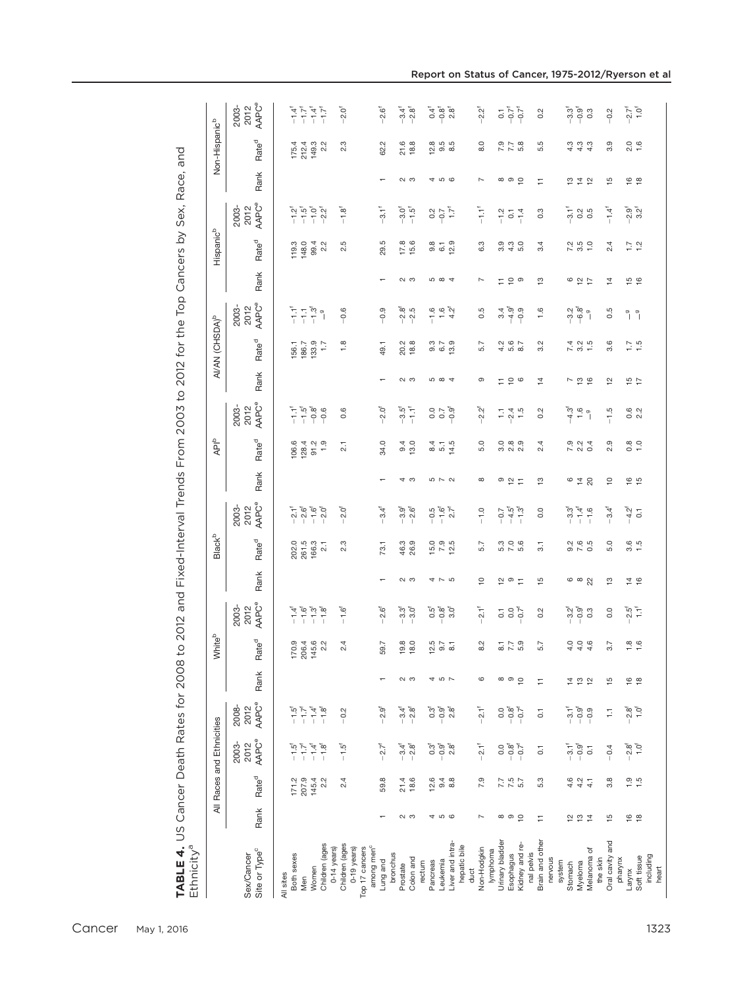| TABLE 4. US Cancer Death Rates for 2008 to<br>Ethnicity <sup>a</sup> |                         |                      |                                                    |                                            |                         |                                                                     | 2012 and Fixed-Interval Trends From 2003 to |                           |                           |                                    |                |                        |                                           |                |                           | 2012 for the Top Cancers by Sex, Race, and |                     |                                             |                                    |                                           |                           |                                            |
|----------------------------------------------------------------------|-------------------------|----------------------|----------------------------------------------------|--------------------------------------------|-------------------------|---------------------------------------------------------------------|---------------------------------------------|---------------------------|---------------------------|------------------------------------|----------------|------------------------|-------------------------------------------|----------------|---------------------------|--------------------------------------------|---------------------|---------------------------------------------|------------------------------------|-------------------------------------------|---------------------------|--------------------------------------------|
|                                                                      |                         |                      | All Races and Ethnicities                          |                                            |                         | Whiteb                                                              |                                             |                           | <b>Black</b> <sup>b</sup> |                                    |                | API <sup>b</sup>       |                                           |                | AVAN (CHSDA) <sup>b</sup> |                                            |                     | Hispanic <sup>b</sup>                       |                                    |                                           | Non-Hispanic <sup>b</sup> |                                            |
| Site or Type <sup>c</sup><br>Sex/Cancer                              | Rank                    | Rate <sup>d</sup>    | AAPC <sup>e</sup><br>2003-<br>2012                 | AAPC <sup>e</sup><br>2012<br>2008-         | Rank                    | بهِ<br><u>Rat</u>                                                   | AAPC <sup>e</sup><br>2003-                  | Rank                      | Rate <sup>d</sup>         | AAPC <sup>e</sup><br>2003-<br>2012 | Rank           | Rate <sup>d</sup>      | <b>AAPC<sup>e</sup></b><br>2003-<br>2012  | Rank           | Rate <sup>d</sup>         | AAPC <sup>e</sup><br>2003-<br>2012         | Rank                | Rate <sup>d</sup>                           | AAPC <sup>e</sup><br>2012<br>2003- | Rank                                      | Rate <sup>d</sup>         | AAPC <sup>e</sup><br>2003-<br>2012         |
| All sites                                                            |                         |                      |                                                    |                                            |                         |                                                                     |                                             |                           |                           |                                    |                |                        |                                           |                |                           |                                            |                     |                                             |                                    |                                           |                           |                                            |
| Both sexes                                                           |                         | 207.9<br>171.2       | $-1.5$ <sup>f</sup><br>$-1.7$ <sup>f</sup>         | $-1.5$ <sup>f</sup><br>$-1.7$ <sup>t</sup> |                         | $\begin{array}{c} 70.9 \\ 206.4 \\ 24.5 \\ 45.6 \\ 2.2 \end{array}$ | $-1.4$ <sup>f</sup><br>$-1.6$ <sup>f</sup>  |                           | 202.0<br>261.5            | $2.1$ <sup>t</sup><br>$-2.6^{f}$   |                | 106.6<br>128.4         | $\overline{\tau}$<br>$-1.5$ <sup>f</sup>  |                | 156.1<br>186.7<br>133.9   | $\frac{1}{1}$                              |                     | 148.0<br>119.3                              | $-1.5^{4}$<br>$-1.5^{4}$           |                                           | 175.4<br>212.4            | $-1.4$ <sup>f</sup><br>$-1.7$ <sup>t</sup> |
| Women<br>Men                                                         |                         | 145.4                | $-1.4$ <sup>f</sup>                                | $-1.4$ <sup>f</sup>                        |                         |                                                                     | $-1.3^{f}$                                  |                           | 166.3                     |                                    |                | 91.2                   | $-0.8^{f}$                                |                |                           | 루                                          |                     | 99.4                                        | $-1.0^{f}$                         |                                           | 149.3                     |                                            |
| Children (ages                                                       |                         | 2.2                  | $-1.8^{f}$                                         | $-1.8^{f}$                                 |                         |                                                                     | $-1.8^{f}$                                  |                           | $\overline{21}$           | $-1.6^{f}$<br>$-2.0^{f}$           |                | 1.9                    | $-0.6$                                    |                | $\ddot{ }$ :              | $-1.3^{f}$                                 |                     | 2.2                                         | $-2.2^{f}$                         |                                           | 2.2                       | ے ہے<br>جاتا ہے<br>جاتا ہے                 |
| Children (ages<br>$0-14$ years)                                      |                         | 2.4                  | $-1.5$ <sup>f</sup>                                | $-0.2$                                     |                         | 4<br>0.                                                             | $-1.6^{f}$                                  |                           | ω.<br>0.                  | $2.0^{\circ}$                      |                | $\overline{2}$ .       | Q<br>ö                                    |                | $\frac{8}{1}$             | $-0.6$                                     |                     | Ю<br>0.                                     | $-1.8^{f}$                         |                                           | 2.3                       | $2.0^{\circ}$                              |
| $0-19$ years)<br>Top 17 cancers                                      |                         |                      |                                                    |                                            |                         |                                                                     |                                             |                           |                           |                                    |                |                        |                                           |                |                           |                                            |                     |                                             |                                    |                                           |                           |                                            |
| among men <sup>c</sup><br>Lung and                                   |                         | 59.8                 | $-2.7$ <sup>f</sup>                                | $-2.9^{f}$                                 |                         | r.<br>59.                                                           | $-2.6^{f}$                                  |                           | 73.1                      | 3.4 <sup>f</sup>                   |                | 34.0                   | $2.0^{\dagger}$                           |                | 49.1                      | $-0.9$                                     |                     | 29.5                                        | $-3.1$ <sup>f</sup>                |                                           | 62.2                      | $2.6^{f}$<br>$\mathbf{I}$                  |
| bronchus<br>Prostate                                                 |                         |                      |                                                    |                                            |                         | တ                                                                   |                                             |                           |                           |                                    |                |                        |                                           |                |                           |                                            |                     |                                             |                                    |                                           |                           |                                            |
| Colon and                                                            | လေ                      | $21.4$<br>18.6       | $-3.4^{f}$<br>$-2.8^{f}$                           | $-3.4^{4}$<br>$-2.8^{4}$                   | $\sim$ $\infty$         | $\infty$ $\infty$<br>$\infty$<br>÷                                  | -3.3"<br>-3.0"                              | ດ ຕ                       | 46.3<br>26.9              | 3.9°<br>3.9°                       | ⊄ ო            | $\frac{9.4}{13.0}$     | $-3.5^{f}$<br>-1.1 <sup>f</sup>           | വ ന            | 20.2<br>18.8              | - 2.5<br>- 2.5<br>- 7                      | വ ന                 | $17.8$<br>15.6                              | $-3.0^{f}$<br>-1.5 <sup>f</sup>    | ດ ຕ                                       | 21.6<br>18.8              | $-3.\overline{4}^{\overline{1}}$<br>- 2.8  |
| rectum                                                               |                         |                      |                                                    |                                            |                         |                                                                     |                                             |                           |                           |                                    |                |                        |                                           |                |                           |                                            |                     |                                             |                                    |                                           |                           |                                            |
| Leukemia<br>Pancreas                                                 | 4 ro o                  | 12.6<br>9.4          | $-0.9^{f}$<br>2.8 <sup>f</sup><br>0.3 <sup>f</sup> | ي يه يو<br>د کا                            |                         | $12.5$<br>9.7<br>8.1                                                | ס פי פי<br>פו פי פי                         | 4 L N                     | 15.0                      | $-0.5$                             | $D - D$        | 8.4<br>$\overline{5}$  | 0.0<br>0.7                                | 10 00 4        |                           | $-1.6$                                     | 10 00 4             | $9.\overline{8}$<br>$\overline{\textbf{6}}$ | 0.2                                | 4                                         | 12.8                      | ية يع<br>و أو م                            |
| Liver and intra-<br>hepatic bile                                     |                         | $\infty$<br>$\infty$ |                                                    |                                            |                         |                                                                     |                                             |                           | 7.9<br>12.5               | $-1.6^{f}$<br>2.7 <sup>f</sup>     |                | 14.5                   | 0.9 <sup>f</sup>                          |                |                           | $1.6$<br>$4.2$ <sup>t</sup>                |                     | 12.9                                        | $-0.7$<br>1.7 <sup>f</sup>         | <b>50</b>                                 | 0.5<br>0.5                |                                            |
| duct                                                                 |                         |                      |                                                    |                                            |                         |                                                                     |                                             |                           |                           |                                    |                |                        |                                           |                |                           |                                            |                     |                                             |                                    |                                           |                           |                                            |
| Non-Hodgkin<br>lymphoma                                              | $\overline{ }$          | 7.9                  | $\frac{1}{2}$                                      | $\overline{2.1}^{\dagger}$                 | G                       | 8.2                                                                 | $-2.1$ <sup>t</sup>                         | $\supseteq$               | 5.7                       | $-1.0$                             | $\infty$       | 5.0                    | $2.2^{f}$                                 | $\infty$       | 5.7                       | 0.5                                        | $\overline{ }$      | 6.3                                         | $-1.1$ <sup>t</sup>                | $\overline{ }$                            | 8.0                       | $-2.2^{f}$                                 |
| Urinary bladder                                                      |                         | 7.7                  | 0.0                                                | 0.0                                        |                         |                                                                     | $\frac{1}{0}$ 0                             |                           |                           | 0.7                                |                |                        |                                           |                |                           |                                            |                     |                                             | $-1.2$                             |                                           |                           |                                            |
| Kidney and re-<br>Esophagus                                          | $\circ$ $\circ$ $\circ$ | $7.5$<br>5.7         | $-0.8^{f}$<br>$-0.7$ <sup>f</sup>                  | $-0.8^{f}$<br>$-0.7$ <sup>f</sup>          | $\circ$ $\circ$ $\circ$ | $\frac{1}{6}$<br>$\frac{7}{6}$<br>$\frac{3}{6}$                     | $\ddot{5}$                                  | $2^{\circ}$ $\circ$ $\pm$ | 30000                     | $-4.5^{f}$<br>$-1.3^{f}$           | ○ 은 든          |                        | $\frac{1}{2}$ $\frac{4}{9}$ $\frac{1}{2}$ | 790            | $4.67$<br>$6.7$           | $3499$<br>$499$<br>$99$                    | 두 은 이               | 0<br>0<br>0<br>4<br>5<br>0<br>0             | $-1.4$                             | $\circ$ $\circ$ $\circ$                   | $7.78$<br>5.3             | 7.7<br>17.0<br>10                          |
| nal pelvis                                                           |                         |                      |                                                    |                                            |                         |                                                                     |                                             |                           |                           |                                    |                |                        |                                           |                |                           |                                            |                     |                                             |                                    |                                           |                           |                                            |
| Brain and other                                                      | Ξ                       | 5.3                  | $\overline{0}$                                     | $\overline{0}$                             | Ξ                       | 5.7                                                                 | 0.2                                         | $\overline{15}$           | 3.1                       | 0.0                                | $\frac{1}{2}$  | 2.4                    | 0.2                                       | $\overline{4}$ | Ņ<br>က်                   | 1.6                                        | $\frac{1}{2}$       | 3.4                                         | 0.3                                | Ξ                                         | 5.5                       | 0.2                                        |
| nervous<br>system                                                    |                         |                      |                                                    |                                            |                         |                                                                     |                                             |                           |                           |                                    |                |                        |                                           |                |                           |                                            |                     |                                             |                                    |                                           |                           |                                            |
| Stomach                                                              |                         | 4.6                  | $-3.1$ <sup>f</sup>                                | $-3.1^{f}$                                 | $\overline{4}$          |                                                                     | $-3.2^{f}$<br>$-0.9^{f}$                    |                           |                           | $3.3^{\dagger}$                    |                |                        |                                           |                |                           | - 3.2<br>- 9.0<br>-                        |                     |                                             | $-3.1$ <sup>f</sup>                |                                           |                           | $-3.3^{f}$                                 |
| Melanoma of<br>Myeloma                                               | 29.7                    | 4.2<br>4.1           | $-0.9f$<br>$\overline{\circ}$                      | $-0.9^{\dagger}$<br>$-0.9$                 | $\frac{10}{10}$         | $\frac{1}{4}$ $\frac{1}{4}$ $\frac{1}{4}$                           | $\ddot{0}$                                  | ဖ ∞ ၛ                     | $28.50$<br>$7.50$         | $-1.4$ <sup>f</sup><br>$-1.6$      | 648            | 7. 21<br>2. 21<br>0. 4 | ا بني<br>با ب                             | ~ ¤ e          | 7. 2. 5.<br>7. 2. 5.      | $\overline{\phantom{a}}$                   | $\circ$ 2 $\approx$ | $7.50$<br>$7.50$                            | $0.\overline{5}$                   | $\frac{3}{2}$ $\frac{4}{2}$ $\frac{5}{2}$ | 3<br>4 4 4<br>4 4         | $-0.9^{f}$<br>0.3                          |
| the skin                                                             | $\frac{5}{5}$           |                      | $-0.4$                                             |                                            |                         | r.                                                                  |                                             |                           |                           | $3.4^{\dagger}$                    |                |                        |                                           |                |                           |                                            |                     |                                             | $-1.4^{\dagger}$                   |                                           | 3.9                       | $-0.2$                                     |
| Oral cavity and<br>pharynx                                           |                         | ${}^{\circ}$<br>က်   |                                                    | H                                          | 15                      | ကံ                                                                  | 0.0                                         | Ω                         | 5.0                       |                                    | $\overline{c}$ | တ<br>Νi                | $-1.5$                                    | 으              | 3.6                       | rù<br>ö                                    | $\overline{4}$      | 2.4                                         |                                    | $\frac{15}{2}$                            |                           |                                            |
| Larynx                                                               | $\frac{6}{18}$          | $\frac{3}{1}$ .5     | $-2.8^{f}$<br>1.0 <sup>f</sup>                     | $-2.8^{f}$<br>1.0 <sup>f</sup>             | $\frac{6}{18}$          | $\frac{18}{10}$                                                     | $-2.5^{\dagger}$                            | 5 to                      | 3.5                       | $4.2^{f}$<br>0.1                   | $\frac{6}{15}$ | 0.8                    | بہ ب<br>ö                                 | $\frac{16}{7}$ | $\frac{5}{11}$            | $\overline{a}$ $\overline{b}$              | <u>ی</u> م          | $\begin{array}{c}\n7.7 \\ 7.2\n\end{array}$ | ិត<br> <br>  ភូមិ                  | $\frac{6}{18}$                            | $2.0$<br>1.6              | $-2.7^{f}$<br>1.0 <sup>f</sup>             |
| including<br>Soft tissue                                             |                         |                      |                                                    |                                            |                         |                                                                     |                                             |                           |                           |                                    |                |                        | $\sim$                                    |                |                           |                                            |                     |                                             |                                    |                                           |                           |                                            |
| heart                                                                |                         |                      |                                                    |                                            |                         |                                                                     |                                             |                           |                           |                                    |                |                        |                                           |                |                           |                                            |                     |                                             |                                    |                                           |                           |                                            |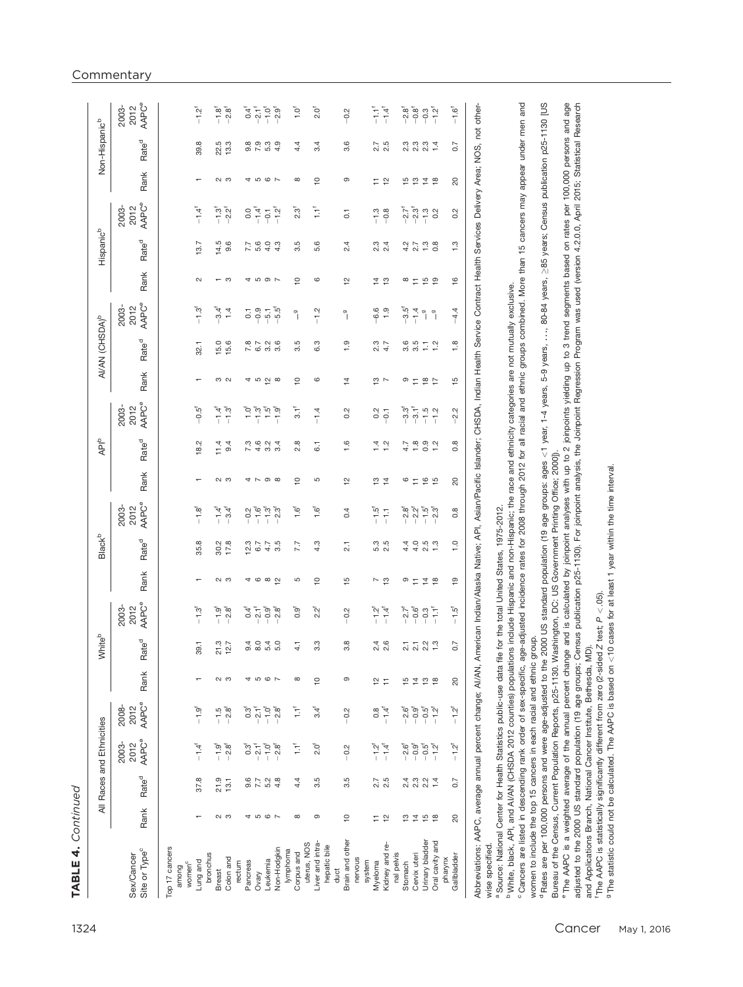| ì |
|---|
|   |
|   |
|   |
| ۰ |
|   |
|   |
| п |
|   |
|   |
| ŀ |

|                                                                                                                                                                                                                       |                  |                         | All Races and Ethnicities              |                                        |               | Whiteb            |                                                                                                  |                           | <b>Black</b> <sup>b</sup> |                                          |                 | <b>API</b> <sup>b</sup> |                         |                        | AVAN (CHSDA) <sup>b</sup>   |                                    |                     | Hispanic <sup>b</sup>                      |                                          |                | Non-Hispanic <sup>b</sup> |                                          |
|-----------------------------------------------------------------------------------------------------------------------------------------------------------------------------------------------------------------------|------------------|-------------------------|----------------------------------------|----------------------------------------|---------------|-------------------|--------------------------------------------------------------------------------------------------|---------------------------|---------------------------|------------------------------------------|-----------------|-------------------------|-------------------------|------------------------|-----------------------------|------------------------------------|---------------------|--------------------------------------------|------------------------------------------|----------------|---------------------------|------------------------------------------|
| Site or Type <sup>c</sup><br>Sex/Cancer                                                                                                                                                                               | Rank             | Rate <sup>d</sup>       | AAPC <sup>e</sup><br>2012<br>2003-     | AAPC <sup>e</sup><br>2012<br>2008-     | Rank          | Rate <sup>d</sup> | <b>AAPC<sup>e</sup></b><br>2003-<br>2012                                                         | Rank                      | Rate <sup>d</sup>         | <b>AAPC<sup>e</sup></b><br>2003-<br>2012 | Rank            | Rate <sup>d</sup>       | AAPC®<br>2012<br>2003-  | Rank                   | Rate <sup>d</sup>           | AAPC <sup>e</sup><br>2003-<br>2012 | Rank                | Rate <sup>d</sup>                          | <b>AAPC<sup>e</sup></b><br>2003-<br>2012 | Rank           | Rate <sup>d</sup>         | <b>AAPC<sup>e</sup></b><br>2003-<br>2012 |
| Top 17 cancers                                                                                                                                                                                                        |                  |                         |                                        |                                        |               |                   |                                                                                                  |                           |                           |                                          |                 |                         |                         |                        |                             |                                    |                     |                                            |                                          |                |                           |                                          |
| women <sup>c</sup><br>among                                                                                                                                                                                           |                  |                         |                                        |                                        |               |                   |                                                                                                  |                           |                           |                                          |                 |                         |                         |                        |                             |                                    |                     |                                            |                                          |                |                           |                                          |
| Lung and                                                                                                                                                                                                              |                  | 37.8                    | $-1.4$ <sup>†</sup>                    | $-1.9^{f}$                             |               | ⊤.<br>8           | $-1.3^{f}$                                                                                       |                           | 35.8                      | $-1.8$ <sup>f</sup>                      |                 | 18.2                    | $-0.5^{\text{f}}$       | $\mathbf{r}$           | 32.1                        | $-1.3^{f}$                         | $\sim$              | 13.7                                       | $-1.4^{\dagger}$                         |                | 39.8                      | $-1.2^{f}$                               |
| bronchus<br><b>Breast</b>                                                                                                                                                                                             |                  |                         | $-1.9f$                                | $-1.5$                                 |               |                   | $-1.9^{f}$                                                                                       |                           |                           | $-1.4$ <sup>t</sup>                      |                 | 11.4                    | $-1.4$ <sup>†</sup>     |                        |                             | $-3.4$ <sup>†</sup>                |                     | 14.5                                       | $-1.3^{f}$                               |                |                           | $-1.8^{+}$                               |
| Colon and                                                                                                                                                                                                             | လ က              | $21.9$<br>$13.1$        | $-2.8^{f}$                             | $-2.8^{f}$                             | လေ            | 21.3<br>12.7      | $-2.8^{f}$                                                                                       | လေ                        | 30.2<br>17.8              | $-3.4^{f}$                               | ດ ຕ             | 9.4                     | $-1.3^{f}$              | m N                    | 15.6                        | 1.4                                | — ന                 | $9.\overline{6}$                           | $-2.2^{f}$                               | പ ത            | 22.5<br>13.3              | $-2.8^{f}$                               |
| rectum                                                                                                                                                                                                                |                  |                         |                                        |                                        |               |                   |                                                                                                  |                           |                           |                                          |                 |                         |                         |                        |                             |                                    |                     |                                            |                                          |                |                           |                                          |
| Pancreas                                                                                                                                                                                                              | 4                | 9.6<br>7.7              | $-2.1$ <sup>f</sup><br>$0.3^{\dagger}$ | $-2.1$ <sup>f</sup><br>$0.3^{\dagger}$ |               | 4 O               | $-2.1$ <sup>t</sup><br>$0.4^{\dagger}$                                                           | $\circ$<br>4              | 12.3<br>6.7               | $-1.6$ <sup>f</sup><br>$-0.2$            | 4 ~             | 4.6<br>7.3              | $1.0^{f}$<br>$-1.3^{f}$ | 4 ro                   | 7.8<br>6.7                  | $-0.9$<br>$\overline{0}$           |                     | 5.6<br>7.7                                 | $-1.4$ <sup>f</sup><br>0.0               |                | $0.86$<br>7.9             | $-2.1$ <sup>f</sup><br>$0.4^{\dagger}$   |
| Leukemia<br>Ovary                                                                                                                                                                                                     |                  |                         | $-1.0^{f}$                             | $-1.0^{f}$                             |               | $\tilde{A}$       | $-0.9^f$                                                                                         |                           | 4.7                       | $-1.3$ <sup>t</sup>                      |                 | 3.2                     | $1.5^{f}$               |                        | 3.2                         | $-5.1$                             | 4 10 10 L           | 4.0                                        | $-0.1$                                   |                | 5.3                       | $-1.0^{f}$                               |
| Non-Hodgkin                                                                                                                                                                                                           | 500 <sub>2</sub> | $5.\overline{2}$<br>4.8 | $-2.8^{f}$                             | $-2.8^{f}$                             | 4567          | O.                | $-2.8^{f}$                                                                                       | $\infty$ $\overline{5}$   | 3.5                       | $-2.3^{f}$                               |                 | 3.4                     | $-1.9^{f}$              | $\tilde{a}$ $\approx$  | Q<br>က                      | $-5.5$ <sup>f</sup>                |                     | 4.3                                        | $-1.2^{f}$                               | 4567           | 4.9                       | $-2.9^{f}$                               |
| lymphoma                                                                                                                                                                                                              |                  |                         |                                        |                                        |               |                   |                                                                                                  |                           |                           |                                          |                 |                         |                         |                        |                             |                                    |                     |                                            |                                          |                |                           |                                          |
| Corpus and                                                                                                                                                                                                            | ${}^{\circ}$     | 4.4                     | Ē                                      | $\ddot{\tau}$                          | ${}^{\circ}$  | π,                | $0.9^f$                                                                                          | 5                         | 7.7                       | $1.6^{f}$                                | $\overline{C}$  | 2.8                     | $3.1$ <sup>t</sup>      | $\frac{1}{2}$          | 3.5                         | $\overline{\phantom{a}}$           | $\overline{C}$      | $3.\overline{5}$                           | 2.3 <sup>f</sup>                         | $\infty$       | 4.4                       | $1.0^{\dagger}$                          |
| uterus, NOS                                                                                                                                                                                                           |                  |                         |                                        |                                        |               |                   |                                                                                                  |                           |                           |                                          |                 |                         |                         |                        |                             |                                    |                     |                                            |                                          |                |                           |                                          |
| Liver and intra-                                                                                                                                                                                                      | σ                | Ю<br>6                  | $2.0^f$                                | $3.4^{\dagger}$                        | <u>۽</u>      | w                 | $2.2^f$                                                                                          | ₽                         | 4.3                       | $1.6$ <sup>f</sup>                       | 5               | 51                      | $-1.4$                  | ဖ                      | 6.3                         | $-1.2$                             | G                   | 5.6                                        | Ĕ                                        | $\overline{C}$ | 3.4                       | $2.0^{\circ}$                            |
| hepatic bile                                                                                                                                                                                                          |                  |                         |                                        |                                        |               |                   |                                                                                                  |                           |                           |                                          |                 |                         |                         |                        |                             |                                    |                     |                                            |                                          |                |                           |                                          |
| duct                                                                                                                                                                                                                  |                  |                         |                                        |                                        |               |                   |                                                                                                  |                           |                           |                                          |                 |                         |                         |                        |                             |                                    |                     |                                            |                                          |                |                           |                                          |
| Brain and other                                                                                                                                                                                                       | $\widetilde{C}$  | 3.5                     | $-0.2$                                 | $-0.2$                                 | တ             | œ                 | $-0.2$                                                                                           | $\frac{15}{2}$            | $\overline{21}$           | 0.4                                      | $\tilde{c}$     | 1.6                     | 0.2                     | $\overline{4}$         | $\frac{0}{1}$               | $\overline{\phantom{a}}$           | 으                   | 2.4                                        | $\overline{0}$                           | ၜ              | 3.6                       | $-0.2$                                   |
| nervous                                                                                                                                                                                                               |                  |                         |                                        |                                        |               |                   |                                                                                                  |                           |                           |                                          |                 |                         |                         |                        |                             |                                    |                     |                                            |                                          |                |                           |                                          |
| system                                                                                                                                                                                                                |                  |                         |                                        |                                        |               |                   |                                                                                                  |                           |                           |                                          |                 |                         |                         |                        |                             |                                    |                     |                                            |                                          |                |                           |                                          |
| Myeloma                                                                                                                                                                                                               | ÷.               | 2.7                     | $-1.2$                                 | $0.\overline{8}$                       | $\frac{N}{r}$ | 4                 | $-1\frac{5}{4}$                                                                                  | N                         | 5.3<br>2.5                | $-1.5$ <sup>f</sup>                      | $\frac{10}{14}$ | 1.4                     | 0.2                     | $\frac{10}{10}$ $\sim$ | 2.3                         | $-6.6$                             | ≠ ಐ                 | 2.3                                        | $-1.3$                                   | 드 은            | 2.7                       | $-1.7$                                   |
| Kidney and re-<br>nal pelvis                                                                                                                                                                                          | $\frac{1}{2}$    | 2.5                     | $-1.4$ <sup>t</sup>                    | $-1.4$ <sup>f</sup>                    |               | $\circ$           |                                                                                                  | ္                         |                           | 두                                        |                 | 12                      | $-61$                   |                        | 4.7                         | 1.9                                |                     | 2.4                                        | $-0.8$                                   |                | 2.5                       | $-1.4$ <sup>t</sup>                      |
| Stomach                                                                                                                                                                                                               |                  |                         | $-2.6^{f}$                             |                                        |               |                   | $-2.7$ <sup>f</sup>                                                                              |                           |                           | $-2.8^{f}$                               |                 | 4.7                     | $-3.3^{f}$              |                        |                             | $-3.5^{f}$                         |                     |                                            | $-2.7$ <sup>f</sup>                      |                |                           | $-2.8^{f}$                               |
| Cervix uteri                                                                                                                                                                                                          |                  | $2.3$<br>2.3            | $-0.9^f$                               | $-2.9^{+0.00}$                         |               | $\frac{7}{21}$    | $-0.6$ <sup>f</sup>                                                                              | ၜ<br>Ε                    | 4.4<br>4.0                | $-2.2^{f}$                               | ဖ<br>Ξ          | $\frac{8}{1}$           | $-3.1$ <sup>f</sup>     | თ<br>Ξ                 | 3.6<br>3.5                  | $-1.4$                             | $\approx$ $\approx$ | $4.2$<br>2.7                               | $-2.3^{f}$                               |                | 23<br>23                  | $-0.8^{f}$                               |
| Urinary bladder                                                                                                                                                                                                       |                  |                         | $-0.5^f$                               | $-0.5^{f}$                             |               |                   | $-0.3$                                                                                           |                           |                           | $-1.5$ <sup>f</sup>                      |                 |                         | $-1.5$                  |                        |                             | $\overline{\phantom{a}}^{\circ}$   |                     |                                            | $-1.3$                                   |                |                           | $-0.3$                                   |
| Oral cavity and                                                                                                                                                                                                       | 779              | $2.2$<br>1.4            | $-1.2^{f}$                             | $-1.2$                                 |               | نې ب              | 古                                                                                                | $rac{4}{4}$ $\frac{6}{8}$ | $2.\overline{3}$<br>1.3   | $-2.3^{f}$                               | $69 - 5$        | $0.9$<br>$1.2$          | $-1.2$                  | $\frac{8}{10}$         | $\frac{1}{2}$ $\frac{1}{2}$ | $\overline{\phantom{a}}$           | 'မှ ခု              | $\begin{array}{c} 7.3 \\ -0.8 \end{array}$ | 0.2                                      | 5 5 4 6        | $23 + 4$                  | $-1.2^{f}$                               |
| pharynx                                                                                                                                                                                                               |                  |                         |                                        |                                        |               |                   |                                                                                                  |                           |                           |                                          |                 |                         |                         |                        |                             |                                    |                     |                                            |                                          |                |                           |                                          |
| Gallbladder                                                                                                                                                                                                           | $_{20}$          | 0.7                     | $-1.2^{f}$                             | $-1.2^{f}$                             | $_{20}$       | 0.7               | $-1.5$ <sup>f</sup>                                                                              | $\overline{9}$            | 1.0                       | $0.\overline{8}$                         | $_{20}$         | 0.8                     | $-2.2$                  | $\frac{15}{2}$         | 1.8                         | $-4.4$                             | $\frac{6}{5}$       | 1.3                                        | 0.2                                      | $_{20}$        | 0.7                       | $-1.6$ <sup>f</sup>                      |
| Abbreviations: AAPC, average annual percent change; AI/AN, American Indian/Alaska Native; API, Asian/Pacific Islander; CHSDA, Indian Health Service Contract Health Services Delivery Area; NOS, not other-           |                  |                         |                                        |                                        |               |                   |                                                                                                  |                           |                           |                                          |                 |                         |                         |                        |                             |                                    |                     |                                            |                                          |                |                           |                                          |
| wise specified.                                                                                                                                                                                                       |                  |                         |                                        |                                        |               |                   |                                                                                                  |                           |                           |                                          |                 |                         |                         |                        |                             |                                    |                     |                                            |                                          |                |                           |                                          |
| <sup>a</sup> Source: National Center for Health Statistics public-use data file f                                                                                                                                     |                  |                         |                                        |                                        |               |                   | or the total United States, 1975-2012.                                                           |                           |                           |                                          |                 |                         |                         |                        |                             |                                    |                     |                                            |                                          |                |                           |                                          |
| <sup>b</sup> White, black, API, and AI/AN (CHSDA 2012 counties) populations                                                                                                                                           |                  |                         |                                        |                                        |               |                   | include Hispanic and non-Hispanic; the race and ethnicity categories are not mutually exclusive. |                           |                           |                                          |                 |                         |                         |                        |                             |                                    |                     |                                            |                                          |                |                           |                                          |
| <sup>c</sup> Cancers are listed in descending rank order of sex-specific, age-adjusted incidence rates for 2008 through 2012 for all racial and ethnic groups combined. More than 15 cancers may appear under men and |                  |                         |                                        |                                        |               |                   |                                                                                                  |                           |                           |                                          |                 |                         |                         |                        |                             |                                    |                     |                                            |                                          |                |                           |                                          |
| women to include the top 15 cancers in each racial and ethnic group.                                                                                                                                                  |                  |                         |                                        |                                        |               |                   |                                                                                                  |                           |                           |                                          |                 |                         |                         |                        |                             |                                    |                     |                                            |                                          |                |                           |                                          |
| d Rates are per 100,000 persons and were age-adjusted to the 2000 US standard population (19 age groups: ages <1 year, 1-4 years, 5-9 years, , 80-84 years, 295 years, Census publication p25-1130 [US                |                  |                         |                                        |                                        |               |                   |                                                                                                  |                           |                           |                                          |                 |                         |                         |                        |                             |                                    |                     |                                            |                                          |                |                           |                                          |
| Bureau of the Census, Current Population Reports, p25-1130. Washington, DC: US Government Printing Office; 2000),                                                                                                     |                  |                         |                                        |                                        |               |                   |                                                                                                  |                           |                           |                                          |                 |                         |                         |                        |                             |                                    |                     |                                            |                                          |                |                           |                                          |

 $\circ$   $\circ$   $\circ$   $\circ$ 

and Applications Branch, National Cancer Institute, Bethesda, MD).

The AAPC is statistically significantly different from zero (2-sided  $Z$  test;  $P < 05$ ).

The statistic could not be calculated. The AAPC is based on <10 cases for at least 1 year within the time interval.

The AAPC is a weighted average of the annual percent change and is calculated by joinpoint analyses with up to 2 joinpoints yielding up to 3 trend segments based on rates per 100,000 persons and age adjusted to the 2000 US standard population (19 age groups; Census publication p25-1130). For joinpoint analysis, the Joinpoint Regression Program was used (version 4.2.0.0, April 2015; Statistical Research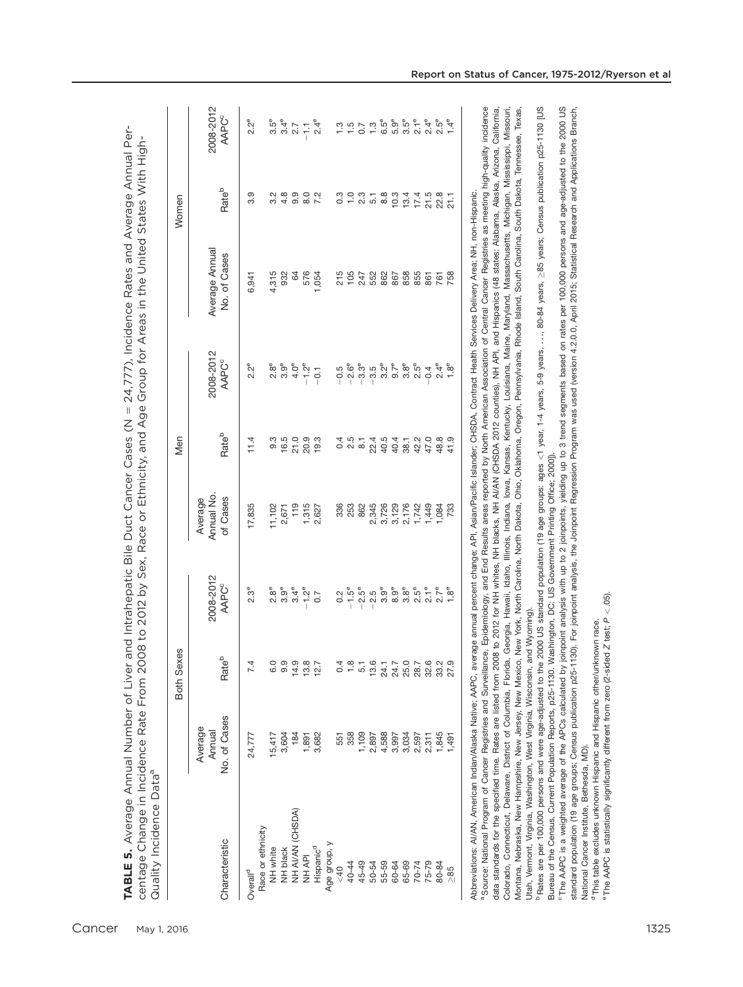| /er and Intrahepatic Bile Duct Cancer Cases (N = 24,777), Incidence Rates and Average Annual Per<br>$\overline{a}$<br>Average Annual Numbe.<br>ABLE 5. A  |
|-----------------------------------------------------------------------------------------------------------------------------------------------------------|
| 2008 to 2012 by Sex, Race or Ethnicity, and Age Group for Areas in the United States With High-<br>ange in Incidence Rate From<br>ich") anctini<br>י<br>כ |
| : Dati<br>ز<br>2                                                                                                                                          |

|                                                                                                                                                                                                                                                                                                                                                                                                                                                                            |                                                                                                                                                                                                                                                                                             | Both Sexes                                                                                                                                                                                                                                                                                                                                                                            |                                                                                                                                                                                                                                                                                                                                                                                                                                                                                                                                         |                                                   | Men                     |                                                                                                                                                                                                                                                                                                                                                                                                                                                                                                                |                                | Women                    |                                                                                                                                    |
|----------------------------------------------------------------------------------------------------------------------------------------------------------------------------------------------------------------------------------------------------------------------------------------------------------------------------------------------------------------------------------------------------------------------------------------------------------------------------|---------------------------------------------------------------------------------------------------------------------------------------------------------------------------------------------------------------------------------------------------------------------------------------------|---------------------------------------------------------------------------------------------------------------------------------------------------------------------------------------------------------------------------------------------------------------------------------------------------------------------------------------------------------------------------------------|-----------------------------------------------------------------------------------------------------------------------------------------------------------------------------------------------------------------------------------------------------------------------------------------------------------------------------------------------------------------------------------------------------------------------------------------------------------------------------------------------------------------------------------------|---------------------------------------------------|-------------------------|----------------------------------------------------------------------------------------------------------------------------------------------------------------------------------------------------------------------------------------------------------------------------------------------------------------------------------------------------------------------------------------------------------------------------------------------------------------------------------------------------------------|--------------------------------|--------------------------|------------------------------------------------------------------------------------------------------------------------------------|
| Characteristic                                                                                                                                                                                                                                                                                                                                                                                                                                                             | No. of Cases<br>Average<br>Annual                                                                                                                                                                                                                                                           | Rate <sup>b</sup>                                                                                                                                                                                                                                                                                                                                                                     | 2008-2012<br>AAPC <sup>c</sup>                                                                                                                                                                                                                                                                                                                                                                                                                                                                                                          | Average<br>Annual No.<br>of Cases                 | Rate <sup>b</sup>       | 2008-2012<br>AAPC <sup>c</sup>                                                                                                                                                                                                                                                                                                                                                                                                                                                                                 | Average Annual<br>No. of Cases | <b>Rate</b> <sup>b</sup> | 2008-2012<br>AAPC <sup>c</sup>                                                                                                     |
| Race or ethnicity<br>Overall <sup>d</sup>                                                                                                                                                                                                                                                                                                                                                                                                                                  | 24,777                                                                                                                                                                                                                                                                                      | 7.4                                                                                                                                                                                                                                                                                                                                                                                   | $2.3^{\circ}$                                                                                                                                                                                                                                                                                                                                                                                                                                                                                                                           | 17,835                                            | 11.4                    | $2.2^e$                                                                                                                                                                                                                                                                                                                                                                                                                                                                                                        | 6,941                          | 9.9                      | $2.2^e$                                                                                                                            |
| NH white                                                                                                                                                                                                                                                                                                                                                                                                                                                                   |                                                                                                                                                                                                                                                                                             |                                                                                                                                                                                                                                                                                                                                                                                       |                                                                                                                                                                                                                                                                                                                                                                                                                                                                                                                                         | $\frac{11,102}{2,671}$<br>2.671<br>1.315<br>2.627 |                         | စီ စီ စီ ပီ ပုံ<br>လက် ၁ ပုံ – ၂<br>တက် – ၂ ၂                                                                                                                                                                                                                                                                                                                                                                                                                                                                  |                                |                          | $5^{\circ}_{3}$ $4^{\circ}_{7}$ $7^{\circ}_{7}$ $4^{\circ}_{7}$<br>$3^{\circ}_{7}$ $3^{\circ}_{7}$ $4^{\circ}_{7}$ $5^{\circ}_{7}$ |
| NH black                                                                                                                                                                                                                                                                                                                                                                                                                                                                   | 15,417<br>3,604<br>184                                                                                                                                                                                                                                                                      |                                                                                                                                                                                                                                                                                                                                                                                       |                                                                                                                                                                                                                                                                                                                                                                                                                                                                                                                                         |                                                   |                         |                                                                                                                                                                                                                                                                                                                                                                                                                                                                                                                |                                | $23.89$<br>$3.49$        |                                                                                                                                    |
| NH AI/AN (CHSDA)                                                                                                                                                                                                                                                                                                                                                                                                                                                           |                                                                                                                                                                                                                                                                                             | 14.9                                                                                                                                                                                                                                                                                                                                                                                  |                                                                                                                                                                                                                                                                                                                                                                                                                                                                                                                                         |                                                   |                         |                                                                                                                                                                                                                                                                                                                                                                                                                                                                                                                |                                |                          |                                                                                                                                    |
| NH API                                                                                                                                                                                                                                                                                                                                                                                                                                                                     | 1,891                                                                                                                                                                                                                                                                                       |                                                                                                                                                                                                                                                                                                                                                                                       |                                                                                                                                                                                                                                                                                                                                                                                                                                                                                                                                         |                                                   |                         |                                                                                                                                                                                                                                                                                                                                                                                                                                                                                                                |                                |                          |                                                                                                                                    |
| Hispanic <sup>d</sup>                                                                                                                                                                                                                                                                                                                                                                                                                                                      | 3,682                                                                                                                                                                                                                                                                                       | $13.8$<br>$12.7$                                                                                                                                                                                                                                                                                                                                                                      |                                                                                                                                                                                                                                                                                                                                                                                                                                                                                                                                         |                                                   | sidas<br>Sidas<br>Sidas |                                                                                                                                                                                                                                                                                                                                                                                                                                                                                                                | 4,315<br>932<br>576<br>1,054   | $8.0$<br>7.2             |                                                                                                                                    |
| Age group, y                                                                                                                                                                                                                                                                                                                                                                                                                                                               |                                                                                                                                                                                                                                                                                             |                                                                                                                                                                                                                                                                                                                                                                                       |                                                                                                                                                                                                                                                                                                                                                                                                                                                                                                                                         |                                                   |                         |                                                                                                                                                                                                                                                                                                                                                                                                                                                                                                                |                                |                          |                                                                                                                                    |
| $rac{40}{5}$                                                                                                                                                                                                                                                                                                                                                                                                                                                               | 551                                                                                                                                                                                                                                                                                         |                                                                                                                                                                                                                                                                                                                                                                                       |                                                                                                                                                                                                                                                                                                                                                                                                                                                                                                                                         |                                                   |                         |                                                                                                                                                                                                                                                                                                                                                                                                                                                                                                                |                                |                          |                                                                                                                                    |
|                                                                                                                                                                                                                                                                                                                                                                                                                                                                            | 358                                                                                                                                                                                                                                                                                         | $\frac{8}{1}$                                                                                                                                                                                                                                                                                                                                                                         |                                                                                                                                                                                                                                                                                                                                                                                                                                                                                                                                         |                                                   |                         |                                                                                                                                                                                                                                                                                                                                                                                                                                                                                                                |                                |                          |                                                                                                                                    |
|                                                                                                                                                                                                                                                                                                                                                                                                                                                                            |                                                                                                                                                                                                                                                                                             | 5.1                                                                                                                                                                                                                                                                                                                                                                                   |                                                                                                                                                                                                                                                                                                                                                                                                                                                                                                                                         |                                                   |                         |                                                                                                                                                                                                                                                                                                                                                                                                                                                                                                                |                                |                          |                                                                                                                                    |
|                                                                                                                                                                                                                                                                                                                                                                                                                                                                            |                                                                                                                                                                                                                                                                                             |                                                                                                                                                                                                                                                                                                                                                                                       |                                                                                                                                                                                                                                                                                                                                                                                                                                                                                                                                         |                                                   |                         |                                                                                                                                                                                                                                                                                                                                                                                                                                                                                                                |                                |                          |                                                                                                                                    |
| $\begin{array}{cccccccccc} A & A & B & B & B & B & C & C & B & S & S \\ A & B & B & B & B & C & C & D & B & S & S \\ A & B & B & B & B & C & C & C & D & S & S \\ A & B & B & B & C & C & C & C & D & S & S \\ A & B & C & D & C & C & C & D & C & D & S & S \\ A & C & D & C & D & C & C & D & C & D & S & S \\ A & D & D & D & C & D & C & D & C & D & S & S \\ A & D & D & D & C & D & C & D & C & D & C & S \\ A & D & D & D & D & C & D & C & D & C & D & S \\ A & D$ | $\begin{array}{l} 0.087 \\ 0.0708 \\ 0.0709 \\ 0.0709 \\ 0.0709 \\ 0.0709 \\ 0.0709 \\ 0.0709 \\ 0.0709 \\ 0.0709 \\ 0.0709 \\ 0.0709 \\ 0.0709 \\ 0.0709 \\ 0.0709 \\ 0.0709 \\ 0.0709 \\ 0.0709 \\ 0.0709 \\ 0.0709 \\ 0.0709 \\ 0.0709 \\ 0.0709 \\ 0.0709 \\ 0.0709 \\ 0.0709 \\ 0.070$ | $\begin{array}{l} 6 \\ 2 \\ 3 \\ 4 \\ 5 \\ 6 \\ 7 \\ 8 \\ 1 \\ 6 \\ 9 \\ 1 \\ 1 \\ 1 \\ 2 \\ 3 \\ 4 \\ 5 \\ 6 \\ 7 \\ 9 \\ 1 \\ 1 \\ 2 \\ 3 \\ 4 \\ 4 \\ 5 \\ 6 \\ 9 \\ 1 \\ 9 \\ 1 \\ 9 \\ 1 \\ 9 \\ 1 \\ 9 \\ 1 \\ 9 \\ 1 \\ 9 \\ 1 \\ 9 \\ 1 \\ 9 \\ 1 \\ 9 \\ 1 \\ 9 \\ 1 \\ 9 \\ 1 \\ 9 \\ 1 \\ 9 \\ 1 \\ 9 \\ 1 \\ 9 \\ 1 \\ 9 \\ 1 \\ 9 \\ 1 \\ 9 \\ 1 \\ 9 \\ 1 \\ 9 \\ 1 \\$ | $\begin{array}{l} \alpha \stackrel{p}{\alpha} \stackrel{p}{\alpha} \stackrel{p}{\alpha} \stackrel{p}{\alpha} \stackrel{p}{\alpha} \stackrel{p}{\alpha} \stackrel{p}{\alpha} \stackrel{p}{\alpha} \stackrel{p}{\alpha} \stackrel{p}{\alpha} \stackrel{p}{\alpha} \stackrel{p}{\alpha} \stackrel{p}{\alpha} \stackrel{p}{\alpha} \stackrel{p}{\alpha} \stackrel{p}{\alpha} \stackrel{p}{\alpha} \stackrel{p}{\alpha} \stackrel{p}{\alpha} \stackrel{p}{\alpha} \stackrel{p}{\alpha} \stackrel{p}{\alpha} \stackrel{p}{\alpha} \stackrel{$ |                                                   |                         | $\begin{array}{l} \mathbf{0} \end{array} \begin{array}{l} \mathbf{0} \end{array} \begin{array}{l} \mathbf{0} \end{array} \begin{array}{l} \mathbf{0} \end{array} \begin{array}{l} \mathbf{0} \end{array} \begin{array}{l} \mathbf{0} \end{array} \begin{array}{l} \mathbf{0} \end{array} \begin{array}{l} \mathbf{0} \end{array} \begin{array}{l} \mathbf{0} \end{array} \begin{array}{l} \mathbf{0} \end{array} \begin{array}{l} \mathbf{0} \end{array} \begin{array}{l} \mathbf{0} \end{array} \begin{array$ |                                |                          |                                                                                                                                    |
|                                                                                                                                                                                                                                                                                                                                                                                                                                                                            |                                                                                                                                                                                                                                                                                             |                                                                                                                                                                                                                                                                                                                                                                                       |                                                                                                                                                                                                                                                                                                                                                                                                                                                                                                                                         |                                                   |                         |                                                                                                                                                                                                                                                                                                                                                                                                                                                                                                                |                                |                          |                                                                                                                                    |
|                                                                                                                                                                                                                                                                                                                                                                                                                                                                            |                                                                                                                                                                                                                                                                                             |                                                                                                                                                                                                                                                                                                                                                                                       |                                                                                                                                                                                                                                                                                                                                                                                                                                                                                                                                         |                                                   |                         |                                                                                                                                                                                                                                                                                                                                                                                                                                                                                                                |                                |                          |                                                                                                                                    |
|                                                                                                                                                                                                                                                                                                                                                                                                                                                                            |                                                                                                                                                                                                                                                                                             |                                                                                                                                                                                                                                                                                                                                                                                       |                                                                                                                                                                                                                                                                                                                                                                                                                                                                                                                                         |                                                   |                         |                                                                                                                                                                                                                                                                                                                                                                                                                                                                                                                |                                |                          |                                                                                                                                    |
|                                                                                                                                                                                                                                                                                                                                                                                                                                                                            |                                                                                                                                                                                                                                                                                             |                                                                                                                                                                                                                                                                                                                                                                                       |                                                                                                                                                                                                                                                                                                                                                                                                                                                                                                                                         |                                                   |                         |                                                                                                                                                                                                                                                                                                                                                                                                                                                                                                                |                                |                          |                                                                                                                                    |
|                                                                                                                                                                                                                                                                                                                                                                                                                                                                            |                                                                                                                                                                                                                                                                                             | 33.2                                                                                                                                                                                                                                                                                                                                                                                  |                                                                                                                                                                                                                                                                                                                                                                                                                                                                                                                                         |                                                   |                         |                                                                                                                                                                                                                                                                                                                                                                                                                                                                                                                |                                |                          |                                                                                                                                    |
|                                                                                                                                                                                                                                                                                                                                                                                                                                                                            | $-65$                                                                                                                                                                                                                                                                                       | 27.9                                                                                                                                                                                                                                                                                                                                                                                  |                                                                                                                                                                                                                                                                                                                                                                                                                                                                                                                                         |                                                   |                         |                                                                                                                                                                                                                                                                                                                                                                                                                                                                                                                |                                |                          |                                                                                                                                    |
|                                                                                                                                                                                                                                                                                                                                                                                                                                                                            |                                                                                                                                                                                                                                                                                             |                                                                                                                                                                                                                                                                                                                                                                                       |                                                                                                                                                                                                                                                                                                                                                                                                                                                                                                                                         |                                                   |                         |                                                                                                                                                                                                                                                                                                                                                                                                                                                                                                                |                                |                          |                                                                                                                                    |

Abbreviations: AI/AN, American Indian/Alaska Native; AAPC, average annual percent change; API, Asian/Padific Islander; CHSDA, Contract Health Services Delivery Area; NH, non-Hispanic.

Abbreviations: AI/AN, American Indian/Alaska Native; AAPC, average annual percent change; API, Asian/Pacific Islander; CHSDA, Contract Health Services Delivery Area; NH, non-Hispanic.<br><sup>a</sup> Source: National Program of Cancer <sup>8</sup>Source: National Program of Cancer Registries and Surveillance, Epidemiology, and End Results areas reported by North American Association of Central Cancer Registries as meeting high-quality incidence data standards for the specified time. Rates are listed from 2008 to 2012 for NH whites, NH Mexics, NH AVAN (CHSDA 2012 counties), NH API, and Hispanics (48 states: Alabama, Alaska, Arizona, California, Colorado, Connecticut, Delaware, District of Columbia, Florida, Georgia, Hawaii, Idaho, Illinois, Indiana, Iowa, Kansas, Kentucky, Louisiana, Maryand, Massachusetts, Michigan, Mississippi, Missouri, Montana, Nebraska, New Hampshire, New Jersey, New Mexico, New York, North Carolina, North Dakota, Ohio, Oklahoma, Oregon, Pennsylvania, Rhode Island, South Carolina, South Dakota, Tennessee, Texas, data standards for the specified time. Rates are listed from 2008 to 2012 for NH whites, NH blacks, NH AI/AN (CHSDA 2012 counties), NH API, and Hispanics (48 states: Alabama, Alaska, Arizona, California, Colorado, Connecticut, Delaware, District of Columbia, Florida, Georgia, Hawaii, Idaho, Illinois, Indiana, Iowa, Kansas, Kentucky, Louisiana, Maine, Maryland, Massachusetts, Michigan, Mississippi, Missouri, Montana, New Hampshire, New Jersey, New Mexico, New York, North Carolina, North Dakota, Ohio, Oklahoma, Oregon, Pennsylvania, Rhode Island, South Dakota, Tennessee, Texas, Utah, Vermont, Virginia, Washington, West Virginia, Wisconsin, and Wyoming). Utah, Vermont, Virginia, Washington, West Virginia, Wisconsin, and Wyoming).

PRates are per 100,000 persons and were age-adjusted to the 2000 US standard population (19 age groups: ages <1 year, 1-4 years, 5-9 years, …, 80-84 years, ≳85 years; Census publication p25-1130 [US 85 years; Census publication p25-1130 [US PRates are per 100,000 persons and were age-adjusted to the 2000 US standard population (19 age groups: ages  $<$ 1 year, 1-4 years, 5-9 years, ..., 80-84 years,  $\geq$ Bureau of the Census, Current Population Reports, p25-1130. Washington, DC: US Government Printing Office; 2000)). Bureau of the Census, Current Population Reports, p25-1130. Washington, DC: US Government Printing Office; 2000]).

The AAPC is a weighted average of the APCs calculated by joinpoint analysis with up to 2 joinpoints, yielding up to 3 trend segments based on rates per 100,000 persons and age-adjusted to the 2000 US standard population (19 age groups; Census publication p25-1130). For joinpoint analysis, the Joinpoint Regression Program was used (version 42.0.0, April 2015; Statistical Research and Applications Branch, The AAPC is a weighted average of the APCs calculated by joinpoint analysis with up to 2 joinpoints, yielding up to 3 trend segments based on rates per 100,000 persons and age-adjusted to the 2000 US standard population (19 age groups; Census publication p25-1130). For joinpoint analysis, the Joinpoint analysis, the Joinpoint analysis, the Joinpoint analysis, Statistical Research and Applications Branch Vational Cancer Institute, Bethesda, MD). National Cancer Institute, Bethesda, MD).

<sup>1</sup>This table excludes unknown Hispanic and Hispanic other/unknown race. This table excludes unknown Hispanic and Hispanic other/unknown race.

 The AAPC is statistically significantly different from zero (2-sided  $Z$  test;  $P < .05$ ).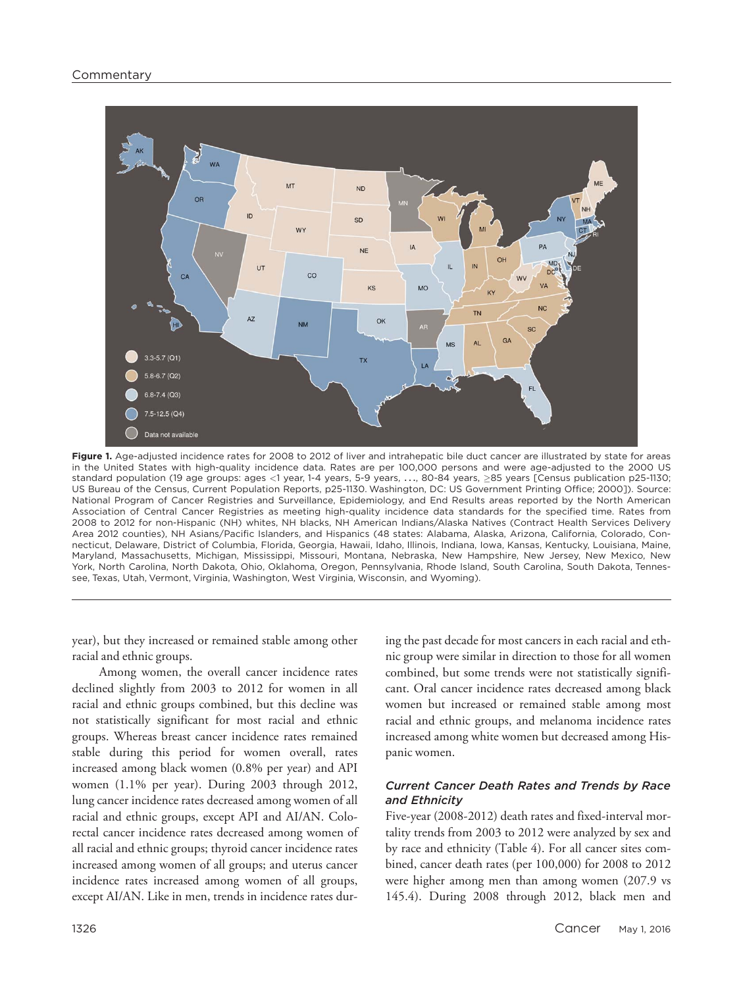

Figure 1. Age-adjusted incidence rates for 2008 to 2012 of liver and intrahepatic bile duct cancer are illustrated by state for areas in the United States with high-quality incidence data. Rates are per 100,000 persons and were age-adjusted to the 2000 US standard population (19 age groups: ages <1 year, 1-4 years, 5-9 years, …, 80-84 years,  ${\geq}85$  years [Census publication p25-1130; US Bureau of the Census, Current Population Reports, p25-1130. Washington, DC: US Government Printing Office; 2000]). Source: National Program of Cancer Registries and Surveillance, Epidemiology, and End Results areas reported by the North American Association of Central Cancer Registries as meeting high-quality incidence data standards for the specified time. Rates from 2008 to 2012 for non-Hispanic (NH) whites, NH blacks, NH American Indians/Alaska Natives (Contract Health Services Delivery Area 2012 counties), NH Asians/Pacific Islanders, and Hispanics (48 states: Alabama, Alaska, Arizona, California, Colorado, Connecticut, Delaware, District of Columbia, Florida, Georgia, Hawaii, Idaho, Illinois, Indiana, Iowa, Kansas, Kentucky, Louisiana, Maine, Maryland, Massachusetts, Michigan, Mississippi, Missouri, Montana, Nebraska, New Hampshire, New Jersey, New Mexico, New York, North Carolina, North Dakota, Ohio, Oklahoma, Oregon, Pennsylvania, Rhode Island, South Carolina, South Dakota, Tennessee, Texas, Utah, Vermont, Virginia, Washington, West Virginia, Wisconsin, and Wyoming).

year), but they increased or remained stable among other racial and ethnic groups.

Among women, the overall cancer incidence rates declined slightly from 2003 to 2012 for women in all racial and ethnic groups combined, but this decline was not statistically significant for most racial and ethnic groups. Whereas breast cancer incidence rates remained stable during this period for women overall, rates increased among black women (0.8% per year) and API women (1.1% per year). During 2003 through 2012, lung cancer incidence rates decreased among women of all racial and ethnic groups, except API and AI/AN. Colorectal cancer incidence rates decreased among women of all racial and ethnic groups; thyroid cancer incidence rates increased among women of all groups; and uterus cancer incidence rates increased among women of all groups, except AI/AN. Like in men, trends in incidence rates during the past decade for most cancers in each racial and ethnic group were similar in direction to those for all women combined, but some trends were not statistically significant. Oral cancer incidence rates decreased among black women but increased or remained stable among most racial and ethnic groups, and melanoma incidence rates increased among white women but decreased among Hispanic women.

## Current Cancer Death Rates and Trends by Race and Ethnicity

Five-year (2008-2012) death rates and fixed-interval mortality trends from 2003 to 2012 were analyzed by sex and by race and ethnicity (Table 4). For all cancer sites combined, cancer death rates (per 100,000) for 2008 to 2012 were higher among men than among women (207.9 vs 145.4). During 2008 through 2012, black men and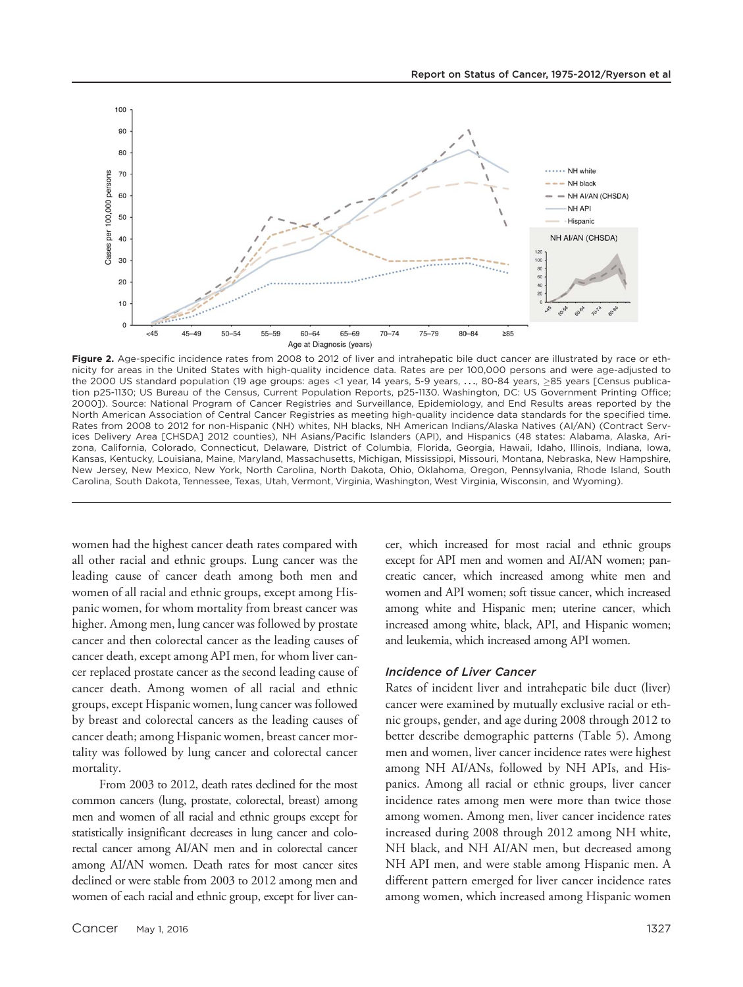

Figure 2. Age-specific incidence rates from 2008 to 2012 of liver and intrahepatic bile duct cancer are illustrated by race or ethnicity for areas in the United States with high-quality incidence data. Rates are per 100,000 persons and were age-adjusted to the 2000 US standard population (19 age groups: ages <1 year, 14 years, 5-9 years, …, 80-84 years,  $\geq$ 85 years [Census publication p25-1130; US Bureau of the Census, Current Population Reports, p25-1130. Washington, DC: US Government Printing Office; 2000]). Source: National Program of Cancer Registries and Surveillance, Epidemiology, and End Results areas reported by the North American Association of Central Cancer Registries as meeting high-quality incidence data standards for the specified time. Rates from 2008 to 2012 for non-Hispanic (NH) whites, NH blacks, NH American Indians/Alaska Natives (AI/AN) (Contract Services Delivery Area [CHSDA] 2012 counties), NH Asians/Pacific Islanders (API), and Hispanics (48 states: Alabama, Alaska, Arizona, California, Colorado, Connecticut, Delaware, District of Columbia, Florida, Georgia, Hawaii, Idaho, Illinois, Indiana, Iowa, Kansas, Kentucky, Louisiana, Maine, Maryland, Massachusetts, Michigan, Mississippi, Missouri, Montana, Nebraska, New Hampshire, New Jersey, New Mexico, New York, North Carolina, North Dakota, Ohio, Oklahoma, Oregon, Pennsylvania, Rhode Island, South Carolina, South Dakota, Tennessee, Texas, Utah, Vermont, Virginia, Washington, West Virginia, Wisconsin, and Wyoming).

women had the highest cancer death rates compared with all other racial and ethnic groups. Lung cancer was the leading cause of cancer death among both men and women of all racial and ethnic groups, except among Hispanic women, for whom mortality from breast cancer was higher. Among men, lung cancer was followed by prostate cancer and then colorectal cancer as the leading causes of cancer death, except among API men, for whom liver cancer replaced prostate cancer as the second leading cause of cancer death. Among women of all racial and ethnic groups, except Hispanic women, lung cancer was followed by breast and colorectal cancers as the leading causes of cancer death; among Hispanic women, breast cancer mortality was followed by lung cancer and colorectal cancer mortality.

From 2003 to 2012, death rates declined for the most common cancers (lung, prostate, colorectal, breast) among men and women of all racial and ethnic groups except for statistically insignificant decreases in lung cancer and colorectal cancer among AI/AN men and in colorectal cancer among AI/AN women. Death rates for most cancer sites declined or were stable from 2003 to 2012 among men and women of each racial and ethnic group, except for liver cancer, which increased for most racial and ethnic groups except for API men and women and AI/AN women; pancreatic cancer, which increased among white men and women and API women; soft tissue cancer, which increased among white and Hispanic men; uterine cancer, which increased among white, black, API, and Hispanic women; and leukemia, which increased among API women.

#### Incidence of Liver Cancer

Rates of incident liver and intrahepatic bile duct (liver) cancer were examined by mutually exclusive racial or ethnic groups, gender, and age during 2008 through 2012 to better describe demographic patterns (Table 5). Among men and women, liver cancer incidence rates were highest among NH AI/ANs, followed by NH APIs, and Hispanics. Among all racial or ethnic groups, liver cancer incidence rates among men were more than twice those among women. Among men, liver cancer incidence rates increased during 2008 through 2012 among NH white, NH black, and NH AI/AN men, but decreased among NH API men, and were stable among Hispanic men. A different pattern emerged for liver cancer incidence rates among women, which increased among Hispanic women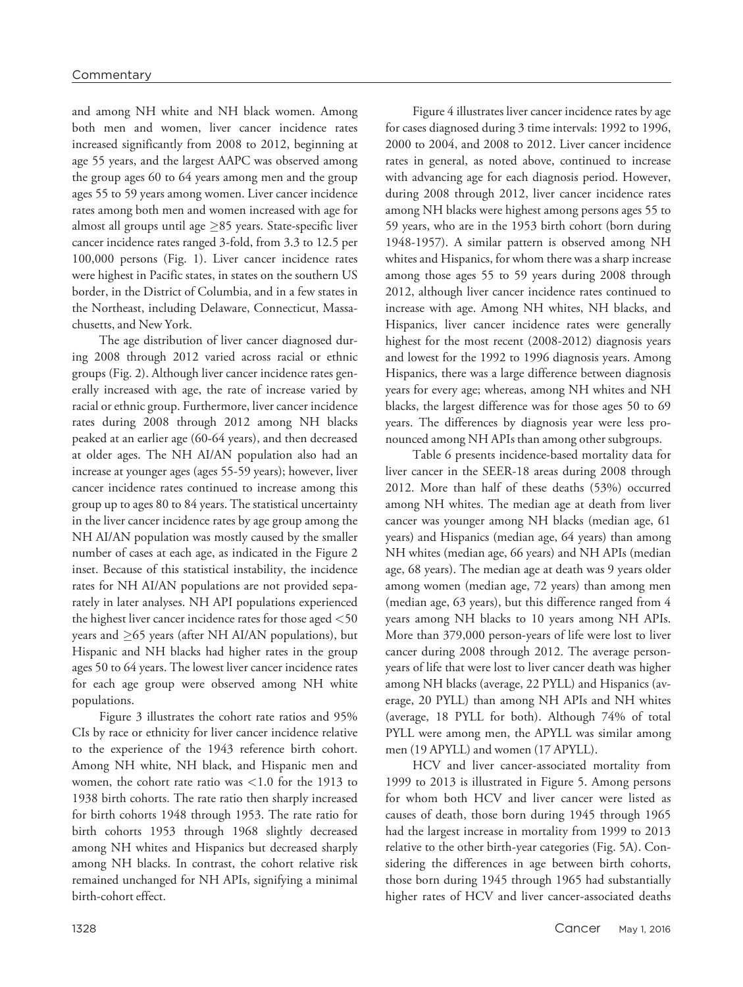and among NH white and NH black women. Among both men and women, liver cancer incidence rates increased significantly from 2008 to 2012, beginning at age 55 years, and the largest AAPC was observed among the group ages 60 to 64 years among men and the group ages 55 to 59 years among women. Liver cancer incidence rates among both men and women increased with age for almost all groups until age  ${\geq}85$  years. State-specific liver cancer incidence rates ranged 3-fold, from 3.3 to 12.5 per 100,000 persons (Fig. 1). Liver cancer incidence rates were highest in Pacific states, in states on the southern US border, in the District of Columbia, and in a few states in the Northeast, including Delaware, Connecticut, Massachusetts, and New York.

The age distribution of liver cancer diagnosed during 2008 through 2012 varied across racial or ethnic groups (Fig. 2). Although liver cancer incidence rates generally increased with age, the rate of increase varied by racial or ethnic group. Furthermore, liver cancer incidence rates during 2008 through 2012 among NH blacks peaked at an earlier age (60-64 years), and then decreased at older ages. The NH AI/AN population also had an increase at younger ages (ages 55-59 years); however, liver cancer incidence rates continued to increase among this group up to ages 80 to 84 years. The statistical uncertainty in the liver cancer incidence rates by age group among the NH AI/AN population was mostly caused by the smaller number of cases at each age, as indicated in the Figure 2 inset. Because of this statistical instability, the incidence rates for NH AI/AN populations are not provided separately in later analyses. NH API populations experienced the highest liver cancer incidence rates for those aged <50 years and  ${\geq}65$  years (after NH AI/AN populations), but Hispanic and NH blacks had higher rates in the group ages 50 to 64 years. The lowest liver cancer incidence rates for each age group were observed among NH white populations.

Figure 3 illustrates the cohort rate ratios and 95% CIs by race or ethnicity for liver cancer incidence relative to the experience of the 1943 reference birth cohort. Among NH white, NH black, and Hispanic men and women, the cohort rate ratio was <1.0 for the 1913 to 1938 birth cohorts. The rate ratio then sharply increased for birth cohorts 1948 through 1953. The rate ratio for birth cohorts 1953 through 1968 slightly decreased among NH whites and Hispanics but decreased sharply among NH blacks. In contrast, the cohort relative risk remained unchanged for NH APIs, signifying a minimal birth-cohort effect.

Figure 4 illustrates liver cancer incidence rates by age for cases diagnosed during 3 time intervals: 1992 to 1996, 2000 to 2004, and 2008 to 2012. Liver cancer incidence rates in general, as noted above, continued to increase with advancing age for each diagnosis period. However, during 2008 through 2012, liver cancer incidence rates among NH blacks were highest among persons ages 55 to 59 years, who are in the 1953 birth cohort (born during 1948-1957). A similar pattern is observed among NH whites and Hispanics, for whom there was a sharp increase among those ages 55 to 59 years during 2008 through 2012, although liver cancer incidence rates continued to increase with age. Among NH whites, NH blacks, and Hispanics, liver cancer incidence rates were generally highest for the most recent (2008-2012) diagnosis years and lowest for the 1992 to 1996 diagnosis years. Among Hispanics, there was a large difference between diagnosis years for every age; whereas, among NH whites and NH blacks, the largest difference was for those ages 50 to 69 years. The differences by diagnosis year were less pronounced among NH APIs than among other subgroups.

Table 6 presents incidence-based mortality data for liver cancer in the SEER-18 areas during 2008 through 2012. More than half of these deaths (53%) occurred among NH whites. The median age at death from liver cancer was younger among NH blacks (median age, 61 years) and Hispanics (median age, 64 years) than among NH whites (median age, 66 years) and NH APIs (median age, 68 years). The median age at death was 9 years older among women (median age, 72 years) than among men (median age, 63 years), but this difference ranged from 4 years among NH blacks to 10 years among NH APIs. More than 379,000 person-years of life were lost to liver cancer during 2008 through 2012. The average personyears of life that were lost to liver cancer death was higher among NH blacks (average, 22 PYLL) and Hispanics (average, 20 PYLL) than among NH APIs and NH whites (average, 18 PYLL for both). Although 74% of total PYLL were among men, the APYLL was similar among men (19 APYLL) and women (17 APYLL).

HCV and liver cancer-associated mortality from 1999 to 2013 is illustrated in Figure 5. Among persons for whom both HCV and liver cancer were listed as causes of death, those born during 1945 through 1965 had the largest increase in mortality from 1999 to 2013 relative to the other birth-year categories (Fig. 5A). Considering the differences in age between birth cohorts, those born during 1945 through 1965 had substantially higher rates of HCV and liver cancer-associated deaths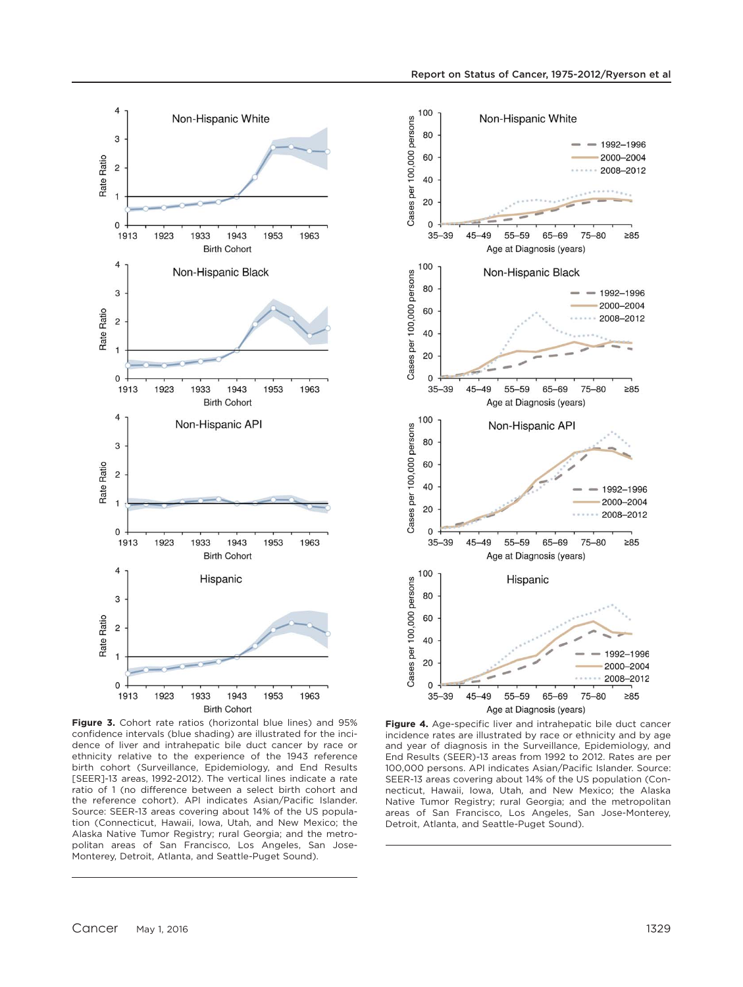

Figure 3. Cohort rate ratios (horizontal blue lines) and 95% confidence intervals (blue shading) are illustrated for the incidence of liver and intrahepatic bile duct cancer by race or ethnicity relative to the experience of the 1943 reference birth cohort (Surveillance, Epidemiology, and End Results [SEER]-13 areas, 1992-2012). The vertical lines indicate a rate ratio of 1 (no difference between a select birth cohort and the reference cohort). API indicates Asian/Pacific Islander. Source: SEER-13 areas covering about 14% of the US population (Connecticut, Hawaii, Iowa, Utah, and New Mexico; the Alaska Native Tumor Registry; rural Georgia; and the metropolitan areas of San Francisco, Los Angeles, San Jose-Monterey, Detroit, Atlanta, and Seattle-Puget Sound).



Figure 4. Age-specific liver and intrahepatic bile duct cancer incidence rates are illustrated by race or ethnicity and by age and year of diagnosis in the Surveillance, Epidemiology, and End Results (SEER)-13 areas from 1992 to 2012. Rates are per 100,000 persons. API indicates Asian/Pacific Islander. Source: SEER-13 areas covering about 14% of the US population (Connecticut, Hawaii, Iowa, Utah, and New Mexico; the Alaska Native Tumor Registry; rural Georgia; and the metropolitan areas of San Francisco, Los Angeles, San Jose-Monterey, Detroit, Atlanta, and Seattle-Puget Sound).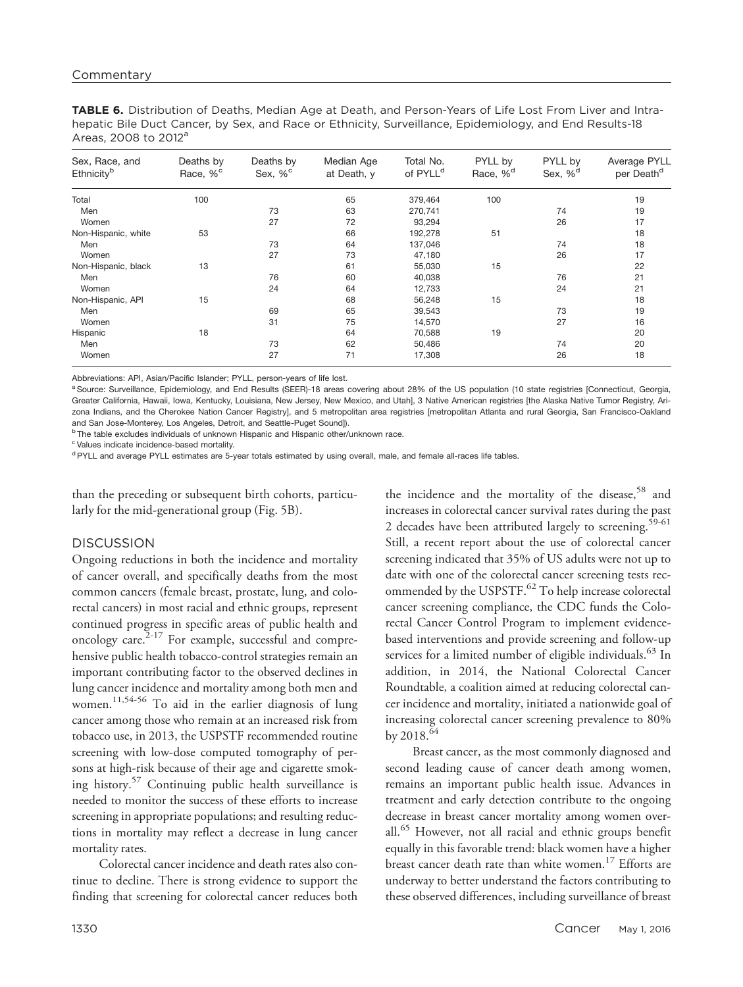TABLE 6. Distribution of Deaths, Median Age at Death, and Person-Years of Life Lost From Liver and Intrahepatic Bile Duct Cancer, by Sex, and Race or Ethnicity, Surveillance, Epidemiology, and End Results-18 Areas, 2008 to 2012<sup>a</sup>

| Sex, Race, and<br>Ethnicity <sup>b</sup> | Deaths by<br>Race, % <sup>c</sup> | Deaths by<br>Sex, %° | Median Age<br>at Death, y | Total No.<br>of PYLL <sup>d</sup> | PYLL by<br>Race, % <sup>d</sup> | PYLL by<br>Sex, % <sup>d</sup> | Average PYLL<br>per Death <sup>d</sup> |
|------------------------------------------|-----------------------------------|----------------------|---------------------------|-----------------------------------|---------------------------------|--------------------------------|----------------------------------------|
| Total                                    | 100                               |                      | 65                        | 379,464                           | 100                             |                                | 19                                     |
| Men                                      |                                   | 73                   | 63                        | 270,741                           |                                 | 74                             | 19                                     |
| Women                                    |                                   | 27                   | 72                        | 93,294                            |                                 | 26                             | 17                                     |
| Non-Hispanic, white                      | 53                                |                      | 66                        | 192,278                           | 51                              |                                | 18                                     |
| Men                                      |                                   | 73                   | 64                        | 137,046                           |                                 | 74                             | 18                                     |
| Women                                    |                                   | 27                   | 73                        | 47,180                            |                                 | 26                             | 17                                     |
| Non-Hispanic, black                      | 13                                |                      | 61                        | 55,030                            | 15                              |                                | 22                                     |
| Men                                      |                                   | 76                   | 60                        | 40,038                            |                                 | 76                             | 21                                     |
| Women                                    |                                   | 24                   | 64                        | 12,733                            |                                 | 24                             | 21                                     |
| Non-Hispanic, API                        | 15                                |                      | 68                        | 56,248                            | 15                              |                                | 18                                     |
| Men                                      |                                   | 69                   | 65                        | 39,543                            |                                 | 73                             | 19                                     |
| Women                                    |                                   | 31                   | 75                        | 14,570                            |                                 | 27                             | 16                                     |
| Hispanic                                 | 18                                |                      | 64                        | 70,588                            | 19                              |                                | 20                                     |
| Men                                      |                                   | 73                   | 62                        | 50,486                            |                                 | 74                             | 20                                     |
| Women                                    |                                   | 27                   | 71                        | 17,308                            |                                 | 26                             | 18                                     |

Abbreviations: API, Asian/Pacific Islander; PYLL, person-years of life lost.

a Source: Surveillance, Epidemiology, and End Results (SEER)-18 areas covering about 28% of the US population (10 state registries [Connecticut, Georgia, Greater California, Hawaii, Iowa, Kentucky, Louisiana, New Jersey, New Mexico, and Utah], 3 Native American registries [the Alaska Native Tumor Registry, Arizona Indians, and the Cherokee Nation Cancer Registry], and 5 metropolitan area registries [metropolitan Atlanta and rural Georgia, San Francisco-Oakland and San Jose-Monterey, Los Angeles, Detroit, and Seattle-Puget Sound]).

<sup>b</sup> The table excludes individuals of unknown Hispanic and Hispanic other/unknown race.

<sup>c</sup> Values indicate incidence-based mortality.

<sup>d</sup>PYLL and average PYLL estimates are 5-year totals estimated by using overall, male, and female all-races life tables.

than the preceding or subsequent birth cohorts, particularly for the mid-generational group (Fig. 5B).

#### **DISCUSSION**

Ongoing reductions in both the incidence and mortality of cancer overall, and specifically deaths from the most common cancers (female breast, prostate, lung, and colorectal cancers) in most racial and ethnic groups, represent continued progress in specific areas of public health and  $\frac{2.2}{17}$  For example, successful and comprehensive public health tobacco-control strategies remain an important contributing factor to the observed declines in lung cancer incidence and mortality among both men and women. $11,54-56$  To aid in the earlier diagnosis of lung cancer among those who remain at an increased risk from tobacco use, in 2013, the USPSTF recommended routine screening with low-dose computed tomography of persons at high-risk because of their age and cigarette smoking history.57 Continuing public health surveillance is needed to monitor the success of these efforts to increase screening in appropriate populations; and resulting reductions in mortality may reflect a decrease in lung cancer mortality rates.

Colorectal cancer incidence and death rates also continue to decline. There is strong evidence to support the finding that screening for colorectal cancer reduces both the incidence and the mortality of the disease,  $58$  and increases in colorectal cancer survival rates during the past 2 decades have been attributed largely to screening.<sup>59-61</sup> Still, a recent report about the use of colorectal cancer screening indicated that 35% of US adults were not up to date with one of the colorectal cancer screening tests recommended by the USPSTF.<sup>62</sup> To help increase colorectal cancer screening compliance, the CDC funds the Colorectal Cancer Control Program to implement evidencebased interventions and provide screening and follow-up services for a limited number of eligible individuals.<sup>63</sup> In addition, in 2014, the National Colorectal Cancer Roundtable, a coalition aimed at reducing colorectal cancer incidence and mortality, initiated a nationwide goal of increasing colorectal cancer screening prevalence to 80% by 2018. $64$ 

Breast cancer, as the most commonly diagnosed and second leading cause of cancer death among women, remains an important public health issue. Advances in treatment and early detection contribute to the ongoing decrease in breast cancer mortality among women overall.<sup>65</sup> However, not all racial and ethnic groups benefit equally in this favorable trend: black women have a higher breast cancer death rate than white women.<sup>17</sup> Efforts are underway to better understand the factors contributing to these observed differences, including surveillance of breast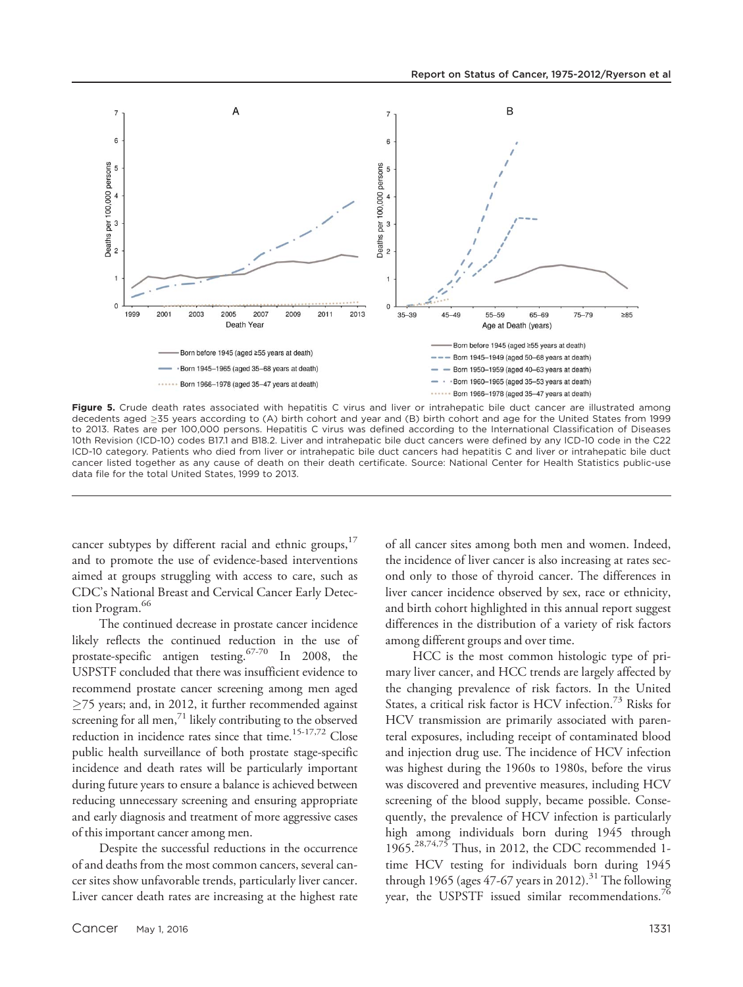

Figure 5. Crude death rates associated with hepatitis C virus and liver or intrahepatic bile duct cancer are illustrated among decedents aged  $\geq$ 35 years according to (A) birth cohort and year and (B) birth cohort and age for the United States from 1999 to 2013. Rates are per 100,000 persons. Hepatitis C virus was defined according to the International Classification of Diseases 10th Revision (ICD-10) codes B17.1 and B18.2. Liver and intrahepatic bile duct cancers were defined by any ICD-10 code in the C22 ICD-10 category. Patients who died from liver or intrahepatic bile duct cancers had hepatitis C and liver or intrahepatic bile duct cancer listed together as any cause of death on their death certificate. Source: National Center for Health Statistics public-use data file for the total United States, 1999 to 2013.

cancer subtypes by different racial and ethnic groups,<sup>17</sup> and to promote the use of evidence-based interventions aimed at groups struggling with access to care, such as CDC's National Breast and Cervical Cancer Early Detection Program.<sup>66</sup>

The continued decrease in prostate cancer incidence likely reflects the continued reduction in the use of prostate-specific antigen testing.67-70 In 2008, the USPSTF concluded that there was insufficient evidence to recommend prostate cancer screening among men aged  $\geq$ 75 years; and, in 2012, it further recommended against screening for all men, $71$  likely contributing to the observed reduction in incidence rates since that time.<sup>15-17,72</sup> Close public health surveillance of both prostate stage-specific incidence and death rates will be particularly important during future years to ensure a balance is achieved between reducing unnecessary screening and ensuring appropriate and early diagnosis and treatment of more aggressive cases of this important cancer among men.

Despite the successful reductions in the occurrence of and deaths from the most common cancers, several cancer sites show unfavorable trends, particularly liver cancer. Liver cancer death rates are increasing at the highest rate

Cancer May 1, 2016 1331 1332 1332 1332 1332 1333 1334 1335 1337 1337 1338 1339 1331 1331 1331 1332 1333 1331 1

of all cancer sites among both men and women. Indeed, the incidence of liver cancer is also increasing at rates second only to those of thyroid cancer. The differences in liver cancer incidence observed by sex, race or ethnicity, and birth cohort highlighted in this annual report suggest differences in the distribution of a variety of risk factors among different groups and over time.

HCC is the most common histologic type of primary liver cancer, and HCC trends are largely affected by the changing prevalence of risk factors. In the United States, a critical risk factor is HCV infection.<sup>73</sup> Risks for HCV transmission are primarily associated with parenteral exposures, including receipt of contaminated blood and injection drug use. The incidence of HCV infection was highest during the 1960s to 1980s, before the virus was discovered and preventive measures, including HCV screening of the blood supply, became possible. Consequently, the prevalence of HCV infection is particularly high among individuals born during 1945 through  $1965.^{28,74,75}$  Thus, in 2012, the CDC recommended 1time HCV testing for individuals born during 1945 through 1965 (ages  $47-67$  years in 2012).<sup>31</sup> The following year, the USPSTF issued similar recommendations.<sup>76</sup>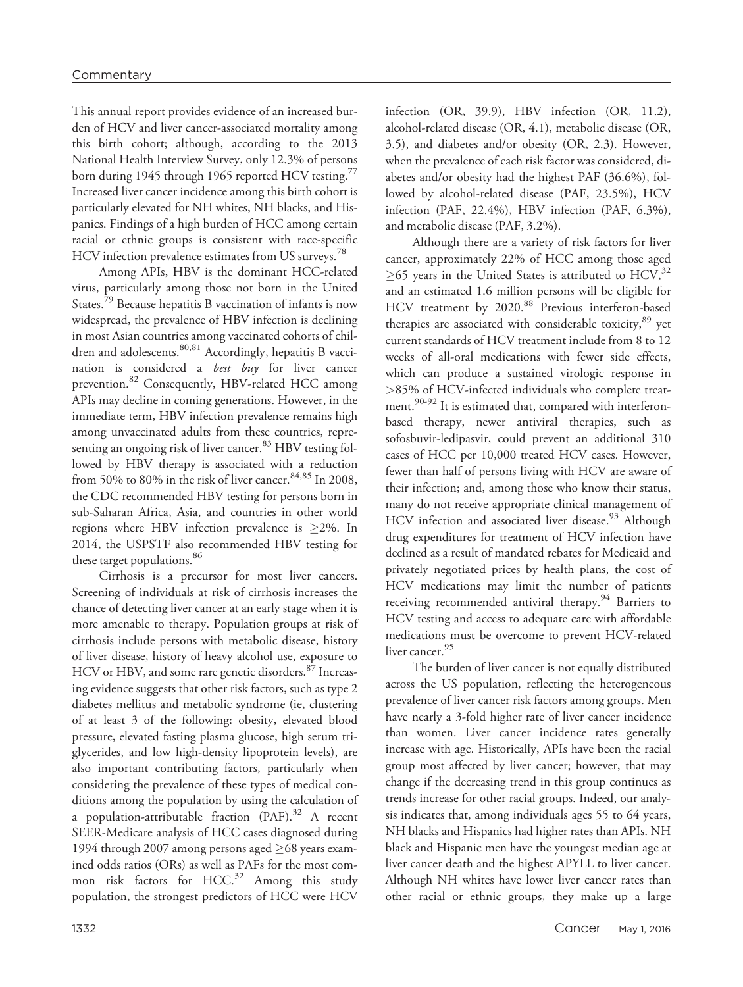This annual report provides evidence of an increased burden of HCV and liver cancer-associated mortality among this birth cohort; although, according to the 2013 National Health Interview Survey, only 12.3% of persons born during 1945 through 1965 reported HCV testing.<sup>77</sup> Increased liver cancer incidence among this birth cohort is particularly elevated for NH whites, NH blacks, and Hispanics. Findings of a high burden of HCC among certain racial or ethnic groups is consistent with race-specific HCV infection prevalence estimates from US surveys.<sup>78</sup>

Among APIs, HBV is the dominant HCC-related virus, particularly among those not born in the United States.<sup>79</sup> Because hepatitis B vaccination of infants is now widespread, the prevalence of HBV infection is declining in most Asian countries among vaccinated cohorts of children and adolescents.<sup>80,81</sup> Accordingly, hepatitis B vaccination is considered a best buy for liver cancer prevention.<sup>82</sup> Consequently, HBV-related HCC among APIs may decline in coming generations. However, in the immediate term, HBV infection prevalence remains high among unvaccinated adults from these countries, representing an ongoing risk of liver cancer.<sup>83</sup> HBV testing followed by HBV therapy is associated with a reduction from 50% to 80% in the risk of liver cancer.  $84,85$  In 2008, the CDC recommended HBV testing for persons born in sub-Saharan Africa, Asia, and countries in other world regions where HBV infection prevalence is  $\geq$ 2%. In 2014, the USPSTF also recommended HBV testing for these target populations.<sup>86</sup>

Cirrhosis is a precursor for most liver cancers. Screening of individuals at risk of cirrhosis increases the chance of detecting liver cancer at an early stage when it is more amenable to therapy. Population groups at risk of cirrhosis include persons with metabolic disease, history of liver disease, history of heavy alcohol use, exposure to HCV or HBV, and some rare genetic disorders.<sup>87</sup> Increasing evidence suggests that other risk factors, such as type 2 diabetes mellitus and metabolic syndrome (ie, clustering of at least 3 of the following: obesity, elevated blood pressure, elevated fasting plasma glucose, high serum triglycerides, and low high-density lipoprotein levels), are also important contributing factors, particularly when considering the prevalence of these types of medical conditions among the population by using the calculation of a population-attributable fraction  $(PAF)$ .<sup>32</sup> A recent SEER-Medicare analysis of HCC cases diagnosed during 1994 through 2007 among persons aged  $\geq$  68 years examined odds ratios (ORs) as well as PAFs for the most common risk factors for HCC.<sup>32</sup> Among this study population, the strongest predictors of HCC were HCV

infection (OR, 39.9), HBV infection (OR, 11.2), alcohol-related disease (OR, 4.1), metabolic disease (OR, 3.5), and diabetes and/or obesity (OR, 2.3). However, when the prevalence of each risk factor was considered, diabetes and/or obesity had the highest PAF (36.6%), followed by alcohol-related disease (PAF, 23.5%), HCV infection (PAF, 22.4%), HBV infection (PAF, 6.3%), and metabolic disease (PAF, 3.2%).

Although there are a variety of risk factors for liver cancer, approximately 22% of HCC among those aged  $\geq$ 65 years in the United States is attributed to HCV,<sup>32</sup> and an estimated 1.6 million persons will be eligible for HCV treatment by 2020.<sup>88</sup> Previous interferon-based therapies are associated with considerable toxicity, <sup>89</sup> yet current standards of HCV treatment include from 8 to 12 weeks of all-oral medications with fewer side effects, which can produce a sustained virologic response in >85% of HCV-infected individuals who complete treatment.<sup>90-92</sup> It is estimated that, compared with interferonbased therapy, newer antiviral therapies, such as sofosbuvir-ledipasvir, could prevent an additional 310 cases of HCC per 10,000 treated HCV cases. However, fewer than half of persons living with HCV are aware of their infection; and, among those who know their status, many do not receive appropriate clinical management of HCV infection and associated liver disease.<sup>93</sup> Although drug expenditures for treatment of HCV infection have declined as a result of mandated rebates for Medicaid and privately negotiated prices by health plans, the cost of HCV medications may limit the number of patients receiving recommended antiviral therapy.<sup>94</sup> Barriers to HCV testing and access to adequate care with affordable medications must be overcome to prevent HCV-related liver cancer.<sup>95</sup>

The burden of liver cancer is not equally distributed across the US population, reflecting the heterogeneous prevalence of liver cancer risk factors among groups. Men have nearly a 3-fold higher rate of liver cancer incidence than women. Liver cancer incidence rates generally increase with age. Historically, APIs have been the racial group most affected by liver cancer; however, that may change if the decreasing trend in this group continues as trends increase for other racial groups. Indeed, our analysis indicates that, among individuals ages 55 to 64 years, NH blacks and Hispanics had higher rates than APIs. NH black and Hispanic men have the youngest median age at liver cancer death and the highest APYLL to liver cancer. Although NH whites have lower liver cancer rates than other racial or ethnic groups, they make up a large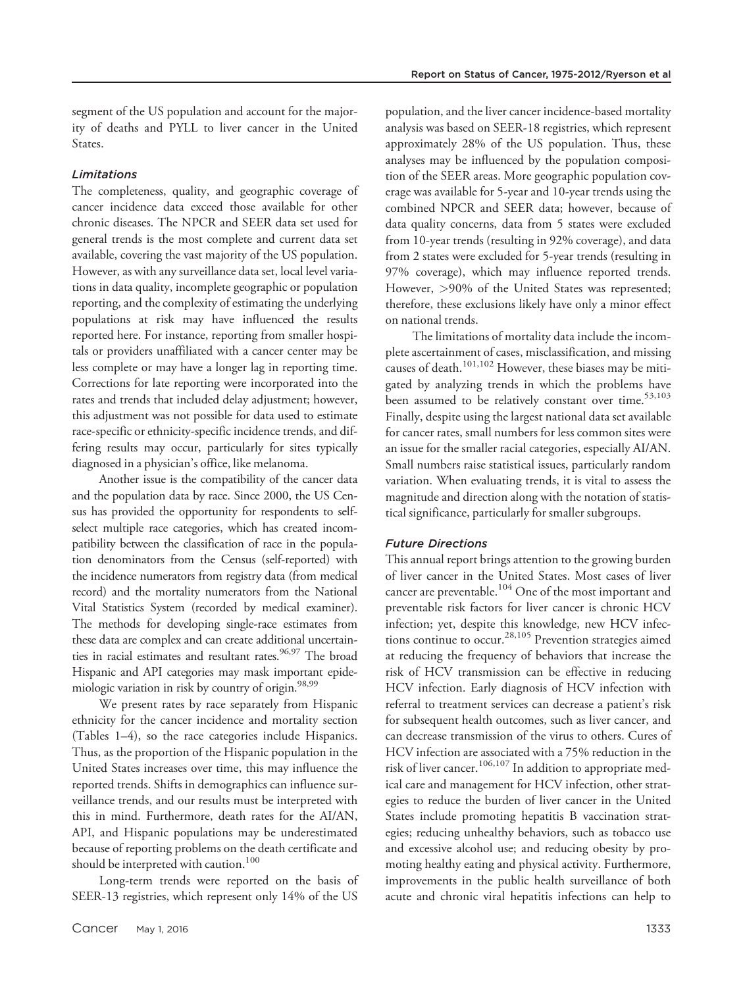segment of the US population and account for the majority of deaths and PYLL to liver cancer in the United States.

#### Limitations

The completeness, quality, and geographic coverage of cancer incidence data exceed those available for other chronic diseases. The NPCR and SEER data set used for general trends is the most complete and current data set available, covering the vast majority of the US population. However, as with any surveillance data set, local level variations in data quality, incomplete geographic or population reporting, and the complexity of estimating the underlying populations at risk may have influenced the results reported here. For instance, reporting from smaller hospitals or providers unaffiliated with a cancer center may be less complete or may have a longer lag in reporting time. Corrections for late reporting were incorporated into the rates and trends that included delay adjustment; however, this adjustment was not possible for data used to estimate race-specific or ethnicity-specific incidence trends, and differing results may occur, particularly for sites typically diagnosed in a physician's office, like melanoma.

Another issue is the compatibility of the cancer data and the population data by race. Since 2000, the US Census has provided the opportunity for respondents to selfselect multiple race categories, which has created incompatibility between the classification of race in the population denominators from the Census (self-reported) with the incidence numerators from registry data (from medical record) and the mortality numerators from the National Vital Statistics System (recorded by medical examiner). The methods for developing single-race estimates from these data are complex and can create additional uncertainties in racial estimates and resultant rates.<sup>96,97</sup> The broad Hispanic and API categories may mask important epidemiologic variation in risk by country of origin.<sup>98,99</sup>

We present rates by race separately from Hispanic ethnicity for the cancer incidence and mortality section (Tables 1–4), so the race categories include Hispanics. Thus, as the proportion of the Hispanic population in the United States increases over time, this may influence the reported trends. Shifts in demographics can influence surveillance trends, and our results must be interpreted with this in mind. Furthermore, death rates for the AI/AN, API, and Hispanic populations may be underestimated because of reporting problems on the death certificate and should be interpreted with caution.<sup>100</sup>

Long-term trends were reported on the basis of SEER-13 registries, which represent only 14% of the US population, and the liver cancer incidence-based mortality analysis was based on SEER-18 registries, which represent approximately 28% of the US population. Thus, these analyses may be influenced by the population composition of the SEER areas. More geographic population coverage was available for 5-year and 10-year trends using the combined NPCR and SEER data; however, because of data quality concerns, data from 5 states were excluded from 10-year trends (resulting in 92% coverage), and data from 2 states were excluded for 5-year trends (resulting in 97% coverage), which may influence reported trends. However, >90% of the United States was represented; therefore, these exclusions likely have only a minor effect on national trends.

The limitations of mortality data include the incomplete ascertainment of cases, misclassification, and missing causes of death.<sup>101,102</sup> However, these biases may be mitigated by analyzing trends in which the problems have been assumed to be relatively constant over time.<sup>53,103</sup> Finally, despite using the largest national data set available for cancer rates, small numbers for less common sites were an issue for the smaller racial categories, especially AI/AN. Small numbers raise statistical issues, particularly random variation. When evaluating trends, it is vital to assess the magnitude and direction along with the notation of statistical significance, particularly for smaller subgroups.

#### Future Directions

This annual report brings attention to the growing burden of liver cancer in the United States. Most cases of liver cancer are preventable.<sup>104</sup> One of the most important and preventable risk factors for liver cancer is chronic HCV infection; yet, despite this knowledge, new HCV infections continue to occur.<sup>28,105</sup> Prevention strategies aimed at reducing the frequency of behaviors that increase the risk of HCV transmission can be effective in reducing HCV infection. Early diagnosis of HCV infection with referral to treatment services can decrease a patient's risk for subsequent health outcomes, such as liver cancer, and can decrease transmission of the virus to others. Cures of HCV infection are associated with a 75% reduction in the risk of liver cancer.<sup>106,107</sup> In addition to appropriate medical care and management for HCV infection, other strategies to reduce the burden of liver cancer in the United States include promoting hepatitis B vaccination strategies; reducing unhealthy behaviors, such as tobacco use and excessive alcohol use; and reducing obesity by promoting healthy eating and physical activity. Furthermore, improvements in the public health surveillance of both acute and chronic viral hepatitis infections can help to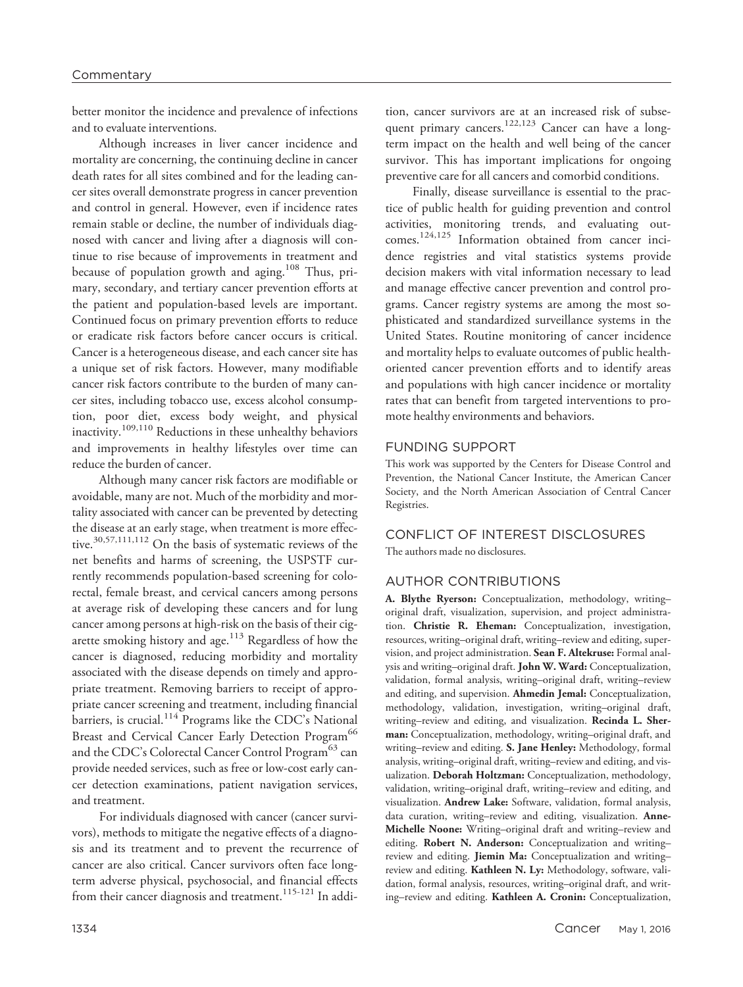better monitor the incidence and prevalence of infections and to evaluate interventions.

Although increases in liver cancer incidence and mortality are concerning, the continuing decline in cancer death rates for all sites combined and for the leading cancer sites overall demonstrate progress in cancer prevention and control in general. However, even if incidence rates remain stable or decline, the number of individuals diagnosed with cancer and living after a diagnosis will continue to rise because of improvements in treatment and because of population growth and aging.<sup>108</sup> Thus, primary, secondary, and tertiary cancer prevention efforts at the patient and population-based levels are important. Continued focus on primary prevention efforts to reduce or eradicate risk factors before cancer occurs is critical. Cancer is a heterogeneous disease, and each cancer site has a unique set of risk factors. However, many modifiable cancer risk factors contribute to the burden of many cancer sites, including tobacco use, excess alcohol consumption, poor diet, excess body weight, and physical inactivity.109,110 Reductions in these unhealthy behaviors and improvements in healthy lifestyles over time can reduce the burden of cancer.

Although many cancer risk factors are modifiable or avoidable, many are not. Much of the morbidity and mortality associated with cancer can be prevented by detecting the disease at an early stage, when treatment is more effective.30,57,111,112 On the basis of systematic reviews of the net benefits and harms of screening, the USPSTF currently recommends population-based screening for colorectal, female breast, and cervical cancers among persons at average risk of developing these cancers and for lung cancer among persons at high-risk on the basis of their cigarette smoking history and age.<sup>113</sup> Regardless of how the cancer is diagnosed, reducing morbidity and mortality associated with the disease depends on timely and appropriate treatment. Removing barriers to receipt of appropriate cancer screening and treatment, including financial barriers, is crucial.<sup>114</sup> Programs like the CDC's National Breast and Cervical Cancer Early Detection Program<sup>66</sup> and the CDC's Colorectal Cancer Control Program<sup>63</sup> can provide needed services, such as free or low-cost early cancer detection examinations, patient navigation services, and treatment.

For individuals diagnosed with cancer (cancer survivors), methods to mitigate the negative effects of a diagnosis and its treatment and to prevent the recurrence of cancer are also critical. Cancer survivors often face longterm adverse physical, psychosocial, and financial effects from their cancer diagnosis and treatment.<sup>115-121</sup> In addi-

tion, cancer survivors are at an increased risk of subsequent primary cancers.<sup>122,123</sup> Cancer can have a longterm impact on the health and well being of the cancer survivor. This has important implications for ongoing preventive care for all cancers and comorbid conditions.

Finally, disease surveillance is essential to the practice of public health for guiding prevention and control activities, monitoring trends, and evaluating outcomes.124,125 Information obtained from cancer incidence registries and vital statistics systems provide decision makers with vital information necessary to lead and manage effective cancer prevention and control programs. Cancer registry systems are among the most sophisticated and standardized surveillance systems in the United States. Routine monitoring of cancer incidence and mortality helps to evaluate outcomes of public healthoriented cancer prevention efforts and to identify areas and populations with high cancer incidence or mortality rates that can benefit from targeted interventions to promote healthy environments and behaviors.

#### FUNDING SUPPORT

This work was supported by the Centers for Disease Control and Prevention, the National Cancer Institute, the American Cancer Society, and the North American Association of Central Cancer Registries.

## CONFLICT OF INTEREST DISCLOSURES

The authors made no disclosures.

#### AUTHOR CONTRIBUTIONS

A. Blythe Ryerson: Conceptualization, methodology, writingoriginal draft, visualization, supervision, and project administration. Christie R. Eheman: Conceptualization, investigation, resources, writing–original draft, writing–review and editing, supervision, and project administration. Sean F. Altekruse: Formal analysis and writing–original draft. John W. Ward: Conceptualization, validation, formal analysis, writing–original draft, writing–review and editing, and supervision. Ahmedin Jemal: Conceptualization, methodology, validation, investigation, writing–original draft, writing–review and editing, and visualization. Recinda L. Sherman: Conceptualization, methodology, writing–original draft, and writing-review and editing. S. Jane Henley: Methodology, formal analysis, writing–original draft, writing–review and editing, and visualization. Deborah Holtzman: Conceptualization, methodology, validation, writing–original draft, writing–review and editing, and visualization. Andrew Lake: Software, validation, formal analysis, data curation, writing–review and editing, visualization. Anne-Michelle Noone: Writing–original draft and writing–review and editing. Robert N. Anderson: Conceptualization and writingreview and editing. Jiemin Ma: Conceptualization and writingreview and editing. Kathleen N. Ly: Methodology, software, validation, formal analysis, resources, writing–original draft, and writing–review and editing. Kathleen A. Cronin: Conceptualization,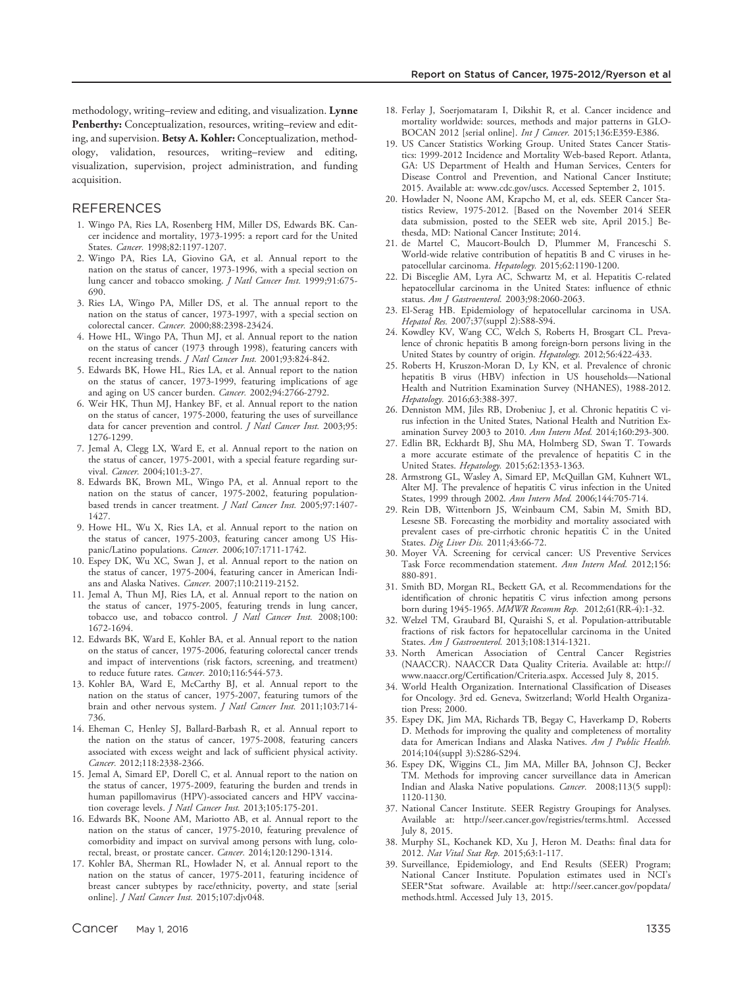methodology, writing–review and editing, and visualization. Lynne Penberthy: Conceptualization, resources, writing–review and editing, and supervision. Betsy A. Kohler: Conceptualization, methodology, validation, resources, writing–review and editing, visualization, supervision, project administration, and funding acquisition.

#### REFERENCES

- 1. Wingo PA, Ries LA, Rosenberg HM, Miller DS, Edwards BK. Cancer incidence and mortality, 1973-1995: a report card for the United States. Cancer. 1998;82:1197-1207.
- 2. Wingo PA, Ries LA, Giovino GA, et al. Annual report to the nation on the status of cancer, 1973-1996, with a special section on lung cancer and tobacco smoking. J Natl Cancer Inst. 1999;91:675- 690.
- 3. Ries LA, Wingo PA, Miller DS, et al. The annual report to the nation on the status of cancer, 1973-1997, with a special section on colorectal cancer. Cancer. 2000;88:2398-23424.
- 4. Howe HL, Wingo PA, Thun MJ, et al. Annual report to the nation on the status of cancer (1973 through 1998), featuring cancers with recent increasing trends. *J Natl Cancer Inst.* 2001;93:824-842.
- 5. Edwards BK, Howe HL, Ries LA, et al. Annual report to the nation on the status of cancer, 1973-1999, featuring implications of age and aging on US cancer burden. Cancer. 2002;94:2766-2792.
- 6. Weir HK, Thun MJ, Hankey BF, et al. Annual report to the nation on the status of cancer, 1975-2000, featuring the uses of surveillance data for cancer prevention and control. *J Natl Cancer Inst.* 2003;95: 1276-1299.
- 7. Jemal A, Clegg LX, Ward E, et al. Annual report to the nation on the status of cancer, 1975-2001, with a special feature regarding survival. Cancer. 2004;101:3-27.
- 8. Edwards BK, Brown ML, Wingo PA, et al. Annual report to the nation on the status of cancer, 1975-2002, featuring populationbased trends in cancer treatment. *J Natl Cancer Inst.* 2005;97:1407-1427.
- 9. Howe HL, Wu X, Ries LA, et al. Annual report to the nation on the status of cancer, 1975-2003, featuring cancer among US Hispanic/Latino populations. Cancer. 2006;107:1711-1742.
- 10. Espey DK, Wu XC, Swan J, et al. Annual report to the nation on the status of cancer, 1975-2004, featuring cancer in American Indians and Alaska Natives. Cancer. 2007;110:2119-2152.
- 11. Jemal A, Thun MJ, Ries LA, et al. Annual report to the nation on the status of cancer, 1975-2005, featuring trends in lung cancer, tobacco use, and tobacco control. *J Natl Cancer Inst.* 2008;100: 1672-1694.
- 12. Edwards BK, Ward E, Kohler BA, et al. Annual report to the nation on the status of cancer, 1975-2006, featuring colorectal cancer trends and impact of interventions (risk factors, screening, and treatment) to reduce future rates. Cancer. 2010;116:544-573.
- 13. Kohler BA, Ward E, McCarthy BJ, et al. Annual report to the nation on the status of cancer, 1975-2007, featuring tumors of the brain and other nervous system. *J Natl Cancer Inst.* 2011;103:714-736.
- 14. Eheman C, Henley SJ, Ballard-Barbash R, et al. Annual report to the nation on the status of cancer, 1975-2008, featuring cancers associated with excess weight and lack of sufficient physical activity. Cancer. 2012;118:2338-2366.
- 15. Jemal A, Simard EP, Dorell C, et al. Annual report to the nation on the status of cancer, 1975-2009, featuring the burden and trends in human papillomavirus (HPV)-associated cancers and HPV vaccination coverage levels. *J Natl Cancer Inst.* 2013;105:175-201.
- 16. Edwards BK, Noone AM, Mariotto AB, et al. Annual report to the nation on the status of cancer, 1975-2010, featuring prevalence of comorbidity and impact on survival among persons with lung, colorectal, breast, or prostate cancer. Cancer. 2014;120:1290-1314.
- 17. Kohler BA, Sherman RL, Howlader N, et al. Annual report to the nation on the status of cancer, 1975-2011, featuring incidence of breast cancer subtypes by race/ethnicity, poverty, and state [serial online]. J Natl Cancer Inst. 2015;107:djv048.
- 18. Ferlay J, Soerjomataram I, Dikshit R, et al. Cancer incidence and mortality worldwide: sources, methods and major patterns in GLO-BOCAN 2012 [serial online]. Int J Cancer. 2015;136:E359-E386.
- 19. US Cancer Statistics Working Group. United States Cancer Statistics: 1999-2012 Incidence and Mortality Web-based Report. Atlanta, GA: US Department of Health and Human Services, Centers for Disease Control and Prevention, and National Cancer Institute; 2015. Available at: [www.cdc.gov/uscs](http://www.cdc.gov/uscs). Accessed September 2, 1015.
- 20. Howlader N, Noone AM, Krapcho M, et al, eds. SEER Cancer Statistics Review, 1975-2012. [Based on the November 2014 SEER data submission, posted to the SEER web site, April 2015.] Bethesda, MD: National Cancer Institute; 2014.
- 21. de Martel C, Maucort-Boulch D, Plummer M, Franceschi S. World-wide relative contribution of hepatitis B and C viruses in hepatocellular carcinoma. Hepatology. 2015;62:1190-1200.
- 22. Di Bisceglie AM, Lyra AC, Schwartz M, et al. Hepatitis C-related hepatocellular carcinoma in the United States: influence of ethnic status. Am J Gastroenterol. 2003;98:2060-2063.
- 23. El-Serag HB. Epidemiology of hepatocellular carcinoma in USA. Hepatol Res. 2007;37(suppl 2):S88-S94.
- 24. Kowdley KV, Wang CC, Welch S, Roberts H, Brosgart CL. Prevalence of chronic hepatitis B among foreign-born persons living in the United States by country of origin. Hepatology. 2012;56:422-433.
- 25. Roberts H, Kruszon-Moran D, Ly KN, et al. Prevalence of chronic hepatitis B virus (HBV) infection in US households—National Health and Nutrition Examination Survey (NHANES), 1988-2012. Hepatology. 2016;63:388-397.
- 26. Denniston MM, Jiles RB, Drobeniuc J, et al. Chronic hepatitis C virus infection in the United States, National Health and Nutrition Examination Survey 2003 to 2010. Ann Intern Med. 2014;160:293-300.
- 27. Edlin BR, Eckhardt BJ, Shu MA, Holmberg SD, Swan T. Towards a more accurate estimate of the prevalence of hepatitis C in the United States. Hepatology. 2015;62:1353-1363.
- 28. Armstrong GL, Wasley A, Simard EP, McQuillan GM, Kuhnert WL, Alter MJ. The prevalence of hepatitis C virus infection in the United States, 1999 through 2002. Ann Intern Med. 2006;144:705-714.
- 29. Rein DB, Wittenborn JS, Weinbaum CM, Sabin M, Smith BD, Lesesne SB. Forecasting the morbidity and mortality associated with prevalent cases of pre-cirrhotic chronic hepatitis C in the United States. Dig Liver Dis. 2011;43:66-72.
- 30. Moyer VA. Screening for cervical cancer: US Preventive Services Task Force recommendation statement. Ann Intern Med. 2012;156: 880-891.
- 31. Smith BD, Morgan RL, Beckett GA, et al. Recommendations for the identification of chronic hepatitis C virus infection among persons born during 1945-1965. MMWR Recomm Rep. 2012;61(RR-4):1-32.
- 32. Welzel TM, Graubard BI, Quraishi S, et al. Population-attributable fractions of risk factors for hepatocellular carcinoma in the United States. Am J Gastroenterol. 2013;108:1314-1321.
- 33. North American Association of Central Cancer Registries (NAACCR). NAACCR Data Quality Criteria. Available at: [http://](http://www.naaccr.org/Certification/Criteria.aspx) [www.naaccr.org/Certification/Criteria.aspx.](http://www.naaccr.org/Certification/Criteria.aspx) Accessed July 8, 2015.
- 34. World Health Organization. International Classification of Diseases for Oncology. 3rd ed. Geneva, Switzerland; World Health Organization Press; 2000.
- 35. Espey DK, Jim MA, Richards TB, Begay C, Haverkamp D, Roberts D. Methods for improving the quality and completeness of mortality data for American Indians and Alaska Natives. Am J Public Health. 2014;104(suppl 3):S286-S294.
- 36. Espey DK, Wiggins CL, Jim MA, Miller BA, Johnson CJ, Becker TM. Methods for improving cancer surveillance data in American Indian and Alaska Native populations. Cancer. 2008;113(5 suppl): 1120-1130.
- 37. National Cancer Institute. SEER Registry Groupings for Analyses. Available at:<http://seer.cancer.gov/registries/terms.html>. Accessed July 8, 2015.
- 38. Murphy SL, Kochanek KD, Xu J, Heron M. Deaths: final data for 2012. Nat Vital Stat Rep. 2015;63:1-117.
- 39. Surveillance, Epidemiology, and End Results (SEER) Program; National Cancer Institute. Population estimates used in NCI's SEER\*Stat software. Available at: [http://seer.cancer.gov/popdata/](http://seer.cancer.gov/popdata/methods.html) [methods.html](http://seer.cancer.gov/popdata/methods.html). Accessed July 13, 2015.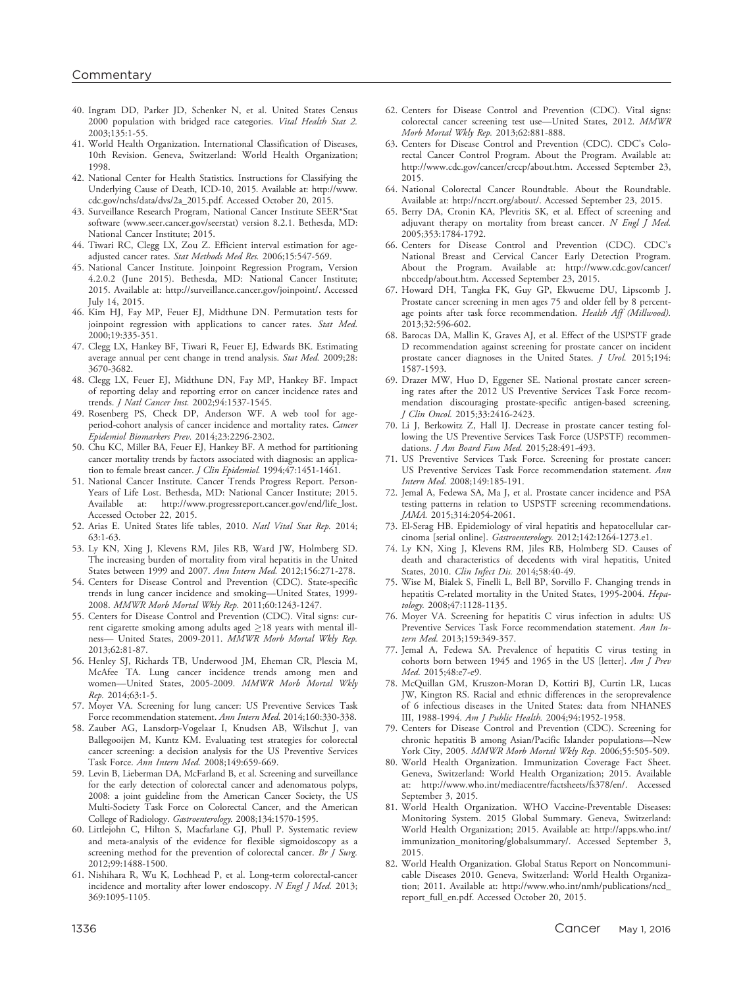- 40. Ingram DD, Parker JD, Schenker N, et al. United States Census 2000 population with bridged race categories. Vital Health Stat 2. 2003;135:1-55.
- 41. World Health Organization. International Classification of Diseases, 10th Revision. Geneva, Switzerland: World Health Organization; 1998.
- 42. National Center for Health Statistics. Instructions for Classifying the Underlying Cause of Death, ICD-10, 2015. Available at: [http://www.](http://www.cdc.gov/nchs/data/dvs/2a_2015.pdf) [cdc.gov/nchs/data/dvs/2a\\_2015.pdf](http://www.cdc.gov/nchs/data/dvs/2a_2015.pdf). Accessed October 20, 2015.
- 43. Surveillance Research Program, National Cancer Institute SEER\*Stat software ([www.seer.cancer.gov/seerstat](http://www.seer.cancer.gov/seerstat)) version 8.2.1. Bethesda, MD: National Cancer Institute; 2015.
- 44. Tiwari RC, Clegg LX, Zou Z. Efficient interval estimation for ageadjusted cancer rates. Stat Methods Med Res. 2006;15:547-569.
- 45. National Cancer Institute. Joinpoint Regression Program, Version 4.2.0.2 (June 2015). Bethesda, MD: National Cancer Institute; 2015. Available at:<http://surveillance.cancer.gov/joinpoint/>. Accessed July 14, 2015.
- 46. Kim HJ, Fay MP, Feuer EJ, Midthune DN. Permutation tests for joinpoint regression with applications to cancer rates. Stat Med. 2000;19:335-351.
- 47. Clegg LX, Hankey BF, Tiwari R, Feuer EJ, Edwards BK. Estimating average annual per cent change in trend analysis. Stat Med. 2009;28: 3670-3682.
- 48. Clegg LX, Feuer EJ, Midthune DN, Fay MP, Hankey BF. Impact of reporting delay and reporting error on cancer incidence rates and trends. *J Natl Cancer Inst.* 2002;94:1537-1545.
- 49. Rosenberg PS, Check DP, Anderson WF. A web tool for ageperiod-cohort analysis of cancer incidence and mortality rates. Cancer Epidemiol Biomarkers Prev. 2014;23:2296-2302.
- 50. Chu KC, Miller BA, Feuer EJ, Hankey BF. A method for partitioning cancer mortality trends by factors associated with diagnosis: an application to female breast cancer. *J Clin Epidemiol*. 1994;47:1451-1461.
- 51. National Cancer Institute. Cancer Trends Progress Report. Person-Years of Life Lost. Bethesda, MD: National Cancer Institute; 2015. Available at: [http://www.progressreport.cancer.gov/end/life\\_lost](http://www.progressreport.cancer.gov/end/life_lost). Accessed October 22, 2015.
- 52. Arias E. United States life tables, 2010. Natl Vital Stat Rep. 2014; 63:1-63.
- 53. Ly KN, Xing J, Klevens RM, Jiles RB, Ward JW, Holmberg SD. The increasing burden of mortality from viral hepatitis in the United States between 1999 and 2007. Ann Intern Med. 2012;156:271-278.
- 54. Centers for Disease Control and Prevention (CDC). State-specific trends in lung cancer incidence and smoking—United States, 1999- 2008. MMWR Morb Mortal Wkly Rep. 2011;60:1243-1247.
- 55. Centers for Disease Control and Prevention (CDC). Vital signs: current cigarette smoking among adults aged  $\geq$ 18 years with mental illness-United States, 2009-2011. MMWR Morb Mortal Wkly Rep. 2013;62:81-87.
- 56. Henley SJ, Richards TB, Underwood JM, Eheman CR, Plescia M, McAfee TA. Lung cancer incidence trends among men and women-United States, 2005-2009. MMWR Morb Mortal Wkly Rep. 2014;63:1-5.
- 57. Moyer VA. Screening for lung cancer: US Preventive Services Task Force recommendation statement. Ann Intern Med. 2014;160:330-338.
- 58. Zauber AG, Lansdorp-Vogelaar I, Knudsen AB, Wilschut J, van Ballegooijen M, Kuntz KM. Evaluating test strategies for colorectal cancer screening: a decision analysis for the US Preventive Services Task Force. Ann Intern Med. 2008;149:659-669.
- 59. Levin B, Lieberman DA, McFarland B, et al. Screening and surveillance for the early detection of colorectal cancer and adenomatous polyps, 2008: a joint guideline from the American Cancer Society, the US Multi-Society Task Force on Colorectal Cancer, and the American College of Radiology. Gastroenterology. 2008;134:1570-1595.
- 60. Littlejohn C, Hilton S, Macfarlane GJ, Phull P. Systematic review and meta-analysis of the evidence for flexible sigmoidoscopy as a screening method for the prevention of colorectal cancer. Br J Surg. 2012;99:1488-1500.
- 61. Nishihara R, Wu K, Lochhead P, et al. Long-term colorectal-cancer incidence and mortality after lower endoscopy. N Engl J Med. 2013; 369:1095-1105.
- 62. Centers for Disease Control and Prevention (CDC). Vital signs: colorectal cancer screening test use—United States, 2012. MMWR Morb Mortal Wkly Rep. 2013;62:881-888.
- 63. Centers for Disease Control and Prevention (CDC). CDC's Colorectal Cancer Control Program. About the Program. Available at: [http://www.cdc.gov/cancer/crccp/about.htm.](http://www.cdc.gov/cancer/crccp/about.htm) Accessed September 23, 2015.
- 64. National Colorectal Cancer Roundtable. About the Roundtable. Available at:<http://nccrt.org/about/>. Accessed September 23, 2015.
- 65. Berry DA, Cronin KA, Plevritis SK, et al. Effect of screening and adjuvant therapy on mortality from breast cancer.  $N$  Engl  $\ddot{J}$  Med. 2005;353:1784-1792.
- 66. Centers for Disease Control and Prevention (CDC). CDC's National Breast and Cervical Cancer Early Detection Program. About the Program. Available at: [http://www.cdc.gov/cancer/](http://www.cdc.gov/cancer/nbccedp/about.htm) [nbccedp/about.htm.](http://www.cdc.gov/cancer/nbccedp/about.htm) Accessed September 23, 2015.
- 67. Howard DH, Tangka FK, Guy GP, Ekwueme DU, Lipscomb J. Prostate cancer screening in men ages 75 and older fell by 8 percentage points after task force recommendation. Health Aff (Millwood). 2013;32:596-602.
- 68. Barocas DA, Mallin K, Graves AJ, et al. Effect of the USPSTF grade D recommendation against screening for prostate cancer on incident prostate cancer diagnoses in the United States. J Urol. 2015;194: 1587-1593.
- 69. Drazer MW, Huo D, Eggener SE. National prostate cancer screening rates after the 2012 US Preventive Services Task Force recommendation discouraging prostate-specific antigen-based screening. J Clin Oncol. 2015;33:2416-2423.
- 70. Li J, Berkowitz Z, Hall IJ. Decrease in prostate cancer testing following the US Preventive Services Task Force (USPSTF) recommendations. J Am Board Fam Med. 2015;28:491-493.
- 71. US Preventive Services Task Force. Screening for prostate cancer: US Preventive Services Task Force recommendation statement. Ann Intern Med. 2008;149:185-191.
- 72. Jemal A, Fedewa SA, Ma J, et al. Prostate cancer incidence and PSA testing patterns in relation to USPSTF screening recommendations. JAMA. 2015;314:2054-2061.
- 73. El-Serag HB. Epidemiology of viral hepatitis and hepatocellular carcinoma [serial online]. Gastroenterology. 2012;142:1264-1273.e1.
- 74. Ly KN, Xing J, Klevens RM, Jiles RB, Holmberg SD. Causes of death and characteristics of decedents with viral hepatitis, United States, 2010. Clin Infect Dis. 2014;58:40-49.
- 75. Wise M, Bialek S, Finelli L, Bell BP, Sorvillo F. Changing trends in hepatitis C-related mortality in the United States, 1995-2004. Hepatology. 2008;47:1128-1135.
- 76. Moyer VA. Screening for hepatitis C virus infection in adults: US Preventive Services Task Force recommendation statement. Ann Intern Med. 2013;159:349-357.
- 77. Jemal A, Fedewa SA. Prevalence of hepatitis C virus testing in cohorts born between 1945 and 1965 in the US [letter]. Am J Prev Med. 2015;48:e7-e9.
- 78. McQuillan GM, Kruszon-Moran D, Kottiri BJ, Curtin LR, Lucas JW, Kington RS. Racial and ethnic differences in the seroprevalence of 6 infectious diseases in the United States: data from NHANES III, 1988-1994. Am J Public Health. 2004;94:1952-1958.
- 79. Centers for Disease Control and Prevention (CDC). Screening for chronic hepatitis B among Asian/Pacific Islander populations—New York City, 2005. MMWR Morb Mortal Wkly Rep. 2006;55:505-509.
- 80. World Health Organization. Immunization Coverage Fact Sheet. Geneva, Switzerland: World Health Organization; 2015. Available at:<http://www.who.int/mediacentre/factsheets/fs378/en/>. Accessed September 3, 2015.
- 81. World Health Organization. WHO Vaccine-Preventable Diseases: Monitoring System. 2015 Global Summary. Geneva, Switzerland: World Health Organization; 2015. Available at: [http://apps.who.int/](http://apps.who.int/immunization_monitoring/globalsummary/) [immunization\\_monitoring/globalsummary/](http://apps.who.int/immunization_monitoring/globalsummary/). Accessed September 3, 2015.
- 82. World Health Organization. Global Status Report on Noncommunicable Diseases 2010. Geneva, Switzerland: World Health Organization; 2011. Available at: [http://www.who.int/nmh/publications/ncd\\_](http://www.who.int/nmh/publications/ncd_report_full_en.pdf) [report\\_full\\_en.pdf.](http://www.who.int/nmh/publications/ncd_report_full_en.pdf) Accessed October 20, 2015.